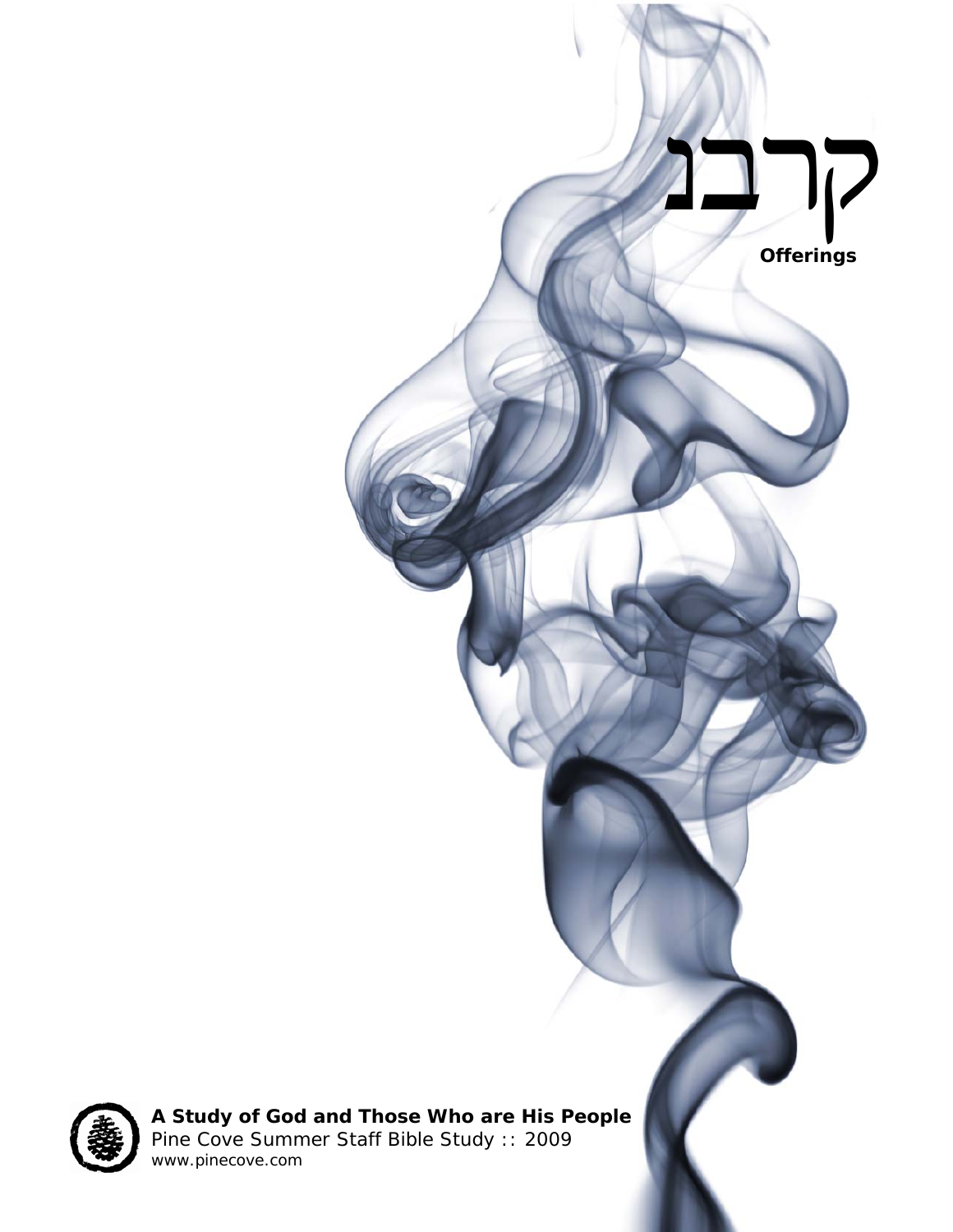



**A Study of God and Those Who are His People**  *Pine Cove Summer Staff Bible Study :: 2009*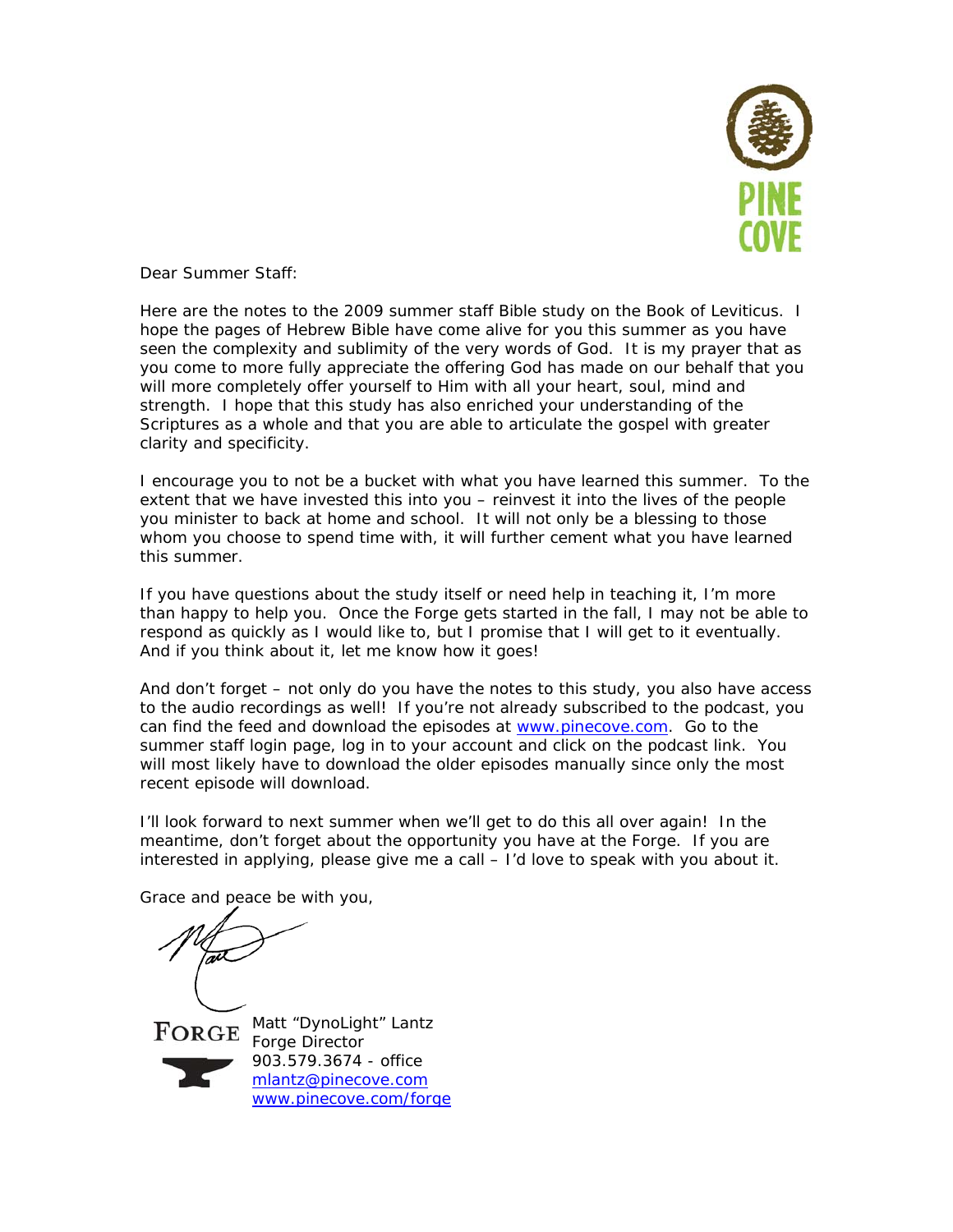

Dear Summer Staff:

Here are the notes to the 2009 summer staff Bible study on the Book of Leviticus. I hope the pages of Hebrew Bible have come alive for you this summer as you have seen the complexity and sublimity of the very words of God. It is my prayer that as you come to more fully appreciate the *offering* God has made on our behalf that you will more completely *offer* yourself to Him with all your heart, soul, mind and strength. I hope that this study has also enriched your understanding of the Scriptures as a whole and that you are able to articulate the gospel with greater clarity and specificity.

I encourage you to not be a bucket with what you have learned this summer. To the extent that we have invested this into you – reinvest it into the lives of the people you minister to back at home and school. It will not only be a blessing to those whom you choose to spend time with, it will further cement what you have learned this summer.

If you have questions about the study itself or need help in teaching it, I'm more than happy to help you. Once the Forge gets started in the fall, I may not be able to respond as quickly as I would like to, but I promise that I will get to it eventually. And if you think about it, let me know how it goes!

And don't forget – not only do you have the notes to this study, you also have access to the audio recordings as well! If you're not already subscribed to the podcast, you can find the feed and download the episodes at www.pinecove.com. Go to the summer staff login page, log in to your account and click on the podcast link. You will most likely have to download the older episodes manually since only the most recent episode will download.

I'll look forward to next summer when we'll get to do this all over again! In the meantime, don't forget about the opportunity you have at the Forge. If you are interested in applying, please give me a call – I'd love to speak with you about it.

Grace and peace be with you,

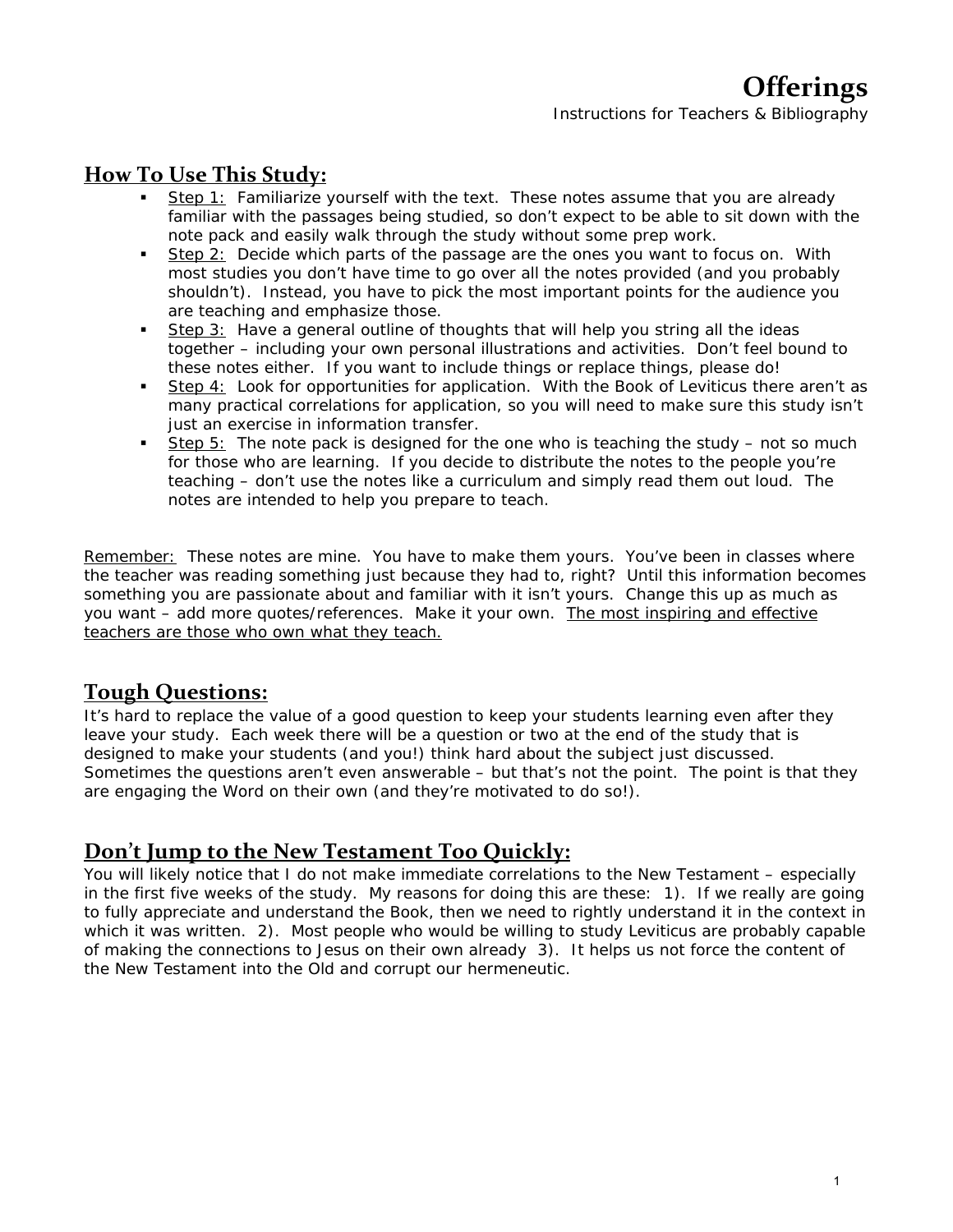# **How To Use This Study:**

- Step 1: Familiarize yourself with the text. These notes assume that you are already familiar with the passages being studied, so don't expect to be able to sit down with the note pack and easily walk through the study without some prep work.
- Step 2: Decide which parts of the passage are the ones you want to focus on. With most studies you don't have time to go over all the notes provided (and you probably shouldn't). Instead, you have to pick the most important points for the audience you are teaching and emphasize those.
- Step 3: Have a general outline of thoughts that will help you string all the ideas together – including your own personal illustrations and activities. Don't feel bound to these notes either. If you want to include things or replace things, please do!
- Step 4: Look for opportunities for application. With the Book of Leviticus there aren't as many practical correlations for application, so you will need to make sure this study isn't just an exercise in information transfer.
- Step 5: The note pack is designed for the one who is teaching the study  $-$  not so much for those who are learning. If you decide to distribute the notes to the people you're teaching – don't use the notes like a curriculum and simply read them out loud. The notes are intended to help you *prepare* to teach.

Remember: These notes are *mine*. You have to make them yours. You've been in classes where the teacher was reading something just because they had to, right? Until this information becomes something you are passionate about and familiar with it isn't yours. Change this up as much as you want – add more quotes/references. *Make it your own.* The most inspiring and effective teachers are those who own what they teach.

# **Tough Questions:**

It's hard to replace the value of a good question to keep your students learning even after they leave your study. Each week there will be a question or two at the end of the study that is designed to make your students (and you!) think hard about the subject just discussed. Sometimes the questions aren't even answerable – but that's not the point. The point is that they are engaging the Word on their own (and they're motivated to do so!).

# **Don't Jump to the New Testament Too Quickly:**

You will likely notice that I do not make immediate correlations to the New Testament – especially in the first five weeks of the study. My reasons for doing this are these: 1). If we really are going to fully appreciate and understand the Book, then we need to rightly understand it in the context in which it was written. 2). Most people who would be willing to study Leviticus are probably capable of making the connections to Jesus on their own already 3). It helps us not force the content of the New Testament into the Old and corrupt our hermeneutic.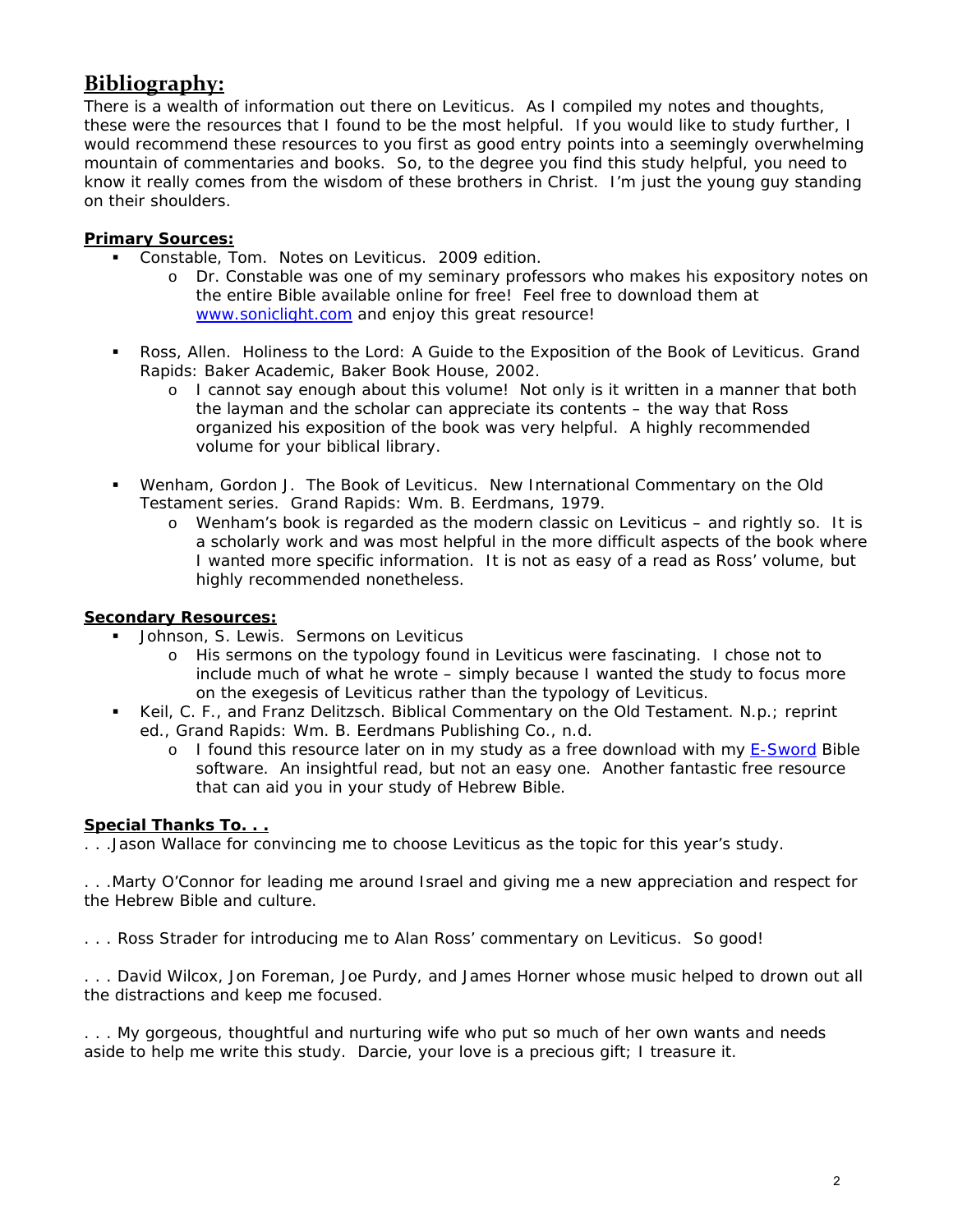# **Bibliography:**

There is a *wealth* of information out there on Leviticus. As I compiled my notes and thoughts, these were the resources that I found to be the most helpful. If you would like to study further, I would recommend these resources to you first as good entry points into a seemingly overwhelming mountain of commentaries and books. So, to the degree you find this study helpful, you need to know it really comes from the wisdom of these brothers in Christ. I'm just the young guy standing on their shoulders.

#### **Primary Sources:**

- Constable, Tom. *Notes on Leviticus*. 2009 edition.
	- o Dr. Constable was one of my seminary professors who makes his expository notes on the entire Bible available online for free! Feel free to download them at www.soniclight.com and enjoy this great resource!
- Ross, Allen. *Holiness to the Lord: A Guide to the Exposition of the Book of Leviticus.* Grand Rapids: Baker Academic, Baker Book House, 2002.
	- o I cannot say enough about this volume! Not only is it written in a manner that both the layman and the scholar can appreciate its contents – the way that Ross organized his exposition of the book was very helpful. A highly recommended volume for your biblical library.
- Wenham, Gordon J. *The Book of Leviticus.* New International Commentary on the Old Testament series. Grand Rapids: Wm. B. Eerdmans, 1979.
	- o Wenham's book is regarded as the modern classic on Leviticus and rightly so. It is a scholarly work and was most helpful in the more difficult aspects of the book where I wanted more specific information. It is not as easy of a read as Ross' volume, but highly recommended nonetheless.

#### **Secondary Resources:**

- Johnson, S. Lewis. Sermons on Leviticus
	- o His sermons on the typology found in Leviticus were fascinating. I chose not to include much of what he wrote – simply because I wanted the study to focus more on the exegesis of Leviticus rather than the typology of Leviticus.
- Keil, C. F., and Franz Delitzsch. *Biblical Commentary on the Old Testament.* N.p.; reprint ed., Grand Rapids: Wm. B. Eerdmans Publishing Co., n.d.
	- o I found this resource later on in my study as a free download with my E-Sword Bible software. An insightful read, but not an easy one. Another fantastic free resource that can aid you in your study of Hebrew Bible.

#### **Special Thanks To. . .**

. . .Jason Wallace for convincing me to choose Leviticus as the topic for this year's study.

. . .Marty O'Connor for leading me around Israel and giving me a new appreciation and respect for the Hebrew Bible and culture.

. . . Ross Strader for introducing me to Alan Ross' commentary on Leviticus. So good!

. . . David Wilcox, Jon Foreman, Joe Purdy, and James Horner whose music helped to drown out all the distractions and keep me focused.

. . . My gorgeous, thoughtful and nurturing wife who put so much of her own wants and needs aside to help me write this study. Darcie, your love is a precious gift; I treasure it.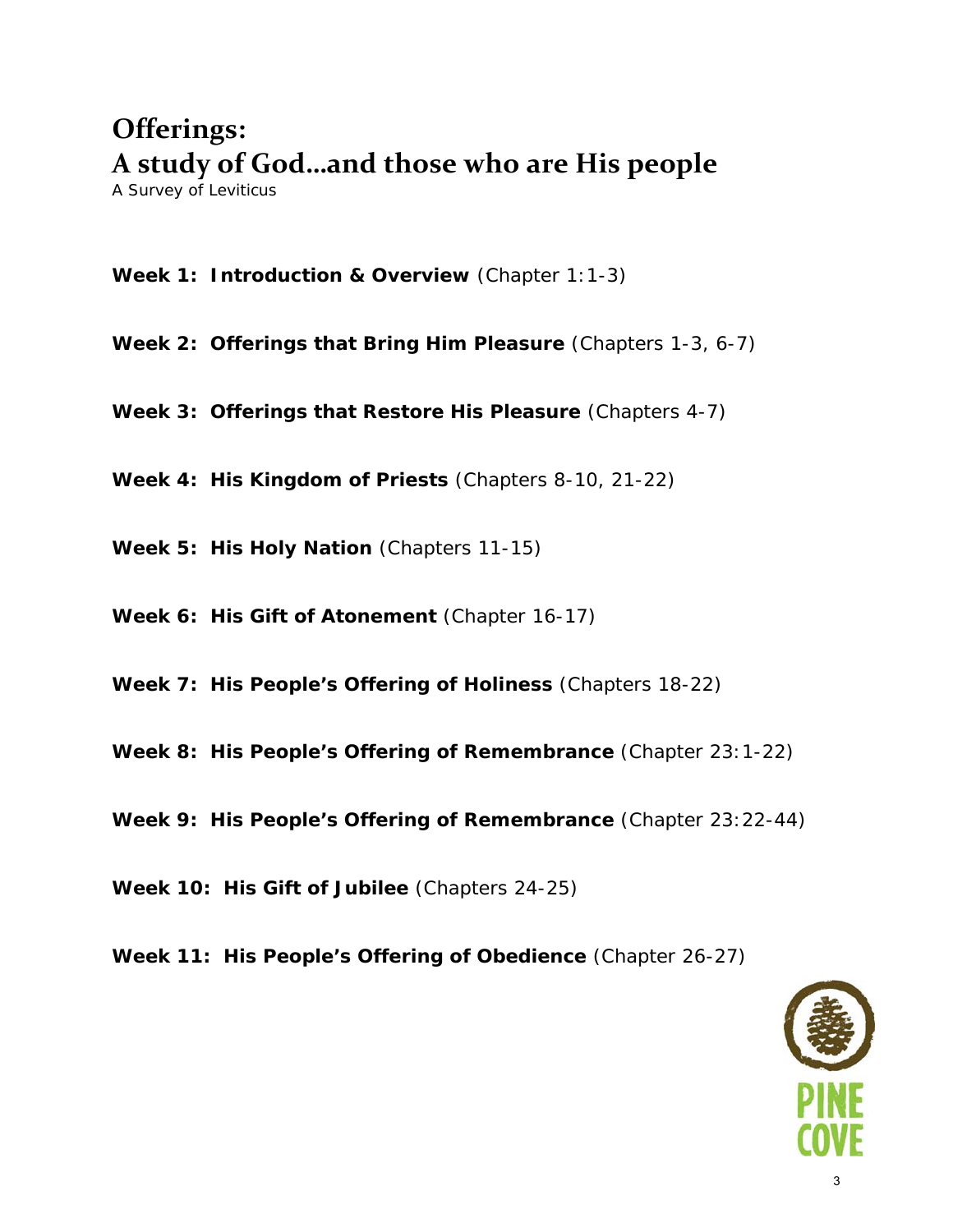# **Offerings: A study of God…and those who are His people**

*A Survey of Leviticus* 

**Week 1: Introduction & Overview** (Chapter 1:1-3)

**Week 2: Offerings that Bring Him Pleasure** (Chapters 1-3, 6-7)

**Week 3: Offerings that Restore His Pleasure** (Chapters 4-7)

**Week 4: His Kingdom of Priests** (Chapters 8-10, 21-22)

**Week 5: His Holy Nation** (Chapters 11-15)

**Week 6: His Gift of Atonement** (Chapter 16-17)

**Week 7: His People's Offering of Holiness** (Chapters 18-22)

**Week 8: His People's Offering of Remembrance** (Chapter 23:1-22)

**Week 9: His People's Offering of Remembrance** (Chapter 23:22-44)

**Week 10: His Gift of Jubilee** (Chapters 24-25)

**Week 11: His People's Offering of Obedience** (Chapter 26-27)

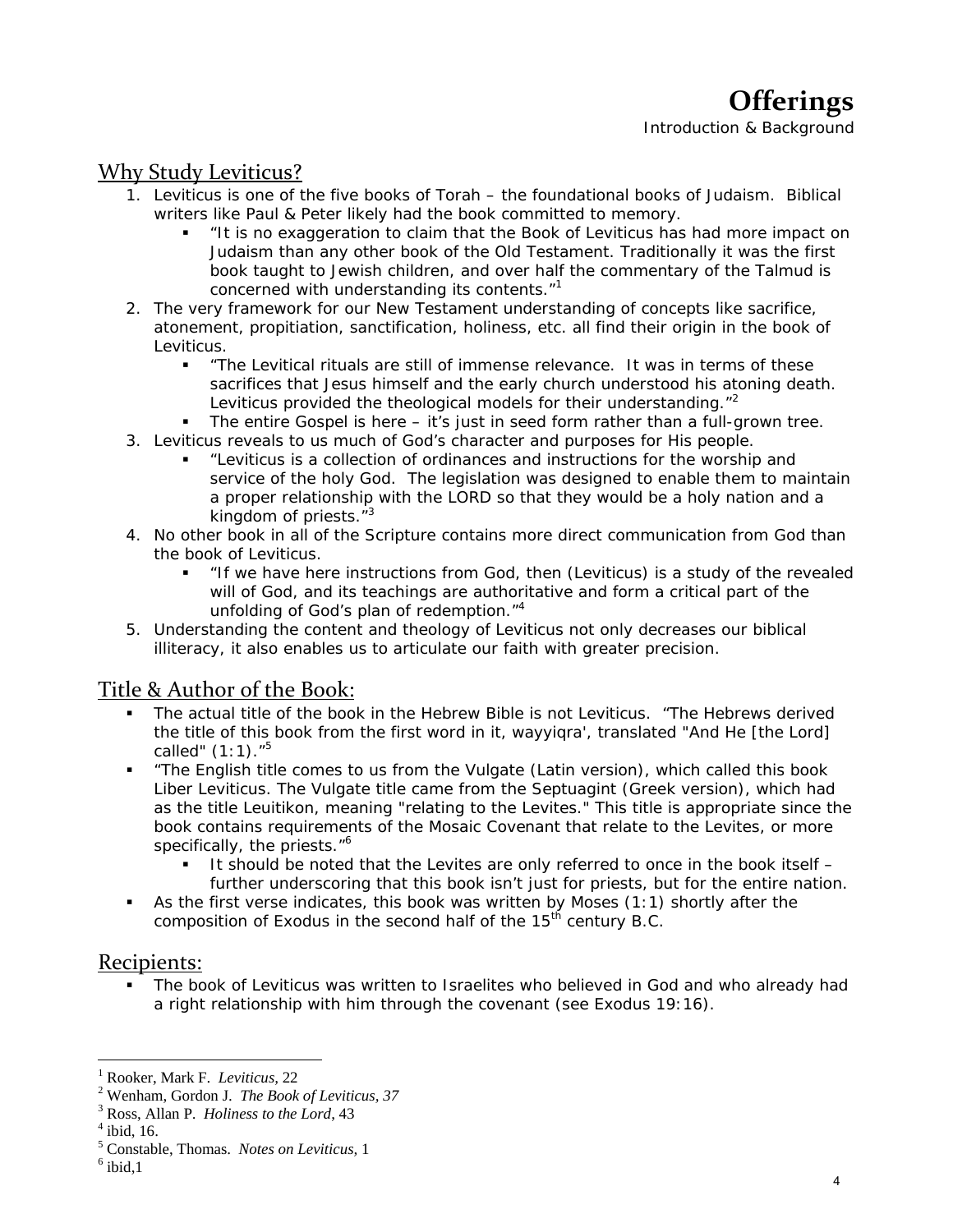# Why Study Leviticus?

- 1. Leviticus is one of the five books of Torah the foundational books of Judaism. Biblical writers like Paul & Peter likely had the book committed to memory.
	- "It is no exaggeration to claim that the Book of Leviticus has had more impact on Judaism than any other book of the Old Testament. Traditionally it was the first book taught to Jewish children, and over half the commentary of the Talmud is concerned with understanding its contents."<sup>1</sup>
- 2. The very framework for our New Testament understanding of concepts like sacrifice, atonement, propitiation, sanctification, holiness, etc. all find their origin in the book of Leviticus.
	- "The Levitical rituals are still of immense relevance. It was in terms of these sacrifices that Jesus himself and the early church understood his atoning death. Leviticus provided the theological models for their understanding."<sup>2</sup>
	- The entire Gospel is here it's just in seed form rather than a full-grown tree.
- 3. Leviticus reveals to us much of God's character and purposes for His people.
	- "Leviticus is a collection of ordinances and instructions for the worship and service of the holy God. The legislation was designed to enable them to maintain a proper relationship with the LORD so that they would be a holy nation and a kingdom of priests. $1/3$
- 4. No other book in all of the Scripture contains more direct communication from God than the book of Leviticus.
	- "If we have here instructions from God, then (Leviticus) is a study of the revealed will of God, and its teachings are authoritative and form a critical part of the unfolding of God's plan of redemption."<sup>4</sup>
- 5. Understanding the content and theology of Leviticus not only decreases our biblical illiteracy, it also enables us to articulate our faith with greater precision.

### Title & Author of the Book:

- The actual title of the book in the Hebrew Bible is not Leviticus. "The Hebrews derived the title of this book from the first word in it, *wayyiqra'*, translated "And He [the Lord] called"  $(1:1).$ <sup>5</sup>
- "The English title comes to us from the Vulgate (Latin version), which called this book *Liber Leviticus*. The Vulgate title came from the Septuagint (Greek version), which had as the title *Leuitikon*, meaning "relating to the Levites." This title is appropriate since the book contains requirements of the Mosaic Covenant that relate to the Levites, or more specifically, the priests."<sup>6</sup>
	- It should be noted that the Levites are only referred to once in the book itself further underscoring that this book isn't just for priests, but for the entire nation.
- As the first verse indicates, this book was written by Moses  $(1:1)$  shortly after the composition of Exodus in the second half of the  $15<sup>th</sup>$  century B.C.

### Recipients:

 The book of Leviticus was written to Israelites who believed in God and who already had a right relationship with him through the covenant (see Exodus 19:16).

<sup>&</sup>lt;sup>1</sup> Rooker, Mark F. *Leviticus*, 22<br><sup>2</sup> Wanham Gordan L. The Book

<sup>&</sup>lt;sup>2</sup> Wenham, Gordon J. *The Book of Leviticus*, 37

<sup>&</sup>lt;sup>3</sup> Ross, Allan P. *Holiness to the Lord*, 43

 $4$  ibid, 16.

<sup>&</sup>lt;sup>5</sup> Constable, Thomas. *Notes on Leviticus*, 1 <sup>6</sup> ibid 1

 $6$  ibid, 1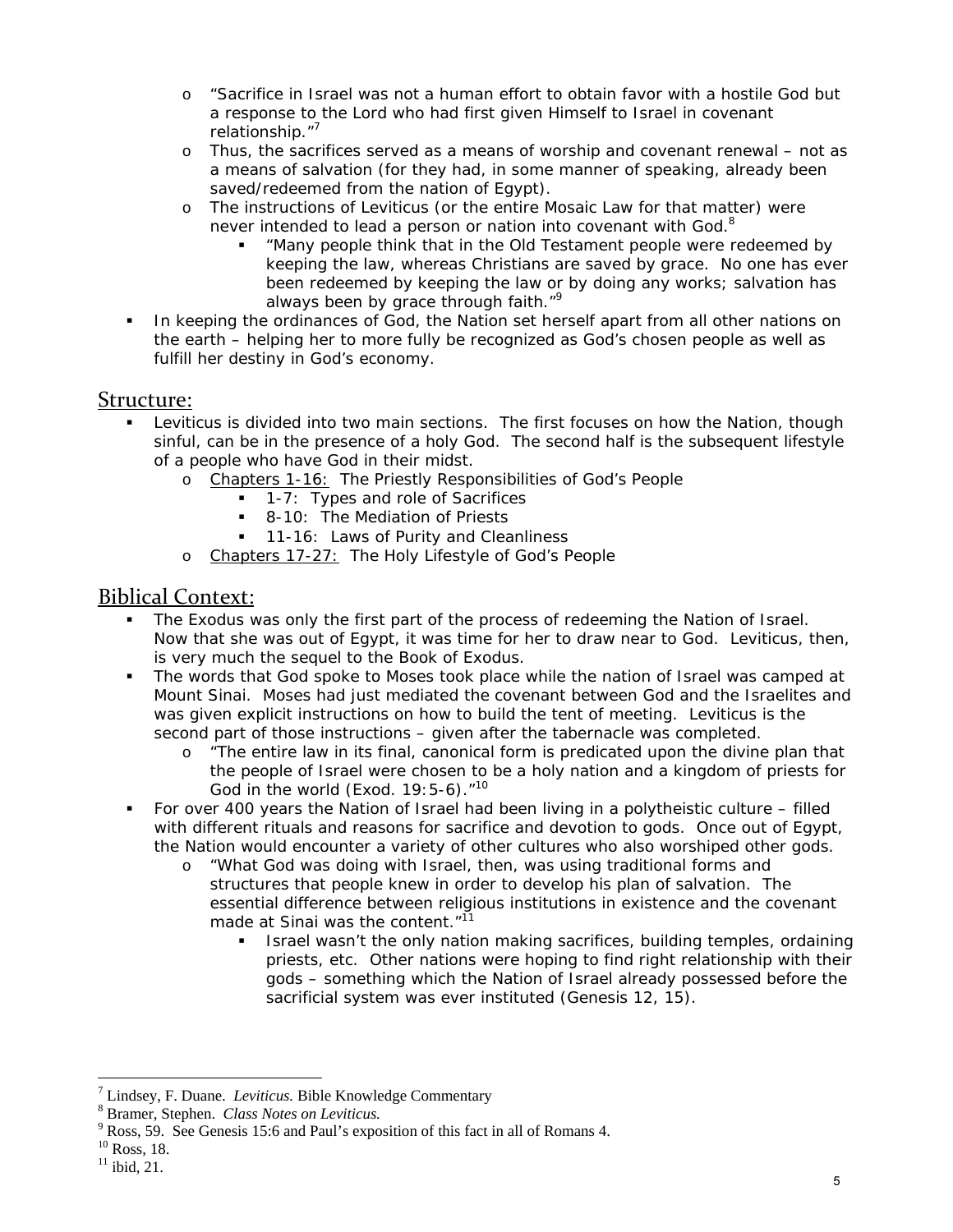- "Sacrifice in Israel was not a human effort to obtain favor with a hostile God but a response to the Lord who had first given Himself to Israel in covenant relationship."<sup>7</sup>
- o Thus, the sacrifices served as a means of worship and covenant renewal not as a means of salvation (for they had, in some manner of speaking, already been saved/redeemed from the nation of Egypt).
- o The instructions of Leviticus (or the entire Mosaic Law for that matter) were never intended to lead a person or nation into covenant with God.<sup>8</sup>
	- "Many people think that in the Old Testament people were redeemed by keeping the law, whereas Christians are saved by grace. No one has ever been redeemed by keeping the law or by doing any works; salvation has always been by grace through faith."<sup>9</sup>
- In keeping the ordinances of God, the Nation set herself apart from all other nations on the earth – helping her to more fully be recognized as God's chosen people as well as fulfill her destiny in God's economy.

### Structure:

- Leviticus is divided into two main sections. The first focuses on how the Nation, though sinful, can be in the presence of a holy God. The second half is the subsequent lifestyle of a people who have God in their midst.
	- o Chapters 1-16: The Priestly Responsibilities of God's People
		- **1-7:** Types and role of Sacrifices
		- 8-10: The Mediation of Priests
		- **11-16: Laws of Purity and Cleanliness**
	- o Chapters 17-27: The Holy Lifestyle of God's People

## Biblical Context:

- The Exodus was only the first part of the process of redeeming the Nation of Israel. Now that she was out of Egypt, it was time for her to draw near to God. Leviticus, then, is very much the sequel to the Book of Exodus.
- The words that God spoke to Moses took place while the nation of Israel was camped at Mount Sinai. Moses had just mediated the covenant between God and the Israelites and was given explicit instructions on how to build the tent of meeting. Leviticus is the second part of those instructions – given after the tabernacle was completed.
	- o "The entire law in its final, canonical form is predicated upon the divine plan that the people of Israel were chosen to be a holy nation and a kingdom of priests for God in the world (Exod.  $19:5-6$ ). $10<sup>10</sup>$
- For over 400 years the Nation of Israel had been living in a polytheistic culture filled with different rituals and reasons for sacrifice and devotion to gods. Once out of Egypt, the Nation would encounter a variety of other cultures who also worshiped other gods.
	- o "What God was doing with Israel, then, was using traditional forms and structures that people knew in order to develop his plan of salvation. The essential difference between religious institutions in existence and the covenant made at Sinai was the content. $11$ <sup>11</sup>
		- Israel wasn't the only nation making sacrifices, building temples, ordaining priests, etc. Other nations were *hoping* to find right relationship with their gods – something which the Nation of Israel already possessed *before* the sacrificial system was ever instituted (Genesis 12, 15).

 $T$  Lindsey, F. Duane. *Leviticus*. Bible Knowledge Commentary  $S^8$  Promor. Stophen. *Class Notes on Levitious* 

Bramer, Stephen. *Class Notes on Leviticus.* 9

<sup>&</sup>lt;sup>9</sup> Ross, 59. See Genesis 15:6 and Paul's exposition of this fact in all of Romans 4.

 $10$  Ross, 18.

 $11$  ibid, 21.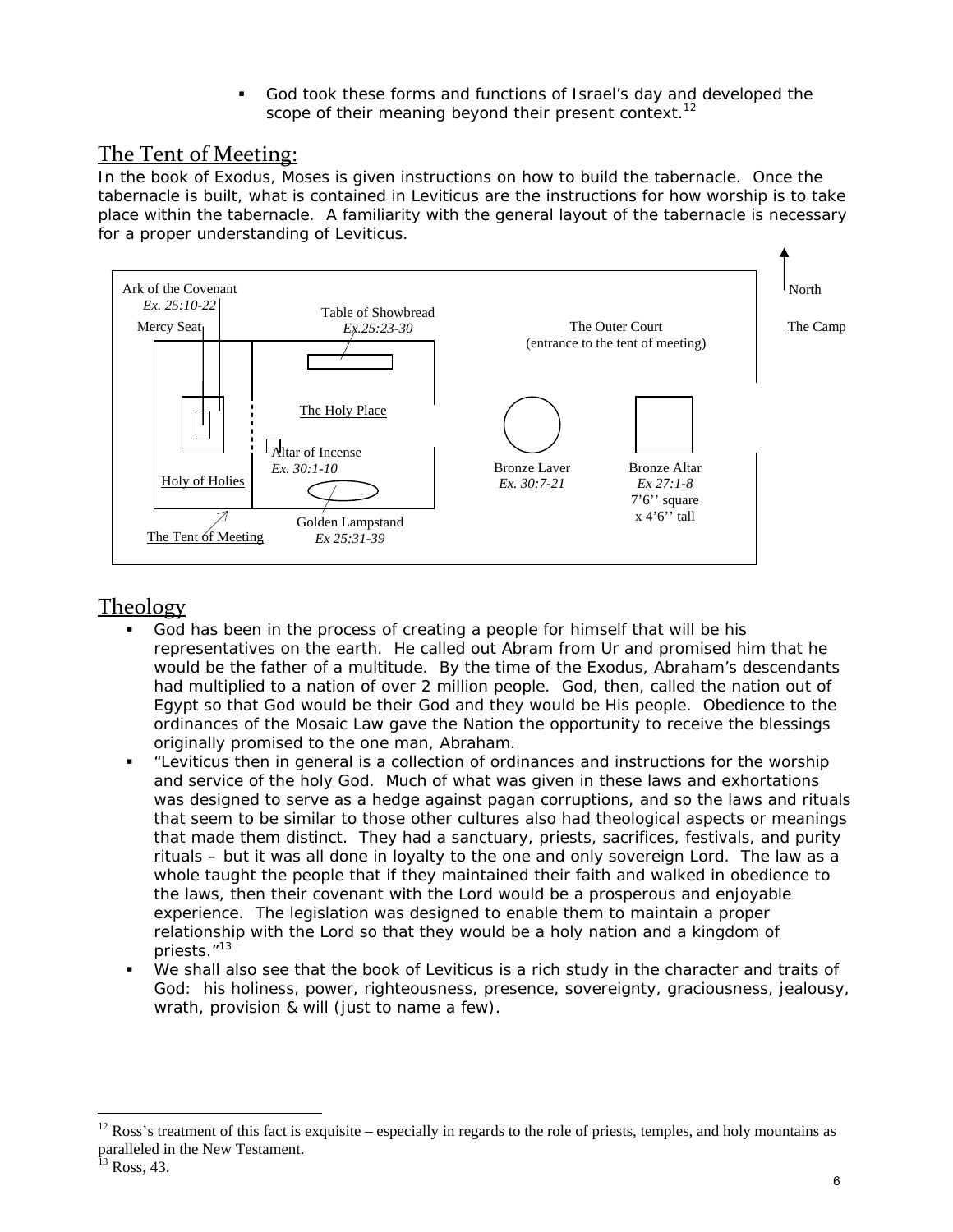God took these forms and functions of Israel's day and developed the scope of their meaning beyond their present context.<sup>12</sup>

### The Tent of Meeting:

In the book of Exodus, Moses is given instructions on how to build the tabernacle. Once the tabernacle is built, what is contained in Leviticus are the instructions for how worship is to take place within the tabernacle. A familiarity with the general layout of the tabernacle is necessary for a proper understanding of Leviticus.



## **Theology**

- God has been in the process of creating a people for himself that will be his representatives on the earth. He called out Abram from Ur and promised him that he would be the father of a multitude. By the time of the Exodus, Abraham's descendants had multiplied to a nation of over 2 million people. God, then, called the nation out of Egypt so that God would be their God and they would be His people. Obedience to the ordinances of the Mosaic Law gave the Nation the opportunity to receive the blessings originally promised to the one man, Abraham.
- "Leviticus then in general is a collection of ordinances and instructions for the worship and service of the holy God. Much of what was given in these laws and exhortations was designed to serve as a hedge against pagan corruptions, and so the laws and rituals that seem to be similar to those other cultures also had theological aspects or meanings that made them distinct. They had a sanctuary, priests, sacrifices, festivals, and purity rituals – but it was all done in loyalty to the one and only sovereign Lord. The law as a whole taught the people that if they maintained their faith and walked in obedience to the laws, then their covenant with the Lord would be a prosperous and enjoyable experience. The legislation was designed to enable them to maintain a proper relationship with the Lord so that they would be a holy nation and a kingdom of priests."13
- We shall also see that the book of Leviticus is a rich study in the character and traits of God: his holiness, power, righteousness, presence, sovereignty, graciousness, jealousy, wrath, provision & will (just to name a few).

<sup>12</sup> Ross's treatment of this fact is exquisite – especially in regards to the role of priests, temples, and holy mountains as paralleled in the New Testament.

Ross, 43.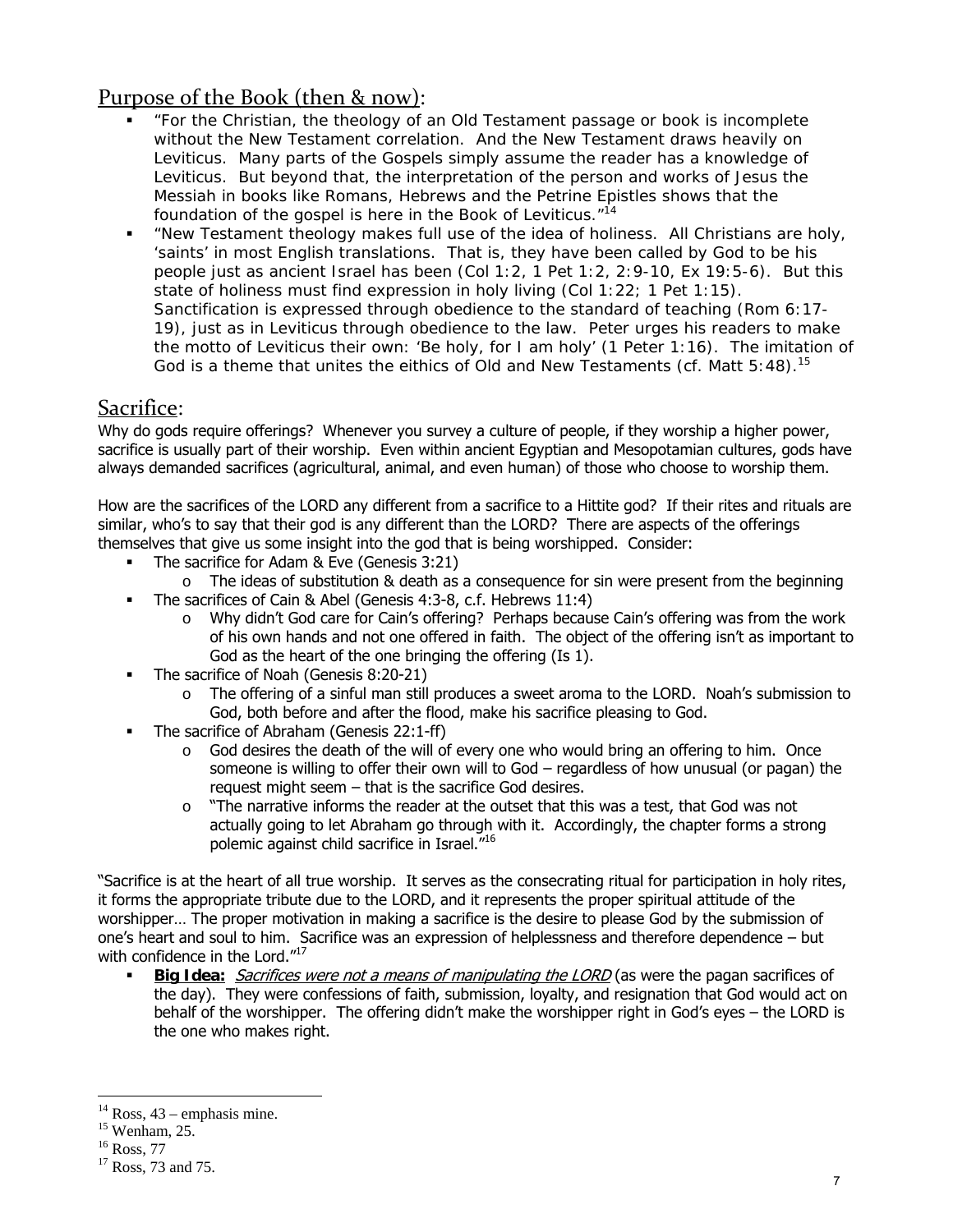# Purpose of the Book (then & now):

- "For the Christian, the theology of an Old Testament passage or book is incomplete without the New Testament correlation. And the New Testament draws heavily on Leviticus. Many parts of the Gospels simply assume the reader has a knowledge of Leviticus. But beyond that, the interpretation of the person and works of Jesus the Messiah in books like Romans, Hebrews and the Petrine Epistles shows that *the foundation of the gospel* is here in the Book of Leviticus."14
- "New Testament theology makes full use of the idea of holiness. All Christians are holy, 'saints' in most English translations. That is, they have been called by God to be his people just as ancient Israel has been (Col 1:2, 1 Pet 1:2, 2:9-10, Ex 19:5-6). But this state of holiness must find expression in holy living (Col 1:22; 1 Pet 1:15). Sanctification is expressed through obedience to the standard of teaching (Rom 6:17- 19), just as in Leviticus through obedience to the law. Peter urges his readers to make the motto of Leviticus their own: 'Be holy, for I am holy' (1 Peter 1:16). The imitation of God is a theme that unites the eithics of Old and New Testaments (cf. Matt  $5:48$ ).<sup>15</sup>

## Sacrifice:

Why do gods require offerings? Whenever you survey a culture of people, if they worship a higher power, sacrifice is usually part of their worship. Even within ancient Egyptian and Mesopotamian cultures, gods have always demanded sacrifices (agricultural, animal, and even human) of those who choose to worship them.

How are the sacrifices of the LORD any different from a sacrifice to a Hittite god? If their rites and rituals are similar, who's to say that their god is any different than the LORD? There are aspects of the offerings themselves that give us some insight into the god that is being worshipped. Consider:

- **The sacrifice for Adam & Eve (Genesis 3:21)** 
	- $\circ$  The ideas of substitution & death as a consequence for sin were present from the beginning
- The sacrifices of Cain & Abel (Genesis 4:3-8, c.f. Hebrews 11:4)
	- o Why didn't God care for Cain's offering? Perhaps because Cain's offering was from the work of his own hands and not one offered in faith. The object of the offering isn't as important to God as the heart of the one bringing the offering (Is 1).
- The sacrifice of Noah (Genesis 8:20-21)
	- o The offering of a sinful man still produces a sweet aroma to the LORD. Noah's submission to God, both before and after the flood, make his sacrifice pleasing to God.
- The sacrifice of Abraham (Genesis 22:1-ff)
	- $\circ$  God desires the death of the will of every one who would bring an offering to him. Once someone is willing to offer their own will to God – regardless of how unusual (or pagan) the request might seem – that is the sacrifice God desires.
	- $\circ$  "The narrative informs the reader at the outset that this was a test, that God was not actually going to let Abraham go through with it. Accordingly, the chapter forms a strong polemic against child sacrifice in Israel."16

"Sacrifice is at the heart of all true worship. It serves as the consecrating ritual for participation in holy rites, it forms the appropriate tribute due to the LORD, and it represents the proper spiritual attitude of the worshipper… The proper motivation in making a sacrifice is the desire to please God by the submission of one's heart and soul to him. Sacrifice was an expression of helplessness and therefore dependence – but with confidence in the Lord."<sup>17</sup>

Big Idea: *Sacrifices were not a means of manipulating the LORD* (as were the pagan sacrifices of the day). They were confessions of faith, submission, loyalty, and resignation that God would act on behalf of the worshipper. The offering didn't make the worshipper right in God's eyes – the LORD is the one who makes right.

 $14$  Ross, 43 – emphasis mine.

 $15$  Wenham, 25.

 $16$  Ross, 77

<sup>&</sup>lt;sup>17</sup> Ross, 73 and 75.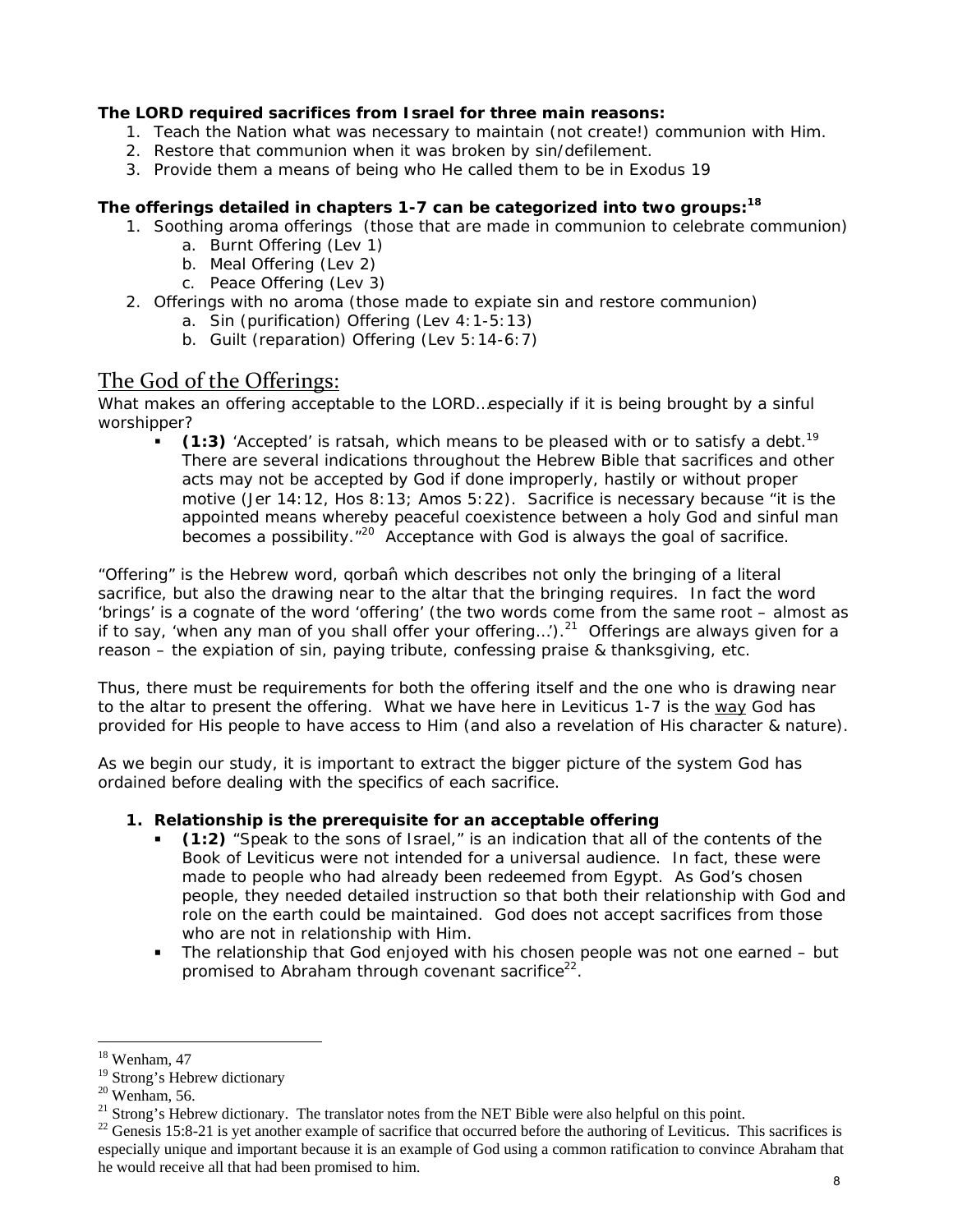#### **The LORD required sacrifices from Israel for three main reasons:**

- 1. Teach the Nation what was necessary to maintain (not create!) communion with Him.
- 2. Restore that communion when it was broken by sin/defilement.
- 3. Provide them a means of being who He called them to be in Exodus 19

#### **The offerings detailed in chapters 1-7 can be categorized into two groups:18**

- 1. Soothing aroma offerings (those that are made in communion to celebrate communion)
	- a. Burnt Offering (Lev 1)
	- b. Meal Offering (Lev 2)
	- c. Peace Offering (Lev 3)
- 2. Offerings with no aroma (those made to expiate sin and restore communion)
	- a. Sin (purification) Offering (Lev 4:1-5:13)
	- b. Guilt (reparation) Offering (Lev 5:14-6:7)

# The God of the Offerings:

What makes an offering acceptable to the LORD...especially if it is being brought by a sinful worshipper?

 **(1:3)** 'Accepted' is *ratsah*, which means to be pleased with or to satisfy a debt.19 There are several indications throughout the Hebrew Bible that sacrifices and other acts may not be accepted by God if done improperly, hastily or without proper motive (Jer 14:12, Hos 8:13; Amos 5:22). Sacrifice is necessary because "it is the appointed means whereby peaceful coexistence between a holy God and sinful man becomes a possibility.<sup>"20</sup> Acceptance with God is always the goal of sacrifice.

"Offering" is the Hebrew word, *qorba*̂*n* which describes not only the bringing of a literal sacrifice, but also the drawing near to the altar that the bringing requires. In fact the word 'brings' is a cognate of the word 'offering' (the two words come from the same root – almost as if to say, 'when any man of you shall offer your offering...').<sup>21</sup> Offerings are always given for a reason – the expiation of sin, paying tribute, confessing praise & thanksgiving, etc.

Thus, there must be requirements for both the offering itself and the one who is drawing near to the altar to present the offering. What we have here in Leviticus 1-7 is the *way* God has provided for His people to have access to Him (and also a revelation of His character & nature).

As we begin our study, it is important to extract the bigger picture of the system God has ordained before dealing with the specifics of each sacrifice.

#### **1. Relationship is the prerequisite for an acceptable offering**

- **(1:2)** "Speak to the sons of Israel," is an indication that all of the contents of the Book of Leviticus were not intended for a universal audience. In fact, these were made to people who had *already been redeemed* from Egypt. As God's chosen people, they needed detailed instruction so that both their relationship with God and role on the earth could be maintained. God does not accept sacrifices from those who are not in relationship with Him.
- The relationship that God enjoyed with his chosen people was not one earned but promised to Abraham through covenant sacrifice<sup>22</sup>.

 $18$  Wenham, 47

<sup>&</sup>lt;sup>19</sup> Strong's Hebrew dictionary

 $20$  Wenham, 56.

<sup>&</sup>lt;sup>21</sup> Strong's Hebrew dictionary. The translator notes from the NET Bible were also helpful on this point.

 $22$  Genesis 15:8-21 is yet another example of sacrifice that occurred before the authoring of Leviticus. This sacrifices is especially unique and important because it is an example of God using a common ratification to convince Abraham that he would receive all that had been promised to him.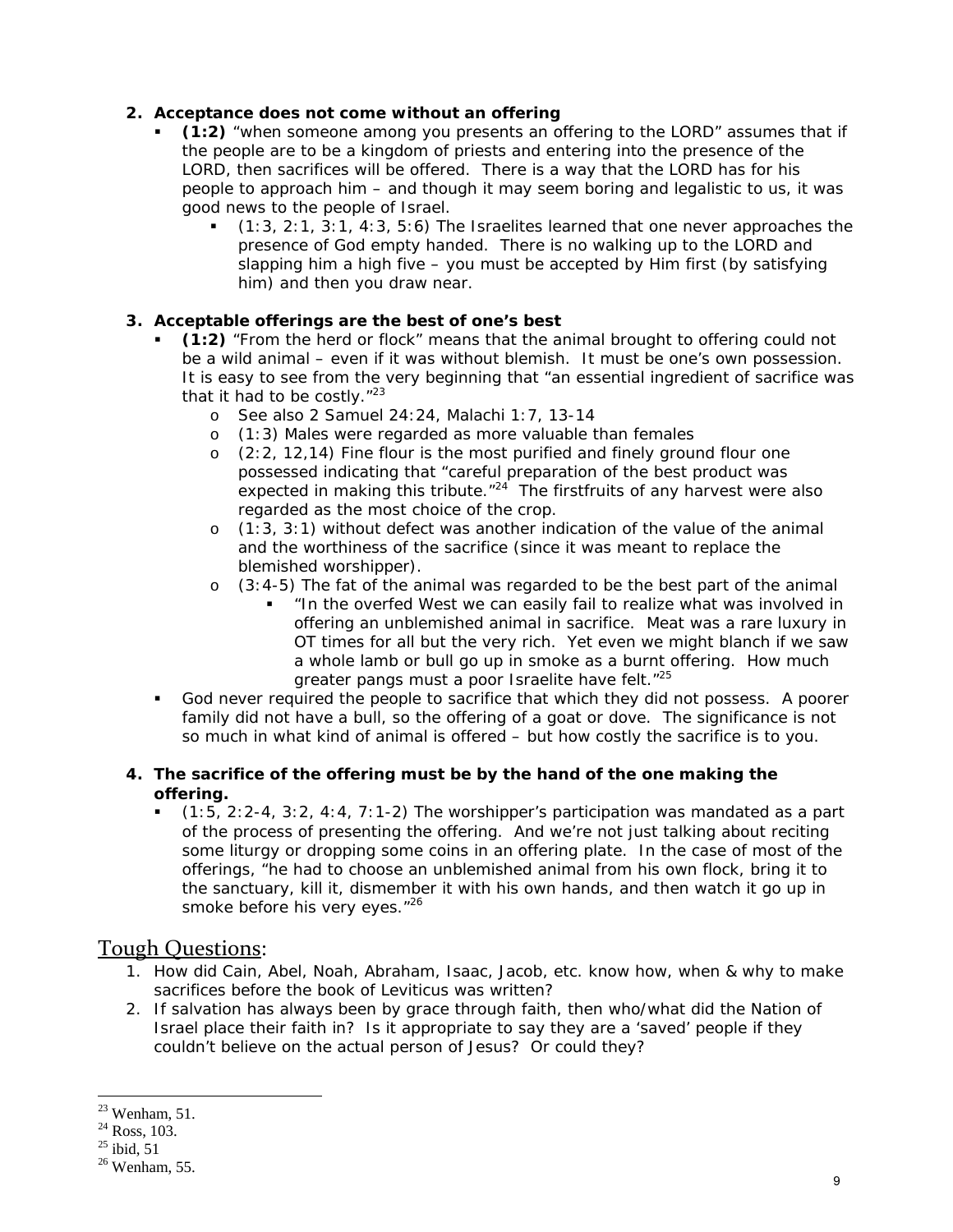#### **2. Acceptance does not come without an offering**

- **(1:2)** "when someone among you presents an offering to the LORD" assumes that if the people are to be a kingdom of priests and entering into the presence of the LORD, then sacrifices will be offered. There is a way that the LORD has for his people to approach him – and though it may seem boring and legalistic to us, it was good news to the people of Israel.
	- (1:3, 2:1, 3:1, 4:3, 5:6) The Israelites learned that one never approaches the presence of God empty handed. There is no walking up to the LORD and slapping him a high five – you must be accepted by Him first (by satisfying him) and then you draw near.

#### **3. Acceptable offerings are the best of one's best**

- **(1:2)** "From the herd or flock" means that the animal brought to offering could not be a wild animal – even if it was without blemish. It must be one's own possession. It is easy to see from the very beginning that "an essential ingredient of sacrifice was that it had to be costly."<sup>23</sup>
	- o See also 2 Samuel 24:24, Malachi 1:7, 13-14
	- o (1:3) Males were regarded as more valuable than females
	- o (2:2, 12,14) Fine flour is the most purified and finely ground flour one possessed indicating that "careful preparation of the best product was expected in making this tribute. $124$  The first fruits of any harvest were also regarded as the most choice of the crop.
	- $\circ$  (1:3, 3:1) without defect was another indication of the value of the animal and the worthiness of the sacrifice (since it was meant to replace the blemished worshipper).
	- $\circ$  (3:4-5) The fat of the animal was regarded to be the best part of the animal
		- "In the overfed West we can easily fail to realize what was involved in offering an unblemished animal in sacrifice. Meat was a rare luxury in OT times for all but the very rich. Yet even we might blanch if we saw a whole lamb or bull go up in smoke as a burnt offering. How much greater pangs must a poor Israelite have felt."<sup>25</sup>
- God never required the people to sacrifice that which they did not possess. A poorer family did not have a bull, so the offering of a goat or dove. The significance is not so much in what kind of animal is offered – but how costly the sacrifice is to you.

#### **4. The sacrifice of the offering must be by the hand of the one making the offering.**

 $(1:5, 2:2-4, 3:2, 4:4, 7:1-2)$  The worshipper's participation was mandated as a part of the process of presenting the offering. And we're not just talking about reciting some liturgy or dropping some coins in an *offering* plate. In the case of most of the offerings, "he had to choose an unblemished animal from his own flock, bring it to the sanctuary, kill it, dismember it with his own hands, and then watch it go up in smoke before his very eyes."<sup>26</sup>

#### Tough Questions:

- 1. How did Cain, Abel, Noah, Abraham, Isaac, Jacob, etc. know how, when & why to make sacrifices *before* the book of Leviticus was written?
- 2. If salvation has always been by grace through faith, then who/what did the Nation of Israel place their faith in? Is it appropriate to say they are a 'saved' people if they couldn't believe on the actual person of Jesus? Or could they?

 $23$  Wenham, 51.

 $^{24}$  Ross, 103.

 $^{25}$  ibid, 51

 $26$  Wenham, 55.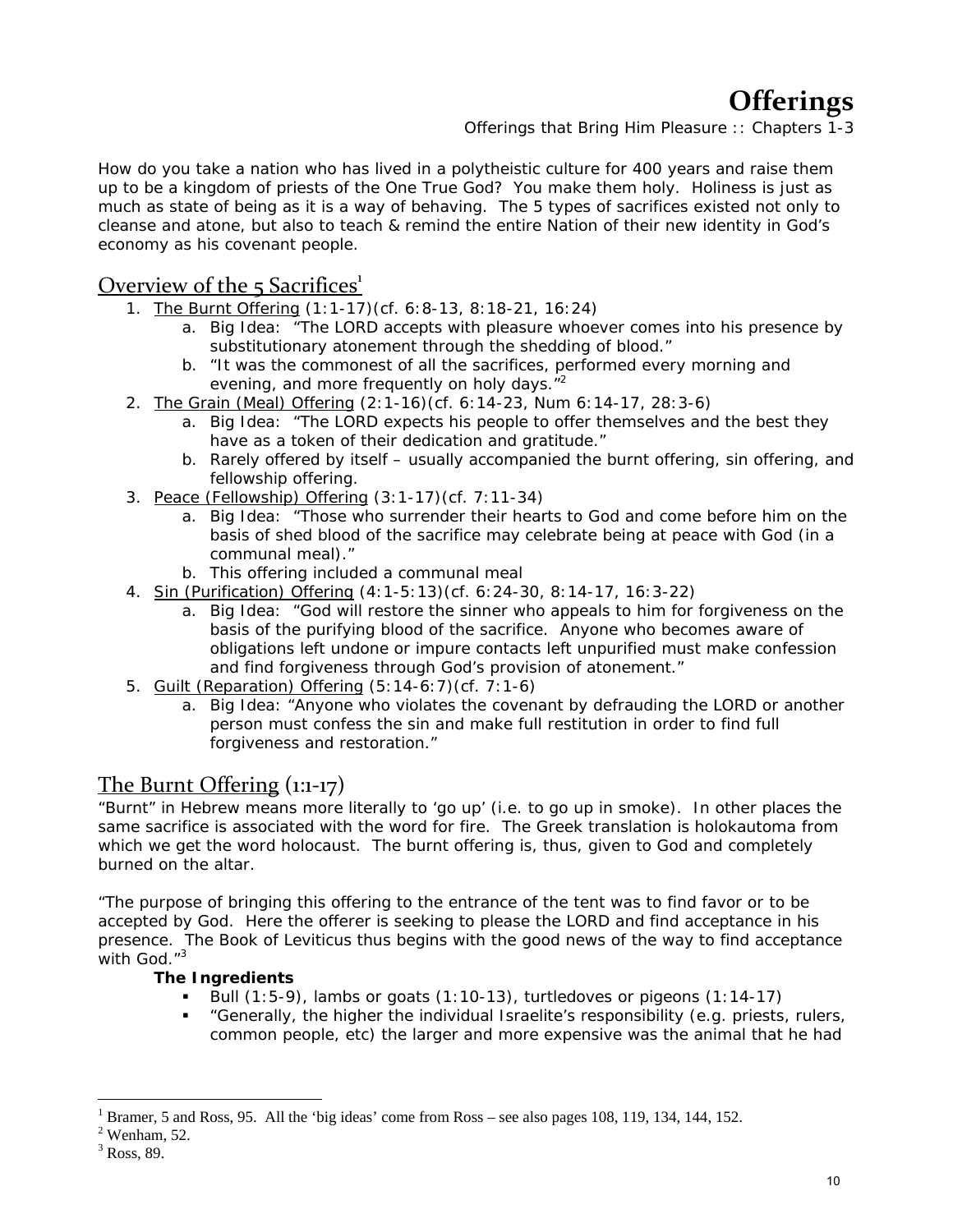# **Offerings**

*Offerings that Bring Him Pleasure :: Chapters 1-3*

How do you take a nation who has lived in a polytheistic culture for 400 years and raise them up to be a kingdom of priests of the One True God? You make them holy. Holiness is just as much as state of being as it is a way of behaving. The 5 types of sacrifices existed not only to cleanse and atone, but also to teach & remind the entire Nation of their new identity in God's economy as his covenant people.

# Overview of the  $5$  Sacrifices<sup>1</sup>

- 1. The Burnt Offering (1:1-17)(cf. 6:8-13, 8:18-21, 16:24)
	- a. Big Idea: "The LORD accepts with pleasure whoever comes into his presence by substitutionary atonement through the shedding of blood."
	- b. "It was the commonest of all the sacrifices, performed every morning and evening, and more frequently on holy days."<sup>2</sup>
- 2. The Grain (Meal) Offering (2:1-16)(cf. 6:14-23, Num 6:14-17, 28:3-6)
	- a. Big Idea: "The LORD expects his people to offer themselves and the best they have as a token of their dedication and gratitude."
	- b. Rarely offered by itself usually accompanied the burnt offering, sin offering, and fellowship offering.
- 3. Peace (Fellowship) Offering (3:1-17)(cf. 7:11-34)
	- a. Big Idea: "Those who surrender their hearts to God and come before him on the basis of shed blood of the sacrifice may celebrate being at peace with God (in a communal meal)."
	- b. This offering included a communal meal
- 4. Sin (Purification) Offering (4:1-5:13)(cf. 6:24-30, 8:14-17, 16:3-22)
	- a. Big Idea: "God will restore the sinner who appeals to him for forgiveness on the basis of the purifying blood of the sacrifice. Anyone who becomes aware of obligations left undone or impure contacts left unpurified must make confession and find forgiveness through God's provision of atonement."
- 5. Guilt (Reparation) Offering (5:14-6:7)(cf. 7:1-6)
	- a. Big Idea: "Anyone who violates the covenant by defrauding the LORD or another person must confess the sin and make full restitution in order to find full forgiveness and restoration."

## The Burnt Offering (1:1‐17)

"Burnt" in Hebrew means more literally to 'go up' (i.e. to go up in smoke). In other places the same sacrifice is associated with the word for fire. The Greek translation is *holokautoma* from which we get the word holocaust. The burnt offering is, thus, given to God and completely burned on the altar.

"The purpose of bringing this offering to the entrance of the tent was to find favor or to be accepted by God. Here the offerer is seeking to please the LORD and find acceptance in his presence. The Book of Leviticus thus begins with the good news of the way to find acceptance with God."<sup>3</sup>

#### **The Ingredients**

- Bull  $(1:5-9)$ , lambs or goats  $(1:10-13)$ , turtledoves or pigeons  $(1:14-17)$
- "Generally, the higher the individual Israelite's responsibility (e.g. priests, rulers, common people, etc) the larger and more expensive was the animal that he had

<sup>1</sup> Bramer, 5 and Ross, 95. All the 'big ideas' come from Ross – see also pages 108, 119, 134, 144, 152.

 $<sup>2</sup>$  Wenham, 52.</sup>

 $3$  Ross, 89.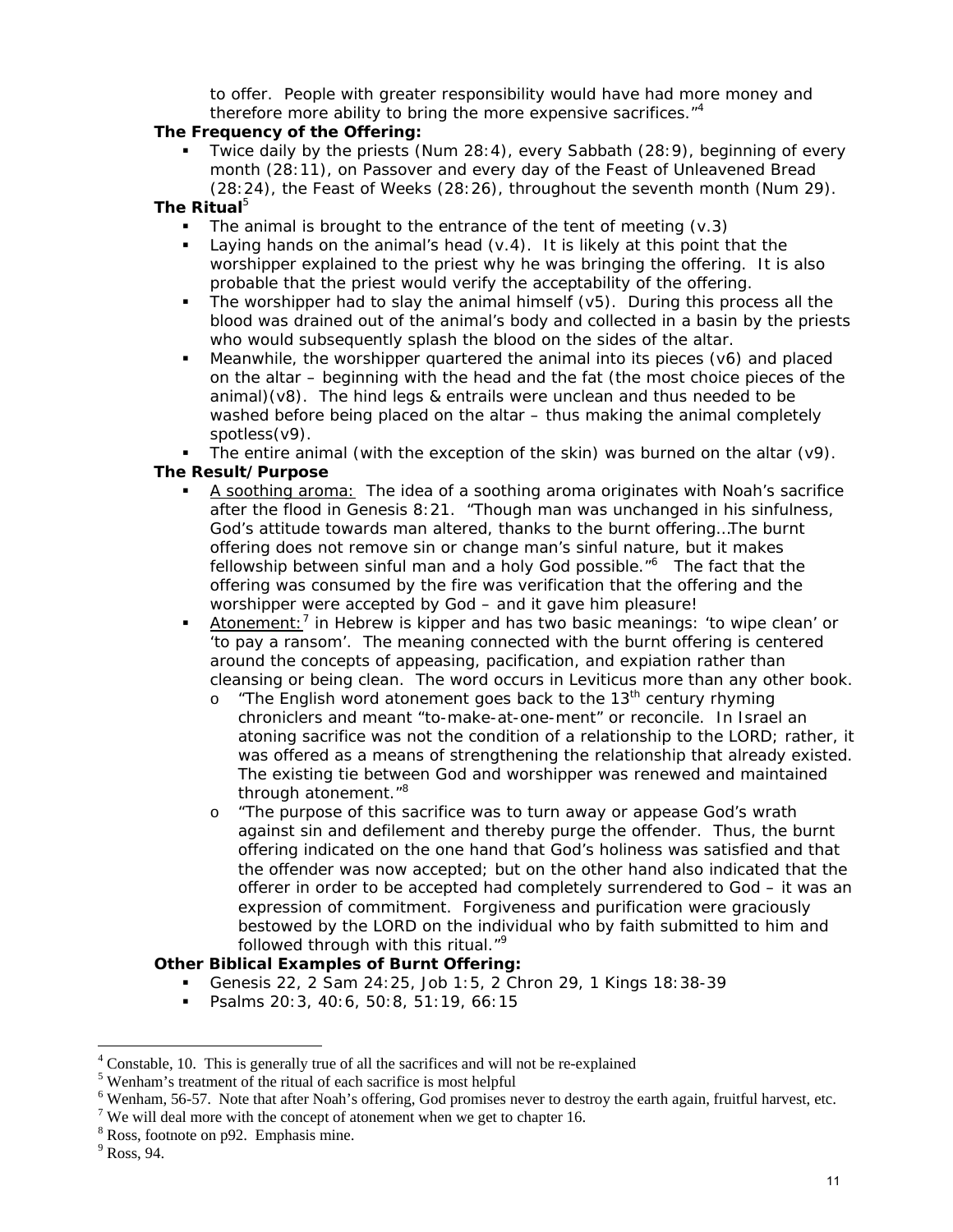to offer. People with greater responsibility would have had more money and therefore more ability to bring the more expensive sacrifices.<sup>"4</sup>

#### **The Frequency of the Offering:**

 Twice daily by the priests (Num 28:4), every Sabbath (28:9), beginning of every month (28:11), on Passover and every day of the Feast of Unleavened Bread (28:24), the Feast of Weeks (28:26), throughout the seventh month (Num 29).

#### **The Ritual**<sup>5</sup>

- The animal is brought to the entrance of the tent of meeting (v.3)
- Laying hands on the animal's head (v.4). It is likely at this point that the worshipper explained to the priest why he was bringing the offering. It is also probable that the priest would verify the acceptability of the offering.
- The worshipper had to slay the animal himself  $(v5)$ . During this process all the blood was drained out of the animal's body and collected in a basin by the priests who would subsequently splash the blood on the sides of the altar.
- Meanwhile, the worshipper quartered the animal into its pieces (v6) and placed on the altar – beginning with the head and the fat (the most choice pieces of the animal)(v8). The hind legs & entrails were unclean and thus needed to be washed before being placed on the altar – thus making the animal completely spotless(v9).
- The entire animal (with the exception of the skin) was burned on the altar  $(v9)$ .

#### **The Result/Purpose**

- A soothing aroma: The idea of a soothing aroma originates with Noah's sacrifice after the flood in Genesis 8:21. "Though man was unchanged in his sinfulness, God's attitude towards man altered, thanks to the burnt offering…The burnt offering does not remove sin or change man's sinful nature, but it makes fellowship between sinful man and a holy God possible."<sup>6</sup> The fact that the offering was consumed by the fire was verification that the offering and the worshipper were accepted by God – *and it gave him pleasure!*
- **Atonement:**<sup>7</sup> in Hebrew is *kipper* and has two basic meanings: 'to wipe clean' or 'to pay a ransom'. The meaning connected with the burnt offering is centered around the concepts of appeasing, pacification, and expiation rather than cleansing or being clean. The word occurs in Leviticus more than any other book.
	- $\circ$  "The English word atonement goes back to the 13<sup>th</sup> century rhyming chroniclers and meant "to-make-at-one-ment" or reconcile. In Israel an atoning sacrifice was not the condition of a relationship to the LORD; rather, it was offered as a means of *strengthening the relationship that already existed.* The existing tie between God and worshipper was renewed and maintained through atonement."<sup>8</sup>
	- o "The purpose of this sacrifice was to turn away or appease God's wrath against sin and defilement and thereby purge the offender. Thus, the burnt offering indicated on the one hand that God's holiness was satisfied and that the offender was now accepted; but on the other hand also indicated that the offerer in order to be accepted had completely surrendered to God – it was an expression of commitment. Forgiveness and purification were graciously bestowed by the LORD on the individual who by faith submitted to him and followed through with this ritual."<sup>9</sup>

#### **Other Biblical Examples of Burnt Offering:**

- Genesis 22, 2 Sam 24:25, Job 1:5, 2 Chron 29, 1 Kings 18:38-39
- Psalms 20:3, 40:6, 50:8, 51:19, 66:15

<sup>&</sup>lt;sup>4</sup> Constable, 10. This is generally true of all the sacrifices and will not be re-explained  $\frac{5 \text{ W} \text{m}}{2}$  treatment of the ritual of each sacrifice is most helpful.

Wenham's treatment of the ritual of each sacrifice is most helpful

 $6$  Wenham, 56-57. Note that after Noah's offering, God promises never to destroy the earth again, fruitful harvest, etc.

<sup>&</sup>lt;sup>7</sup> We will deal more with the concept of atonement when we get to chapter 16.

<sup>8</sup> Ross, footnote on p92. Emphasis mine.

 $<sup>9</sup>$  Ross, 94.</sup>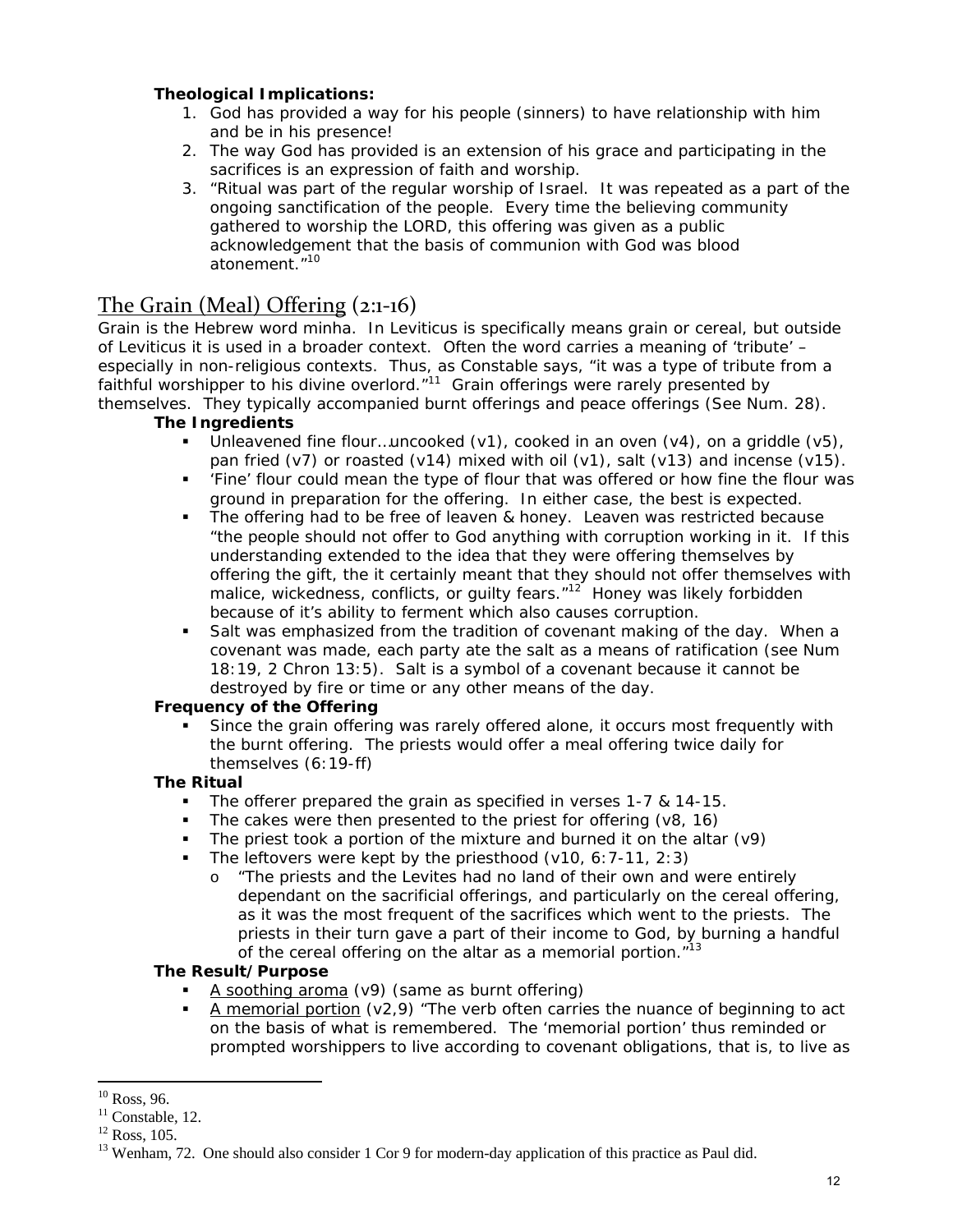#### **Theological Implications:**

- 1. God has provided a way for his people (sinners) to have relationship with him and be in his presence!
- 2. The way God has provided is an extension of his grace and participating in the sacrifices is an expression of faith and worship.
- 3. "Ritual was part of the regular worship of Israel. It was repeated as a part of the ongoing sanctification of the people. Every time the believing community gathered to worship the LORD, this offering was given as a public acknowledgement that the basis of communion with God was blood atonement."10

### The Grain (Meal) Offering (2:1‐16)

Grain is the Hebrew word *minha*. In Leviticus is specifically means grain or cereal, but outside of Leviticus it is used in a broader context. Often the word carries a meaning of 'tribute' – especially in non-religious contexts. Thus, as Constable says, "it was a type of tribute from a faithful worshipper to his divine overlord. $11$  Grain offerings were rarely presented by themselves. They typically accompanied burnt offerings and peace offerings (See Num. 28).

#### **The Ingredients**

- Unleavened fine flour…uncooked (v1), cooked in an oven (v4), on a griddle (v5), pan fried (v7) or roasted (v14) mixed with oil (v1), salt (v13) and incense (v15).
- 'Fine' flour could mean the type of flour that was offered or how fine the flour was ground in preparation for the offering. In either case, the best is expected.
- The offering had to be free of leaven & honey. Leaven was restricted because "the people should not offer to God anything with corruption working in it. If this understanding extended to the idea that they were offering themselves by offering the gift, the it certainly meant that they should not offer themselves with malice, wickedness, conflicts, or quilty fears."<sup>12</sup> Honey was likely forbidden because of it's ability to ferment which also causes corruption.
- Salt was emphasized from the tradition of covenant making of the day. When a covenant was made, each party ate the salt as a means of ratification (see Num 18:19, 2 Chron 13:5). Salt is a symbol of a covenant because it cannot be destroyed by fire or time or any other means of the day.

#### **Frequency of the Offering**

 Since the grain offering was rarely offered alone, it occurs most frequently with the burnt offering. The priests would offer a meal offering twice daily for themselves (6:19-ff)

#### **The Ritual**

- The offerer prepared the grain as specified in verses 1-7 & 14-15.
- The cakes were then presented to the priest for offering (v8, 16)
- The priest took a portion of the mixture and burned it on the altar (v9)
- The leftovers were kept by the priesthood  $(v10, 6:7-11, 2:3)$ 
	- o "The priests and the Levites had no land of their own and were entirely dependant on the sacrificial offerings, and particularly on the cereal offering, as it was the most frequent of the sacrifices which went to the priests. The priests in their turn gave a part of their income to God, by burning a handful of the cereal offering on the altar as a memorial portion."<sup>13</sup>

#### **The Result/Purpose**

- A soothing aroma (v9) (same as burnt offering)
- A memorial portion ( $v2.9$ ) "The verb often carries the nuance of beginning to act on the basis of what is remembered. The 'memorial portion' thus reminded or prompted worshippers to live according to covenant obligations, that is, to live as

 $10$  Ross, 96.

 $11$  Constable, 12.

 $12$  Ross, 105.

<sup>&</sup>lt;sup>13</sup> Wenham, 72. One should also consider 1 Cor 9 for modern-day application of this practice as Paul did.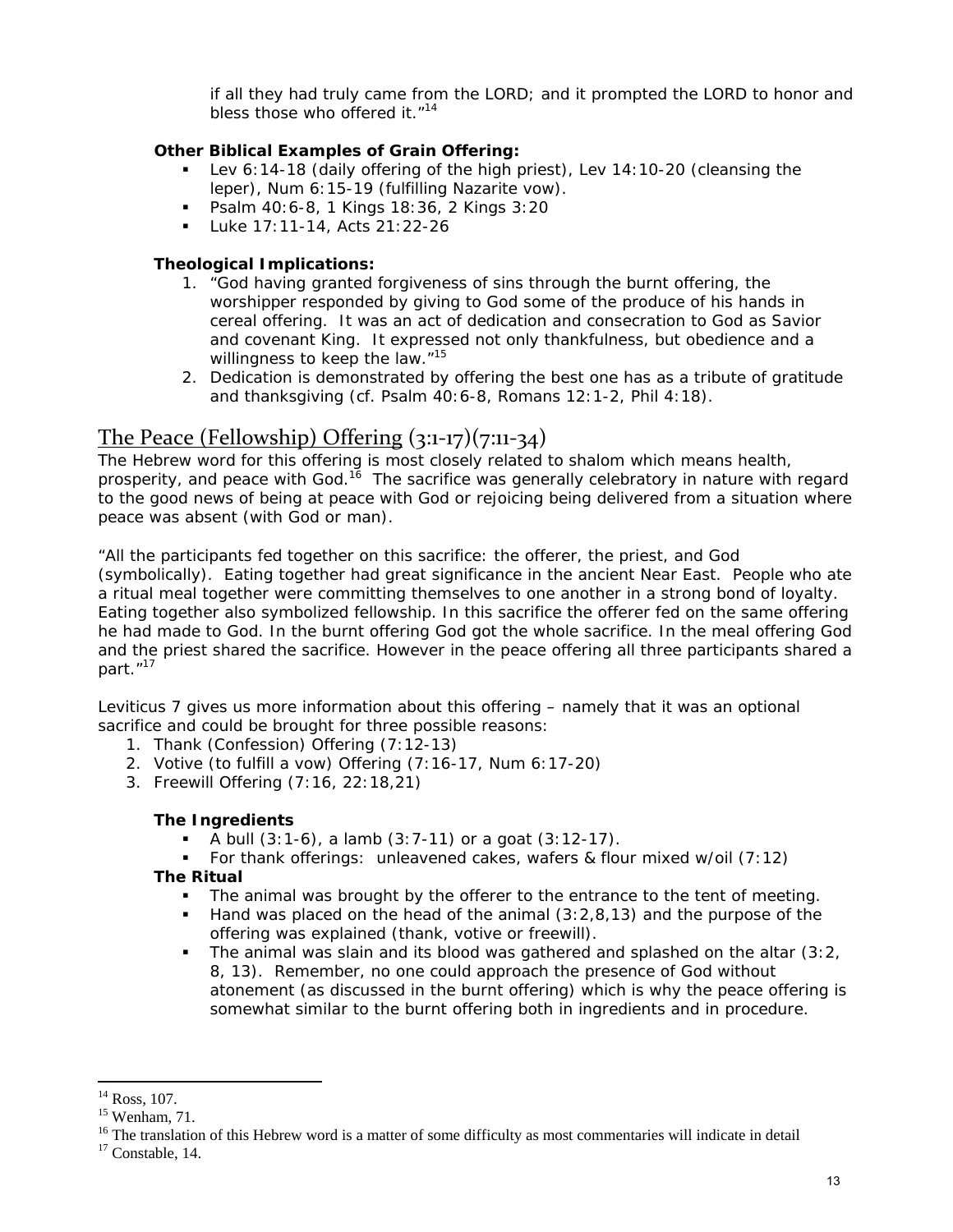if all they had truly came from the LORD; and it prompted the LORD to honor and bless those who offered it."<sup>14</sup>

#### **Other Biblical Examples of Grain Offering:**

- Lev 6:14-18 (daily offering of the high priest), Lev 14:10-20 (cleansing the leper), Num 6:15-19 (fulfilling Nazarite vow).
- Psalm 40:6-8, 1 Kings 18:36, 2 Kings 3:20
- Luke 17:11-14, Acts 21:22-26

#### **Theological Implications:**

- 1. "God having granted forgiveness of sins through the burnt offering, the worshipper responded by giving to God some of the produce of his hands in cereal offering. It was an act of dedication and consecration to God as Savior and covenant King. It expressed not only thankfulness, but obedience and a willingness to keep the law."<sup>15</sup>
- 2. Dedication is demonstrated by offering the best one has as a tribute of gratitude and thanksgiving (cf. Psalm 40:6-8, Romans 12:1-2, Phil 4:18).

# The Peace (Fellowship) Offering  $(3:1-17)(7:11-34)$

The Hebrew word for this offering is most closely related to *shalom* which means health, prosperity, and peace with God.<sup>16</sup> The sacrifice was generally celebratory in nature with regard to the good news of being at peace with God or rejoicing being delivered from a situation where peace was absent (with God or man).

"All the participants fed together on this sacrifice: the offerer, the priest, and God (symbolically). Eating together had great significance in the ancient Near East. People who ate a ritual meal together were committing themselves to one another in a strong bond of loyalty. Eating together also symbolized fellowship. In this sacrifice the offerer fed on the same offering he had made to God. In the burnt offering God got the whole sacrifice. In the meal offering God and the priest shared the sacrifice. However in the peace offering all three participants shared a part."<sup>17</sup>

Leviticus 7 gives us more information about this offering – namely that it was an optional sacrifice and could be brought for three possible reasons:

- 1. Thank (Confession) Offering (7:12-13)
- 2. Votive (to fulfill a vow) Offering (7:16-17, Num 6:17-20)
- 3. Freewill Offering (7:16, 22:18,21)

#### **The Ingredients**

- A bull (3:1-6), a lamb (3:7-11) or a goat (3:12-17).
- For thank offerings: unleavened cakes, wafers & flour mixed w/oil (7:12)

#### **The Ritual**

- The animal was brought by the offerer to the entrance to the tent of meeting.
- Hand was placed on the head of the animal (3:2,8,13) and the purpose of the offering was explained (thank, votive or freewill).
- The animal was slain and its blood was gathered and splashed on the altar  $(3:2)$ 8, 13). Remember, no one could approach the presence of God without atonement (as discussed in the burnt offering) which is why the peace offering is somewhat similar to the burnt offering both in ingredients and in procedure.

<sup>&</sup>lt;sup>14</sup> Ross, 107.

<sup>15</sup> Wenham, 71.

<sup>&</sup>lt;sup>16</sup> The translation of this Hebrew word is a matter of some difficulty as most commentaries will indicate in detail  $17$  Constable, 14.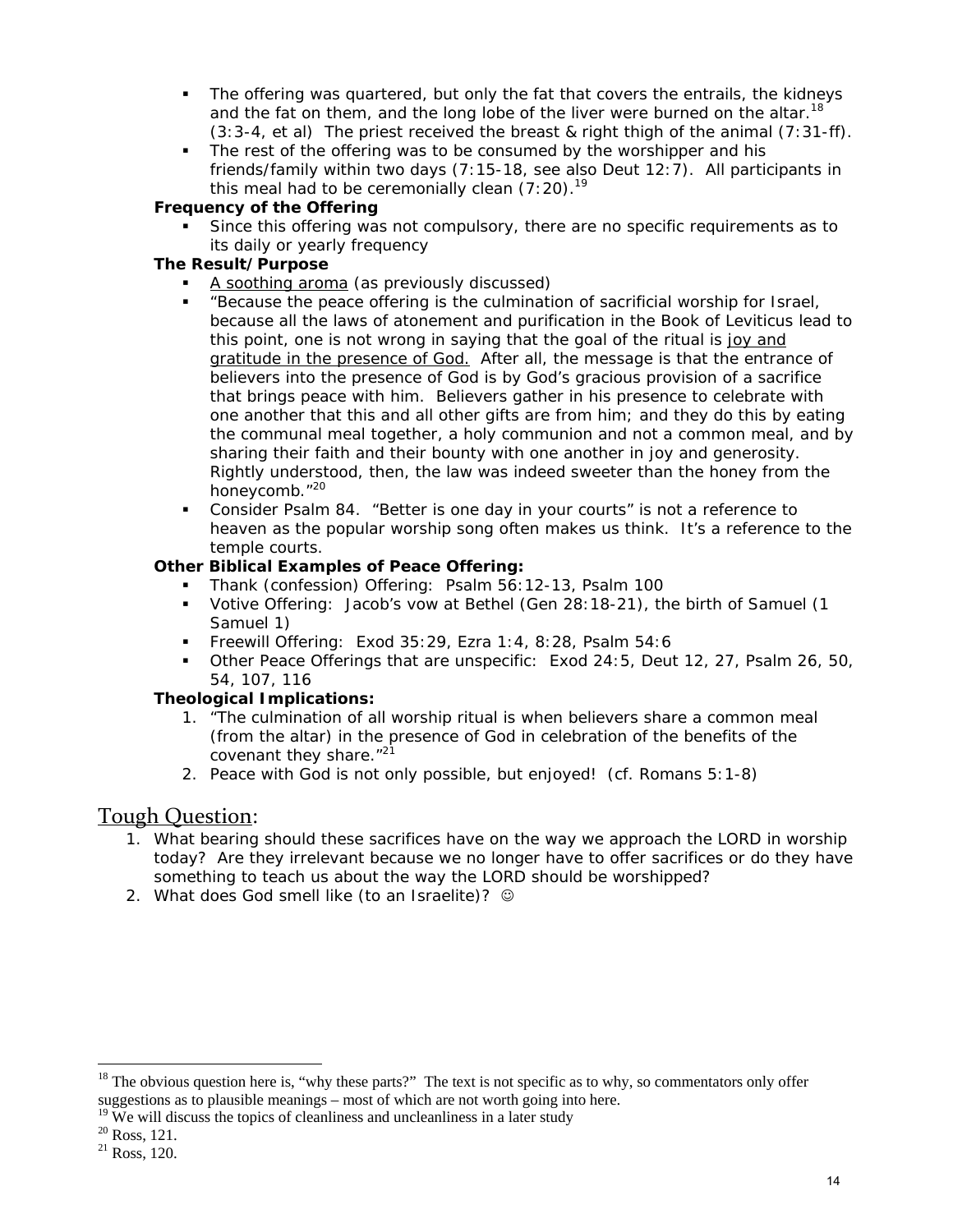- The offering was quartered, but only the fat that covers the entrails, the kidneys and the fat on them, and the long lobe of the liver were burned on the altar.<sup>18</sup>  $(3:3-4, et al)$  The priest received the breast & right thigh of the animal  $(7:31-ff)$ .
- The rest of the offering was to be consumed by the worshipper and his friends/family within two days (7:15-18, see also Deut 12:7). All participants in this meal had to be ceremonially clean  $(7:20).<sup>19</sup>$

#### **Frequency of the Offering**

 Since this offering was not compulsory, there are no specific requirements as to its daily or yearly frequency

#### **The Result/Purpose**

- A soothing aroma (as previously discussed)
- "Because the peace offering is the culmination of sacrificial worship for Israel, because all the laws of atonement and purification in the Book of Leviticus lead to this point, one is not wrong in saying that the goal of the ritual is joy and gratitude in the presence of God. After all, the message is that the entrance of believers into the presence of God is by God's gracious provision of a sacrifice that brings peace with him. Believers gather in his presence to celebrate with one another that this and all other gifts are from him; and they do this by eating the communal meal together, a holy communion and not a common meal, and by sharing their faith and their bounty with one another in joy and generosity. Rightly understood, then, the law was indeed sweeter than the honey from the honeycomb."20
- Consider Psalm 84. "Better is one day in your courts" is not a reference to heaven as the popular worship song often makes us think. It's a reference to the temple courts.

#### **Other Biblical Examples of Peace Offering:**

- Thank (confession) Offering: Psalm 56:12-13, Psalm 100
- Votive Offering: Jacob's vow at Bethel (Gen 28:18-21), the birth of Samuel (1 Samuel 1)
- Freewill Offering: Exod 35:29, Ezra 1:4, 8:28, Psalm 54:6
- Other Peace Offerings that are unspecific: Exod 24:5, Deut 12, 27, Psalm 26, 50, 54, 107, 116

#### **Theological Implications:**

- 1. "The culmination of all worship ritual is when believers share a common meal (from the altar) in the presence of God in celebration of the benefits of the covenant they share."<sup>21</sup>
- 2. Peace with God is not only possible, but enjoyed! (cf. Romans 5:1-8)

### Tough Question:

- 1. What bearing should these sacrifices have on the way we approach the LORD in worship today? Are they irrelevant because we no longer have to offer sacrifices or do they have something to teach us about the way the LORD should be worshipped?
- 2. What does God smell like (to an Israelite)?  $\odot$

 $18$  The obvious question here is, "why these parts?" The text is not specific as to why, so commentators only offer suggestions as to plausible meanings – most of which are not worth going into here.

 $19$  We will discuss the topics of cleanliness and uncleanliness in a later study

<sup>20</sup> Ross, 121.

<sup>21</sup> Ross, 120.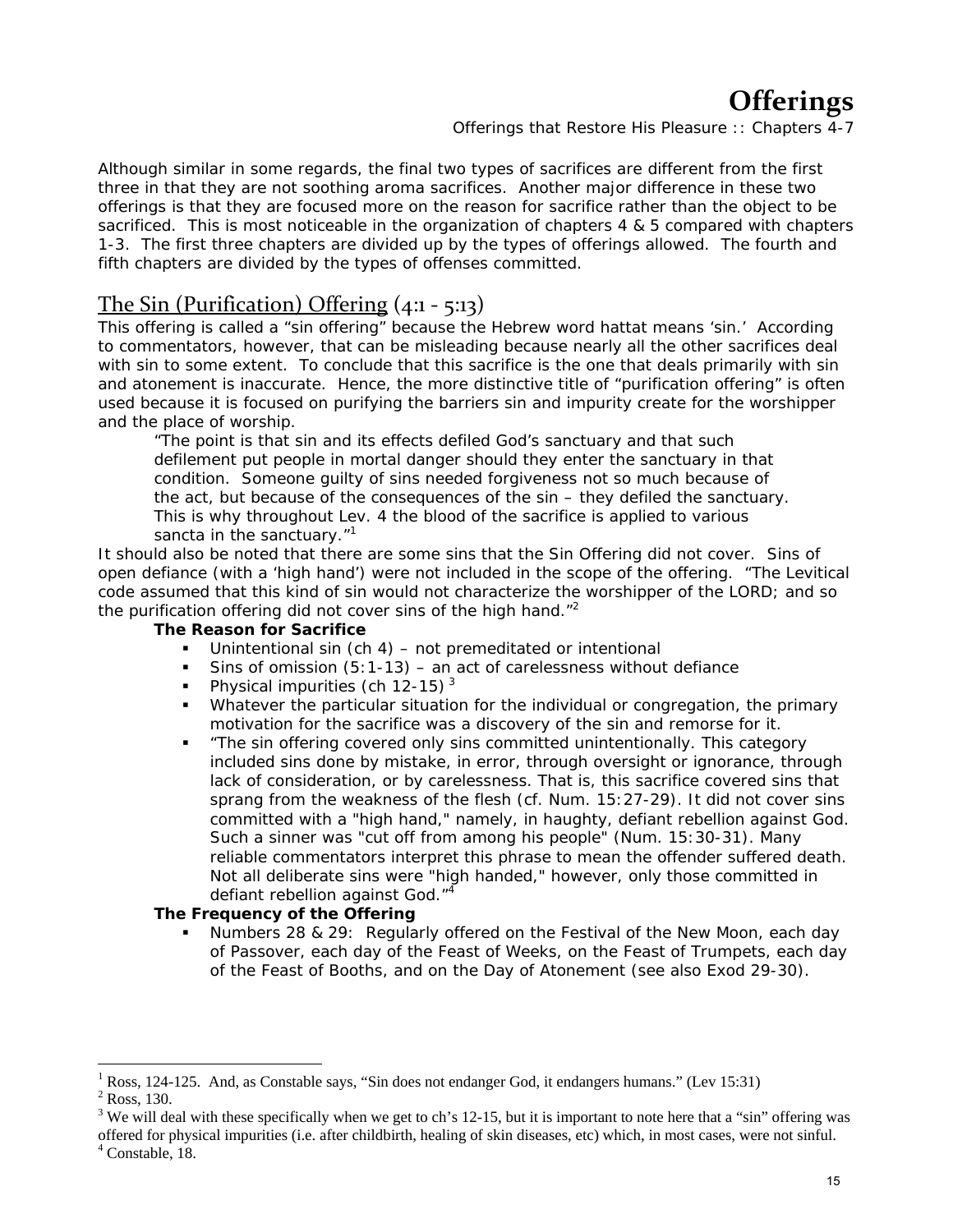# **Offerings**

*Offerings that Restore His Pleasure :: Chapters 4-7*

Although similar in some regards, the final two types of sacrifices are different from the first three in that they are not soothing aroma sacrifices. Another major difference in these two offerings is that they are focused more on the reason for sacrifice rather than the object to be sacrificed. This is most noticeable in the organization of chapters 4 & 5 compared with chapters 1-3. The first three chapters are divided up by the types of offerings allowed. The fourth and fifth chapters are divided by the types of offenses committed.

## The Sin (Purification) Offering (4:1 ‐ 5:13)

This offering is called a "sin offering" because the Hebrew word *hattat* means 'sin.' According to commentators, however, that can be misleading because nearly all the other sacrifices deal with sin to some extent. To conclude that this sacrifice is the one that deals primarily with sin and atonement is inaccurate. Hence, the more distinctive title of "purification offering" is often used because it is focused on purifying the barriers sin and impurity create for the worshipper and the place of worship.

"The point is that sin and its effects defiled God's sanctuary and that such defilement put people in mortal danger should they enter the sanctuary in that condition. Someone guilty of sins needed forgiveness not so much because of the act, but because of the consequences of the sin – they defiled the sanctuary. This is why throughout Lev. 4 the blood of the sacrifice is applied to various sancta in the sanctuary."<sup>1</sup>

It should also be noted that there are some sins that the Sin Offering did not cover. Sins of open defiance (with a 'high hand') were not included in the scope of the offering. "The Levitical code assumed that this kind of sin would not characterize the worshipper of the LORD; and so the purification offering did not cover sins of the high hand."<sup>2</sup>

#### **The Reason for Sacrifice**

- Unintentional sin (ch 4) not premeditated or intentional
- Sins of omission  $(5:1-13)$  an act of carelessness without defiance
- Physical impurities (ch 12-15)<sup>3</sup>
- Whatever the particular situation for the individual or congregation, the primary motivation for the sacrifice was a discovery of the sin and remorse for it.
- "The sin offering covered only sins committed unintentionally. This category included sins done by mistake, in error, through oversight or ignorance, through lack of consideration, or by carelessness. That is, this sacrifice covered sins that sprang from the weakness of the flesh (cf. Num. 15:27-29). It did not cover sins committed with a "high hand," namely, in haughty, defiant rebellion against God. Such a sinner was "cut off from among his people" (Num. 15:30-31). Many reliable commentators interpret this phrase to mean the offender suffered death. Not all deliberate sins were "high handed," however, only those committed in defiant rebellion against God."<sup>4</sup>

#### **The Frequency of the Offering**

 Numbers 28 & 29: Regularly offered on the Festival of the New Moon, each day of Passover, each day of the Feast of Weeks, on the Feast of Trumpets, each day of the Feast of Booths, and on the Day of Atonement (see also Exod 29-30).

<sup>1</sup> Ross, 124-125. And, as Constable says, "Sin does not endanger God, it endangers humans." (Lev 15:31)

 $2$  Ross, 130.

<sup>&</sup>lt;sup>3</sup> We will deal with these specifically when we get to ch's 12-15, but it is important to note here that a "sin" offering was

offered for physical impurities (i.e. after childbirth, healing of skin diseases, etc) which, in most cases, were not sinful. 4 Constable, 18.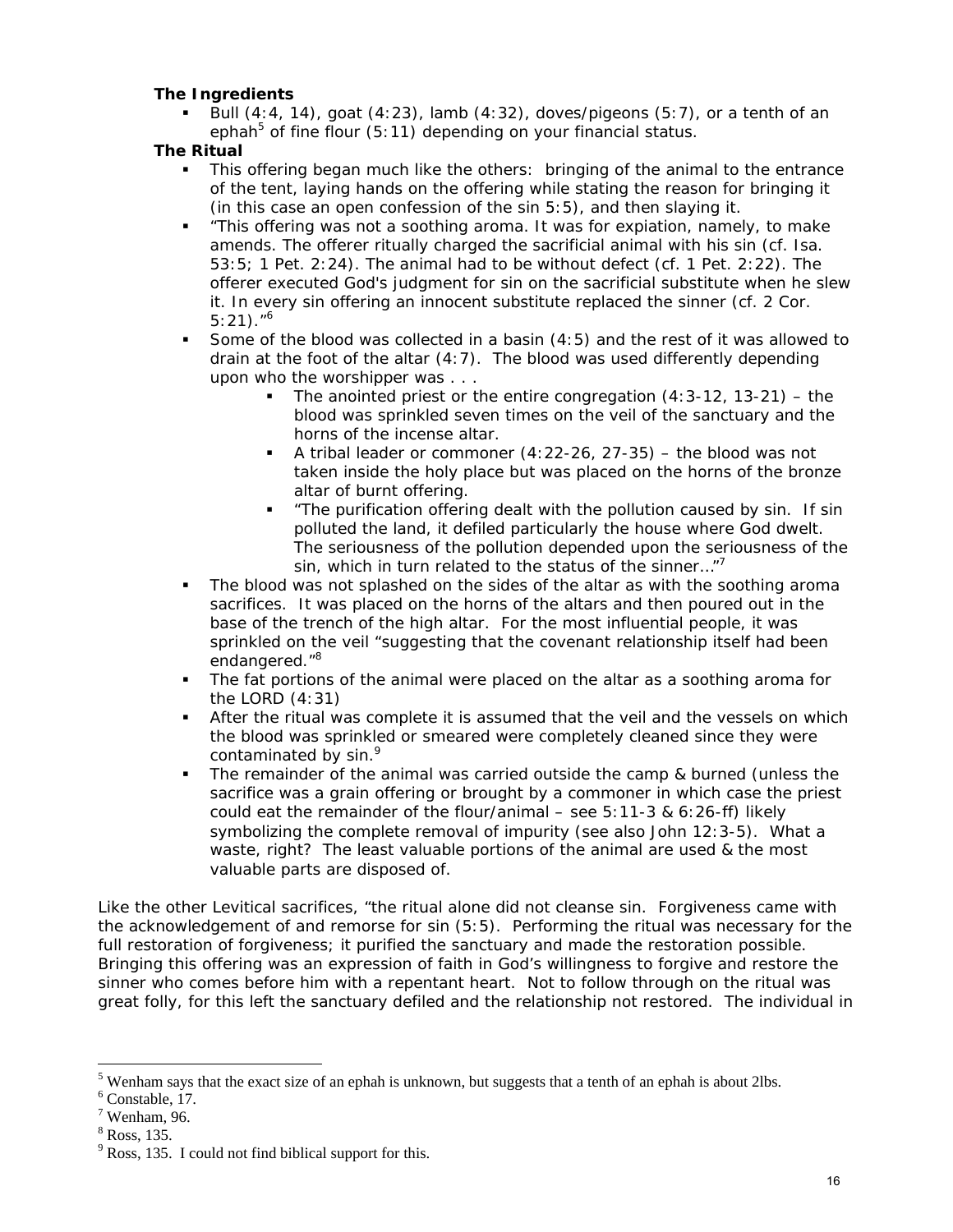#### **The Ingredients**

 Bull (4:4, 14), goat (4:23), lamb (4:32), doves/pigeons (5:7), or a tenth of an ephah<sup>5</sup> of fine flour (5:11) depending on your financial status.

#### **The Ritual**

- This offering began much like the others: bringing of the animal to the entrance of the tent, laying hands on the offering while stating the reason for bringing it (in this case an open confession of the sin 5:5), and then slaying it.
- "This offering was not a soothing aroma. It was for expiation, namely, to make amends. The offerer ritually charged the sacrificial animal with his sin (cf. Isa. 53:5; 1 Pet. 2:24). The animal had to be without defect (cf. 1 Pet. 2:22). The offerer executed God's judgment for sin on the sacrificial substitute when he slew it. In every sin offering an innocent substitute replaced the sinner (cf. 2 Cor.  $5:21$ )."<sup>6</sup>
- Some of the blood was collected in a basin (4:5) and the rest of it was allowed to drain at the foot of the altar (4:7). The blood was used differently depending upon who the worshipper was . . .
	- The anointed priest or the entire congregation  $(4:3-12, 13-21)$  the blood was sprinkled seven times on the veil of the sanctuary and the horns of the incense altar.
	- A tribal leader or commoner  $(4:22-26, 27-35)$  the blood was not taken inside the holy place but was placed on the horns of the bronze altar of burnt offering.
	- "The purification offering dealt with the pollution caused by sin. If sin polluted the land, it defiled particularly the house where God dwelt. The seriousness of the pollution depended upon the seriousness of the sin, which in turn related to the status of the sinner..."<sup>7</sup>
- The blood was not splashed on the sides of the altar as with the soothing aroma sacrifices. It was placed on the horns of the altars and then poured out in the base of the trench of the high altar. For the most influential people, it was sprinkled on the veil "suggesting that the covenant relationship itself had been endangered."<sup>8</sup>
- The fat portions of the animal were placed on the altar as a soothing aroma for the LORD (4:31)
- After the ritual was complete it is assumed that the veil and the vessels on which the blood was sprinkled or smeared were completely cleaned since they were contaminated by sin.<sup>9</sup>
- **The remainder of the animal was carried outside the camp & burned (unless the** sacrifice was a grain offering or brought by a commoner in which case the priest could eat the remainder of the flour/animal – see 5:11-3 & 6:26-ff) likely symbolizing the complete removal of impurity (see also John 12:3-5). What a waste, right? The least valuable portions of the animal are used & the most valuable parts are disposed of.

Like the other Levitical sacrifices, "the ritual alone did not cleanse sin. Forgiveness came with the acknowledgement of and remorse for sin (5:5). Performing the ritual was necessary for the full restoration of forgiveness; it purified the sanctuary and made the restoration possible. Bringing this offering was an expression of faith in God's willingness to forgive and restore the sinner who comes before him with a repentant heart. Not to follow through on the ritual was great folly, for this left the sanctuary defiled and the relationship not restored. The individual in

 $<sup>5</sup>$  Wenham says that the exact size of an ephah is unknown, but suggests that a tenth of an ephah is about 2lbs.</sup>

 $6$  Constable, 17.

 $7$  Wenham, 96.

<sup>8</sup> Ross, 135.

 $9^9$  Ross, 135. I could not find biblical support for this.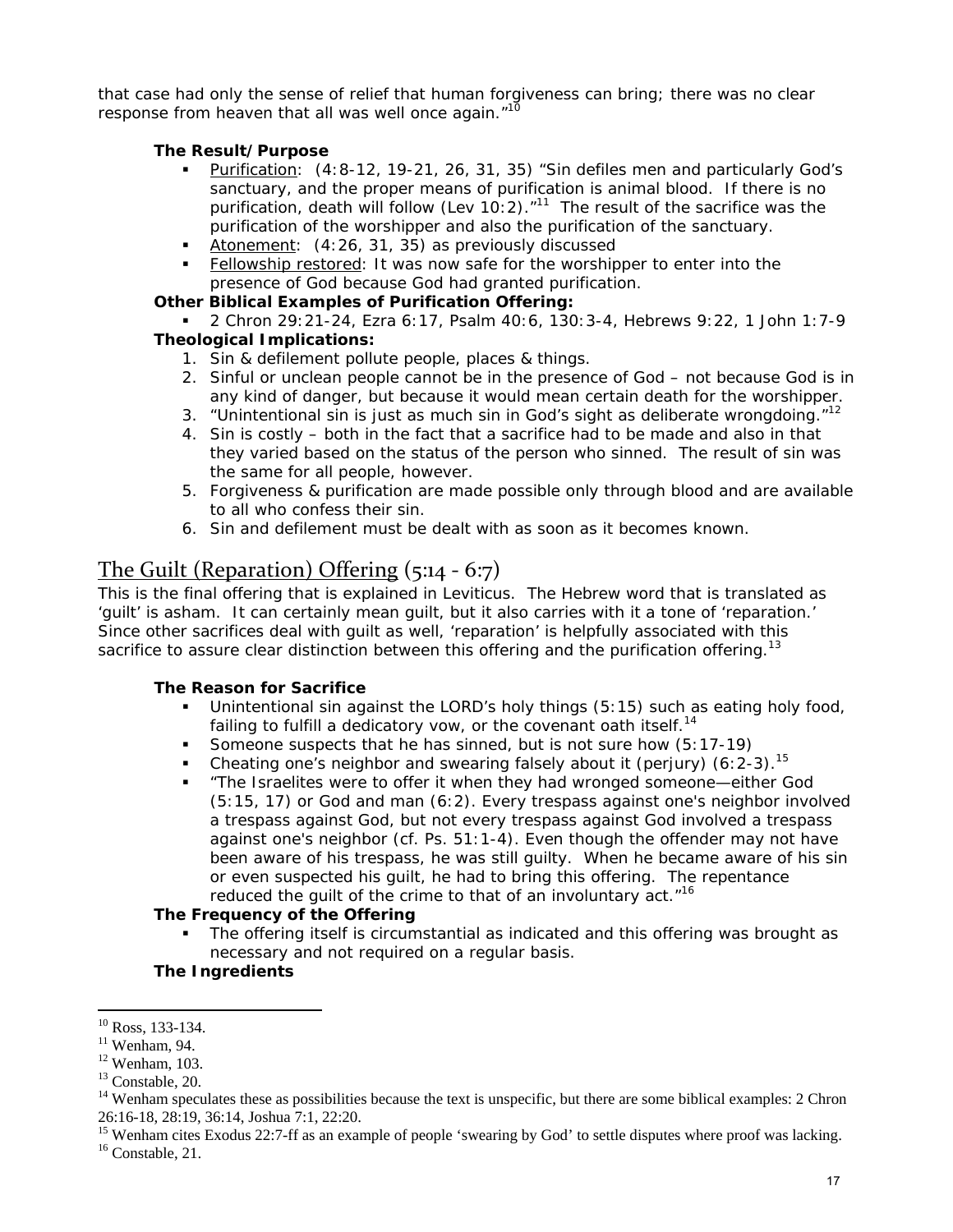that case had only the sense of relief that human forgiveness can bring; there was no clear response from heaven that all was well once again."<sup>10</sup>

#### **The Result/Purpose**

- Purification: (4:8-12, 19-21, 26, 31, 35) "Sin defiles men and particularly God's sanctuary, and the proper means of purification is animal blood. If there is no purification, death will follow (Lev 10:2). $n^{11}$  The result of the sacrifice was the purification of the worshipper and also the purification of the sanctuary.
- Atonement: (4:26, 31, 35) as previously discussed
- Fellowship restored: It was now safe for the worshipper to enter into the presence of God because God had granted purification.

#### **Other Biblical Examples of Purification Offering:**

 2 Chron 29:21-24, Ezra 6:17, Psalm 40:6, 130:3-4, Hebrews 9:22, 1 John 1:7-9  **Theological Implications:** 

- 1. Sin & defilement pollute people, places & things.
- 2. Sinful or unclean people cannot be in the presence of God not because God is in any kind of danger, but because it would mean certain death for the worshipper.
- 3. "Unintentional sin is just as much sin in God's sight as deliberate wrongdoing. $12$
- 4. Sin is costly both in the fact that a sacrifice had to be made and also in that they varied based on the status of the person who sinned. The result of sin was the same for all people, however.
- 5. Forgiveness & purification are made possible only through blood and are available to all who confess their sin.
- 6. Sin and defilement must be dealt with as soon as it becomes known.

## The Guilt (Reparation) Offering (5:14 ‐ 6:7)

This is the final offering that is explained in Leviticus. The Hebrew word that is translated as 'guilt' is *asham.* It can certainly mean guilt, but it also carries with it a tone of 'reparation.' Since other sacrifices deal with guilt as well, 'reparation' is helpfully associated with this sacrifice to assure clear distinction between this offering and the purification offering.<sup>13</sup>

#### **The Reason for Sacrifice**

- Unintentional sin against the LORD's holy things (5:15) such as eating holy food, failing to fulfill a dedicatory vow, or the covenant oath itself.<sup>14</sup>
- Someone suspects that he has sinned, but is not sure how (5:17-19)
- Cheating one's neighbor and swearing falsely about it (perjury) (6: 2-3).<sup>15</sup>
- "The Israelites were to offer it when they had wronged someone—either God (5:15, 17) or God and man (6:2). Every trespass against one's neighbor involved a trespass against God, but not every trespass against God involved a trespass against one's neighbor (cf. Ps. 51:1-4). Even though the offender may not have been aware of his trespass, he was still guilty. When he became aware of his sin or even suspected his guilt, he had to bring this offering. The repentance reduced the guilt of the crime to that of an involuntary act."<sup>16</sup>

#### **The Frequency of the Offering**

 The offering itself is circumstantial as indicated and this offering was brought as necessary and not required on a regular basis.

#### **The Ingredients**

 $\overline{a}$  $10$  Ross, 133-134.

 $11$  Wenham, 94.

 $12$  Wenham, 103.

<sup>&</sup>lt;sup>13</sup> Constable, 20.

 $14$  Wenham speculates these as possibilities because the text is unspecific, but there are some biblical examples: 2 Chron 26:16-18, 28:19, 36:14, Joshua 7:1, 22:20.

<sup>&</sup>lt;sup>15</sup> Wenham cites Exodus 22:7-ff as an example of people 'swearing by God' to settle disputes where proof was lacking.  $16$  Constable, 21.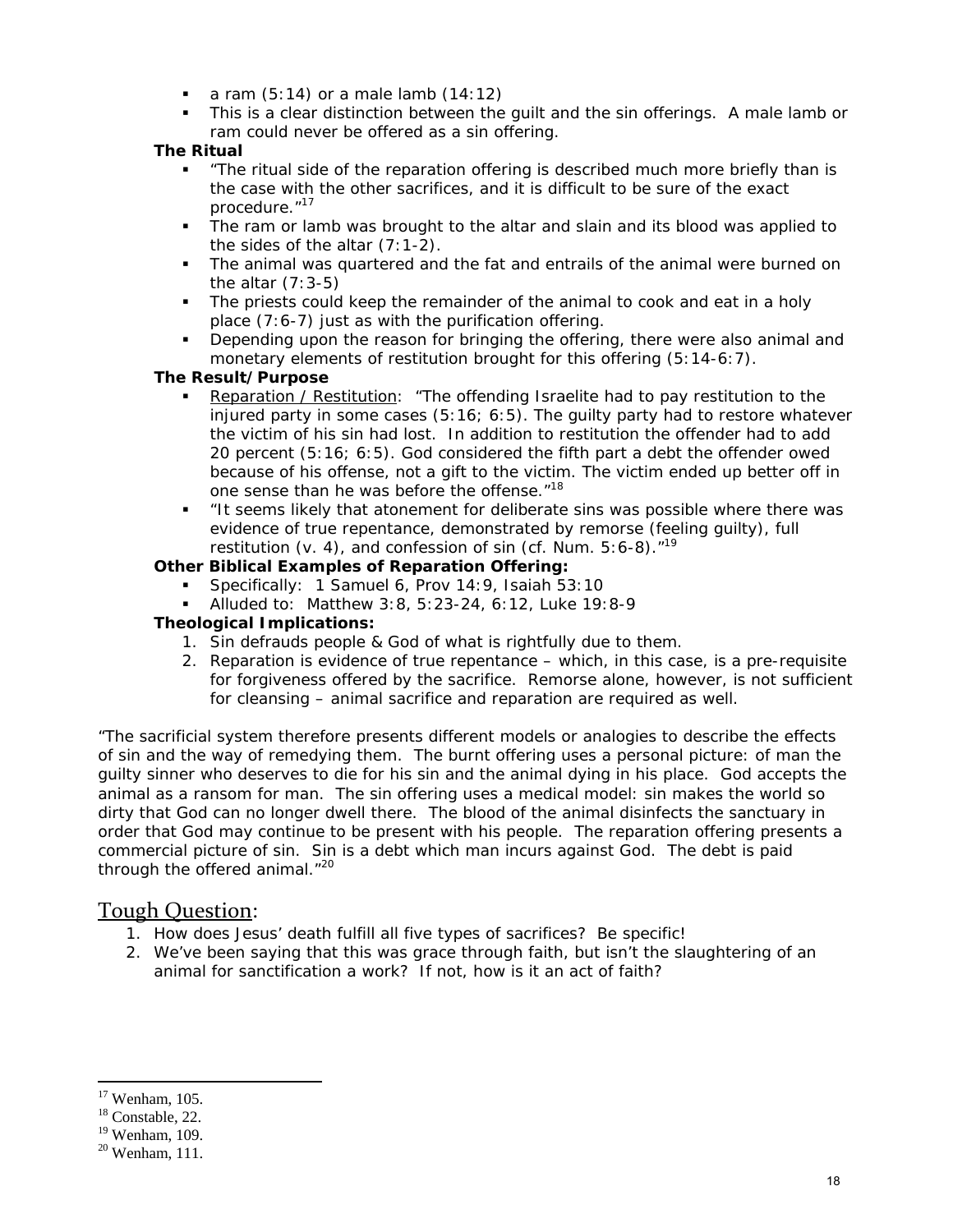- a ram  $(5:14)$  or a male lamb  $(14:12)$
- This is a clear distinction between the guilt and the sin offerings. A male lamb or ram could never be offered as a sin offering.

#### **The Ritual**

- "The ritual side of the reparation offering is described much more briefly than is the case with the other sacrifices, and it is difficult to be sure of the exact procedure."17
- The ram or lamb was brought to the altar and slain and its blood was applied to the sides of the altar (7:1-2).
- The animal was quartered and the fat and entrails of the animal were burned on the altar  $(7:3-5)$
- The priests could keep the remainder of the animal to cook and eat in a holy place (7:6-7) just as with the purification offering.
- Depending upon the reason for bringing the offering, there were also animal and monetary elements of restitution brought for this offering (5:14-6:7).

#### **The Result/Purpose**

- Reparation / Restitution: "The offending Israelite had to pay restitution to the injured party in some cases (5:16; 6:5). The guilty party had to restore whatever the victim of his sin had lost. In addition to restitution the offender had to add 20 percent (5:16; 6:5). God considered the fifth part a debt the offender owed because of his offense, not a gift to the victim. The victim ended up better off in one sense than he was before the offense."<sup>18</sup>
- "It seems likely that atonement for deliberate sins was possible where there was evidence of true repentance, demonstrated by remorse (feeling guilty), full restitution (v. 4), and confession of sin (cf. Num.  $5:6-8$ ).<sup>"19</sup>

#### **Other Biblical Examples of Reparation Offering:**

- Specifically: 1 Samuel 6, Prov 14:9, Isaiah 53:10
- Alluded to: Matthew 3:8, 5:23-24, 6:12, Luke 19:8-9

#### **Theological Implications:**

- 1. Sin defrauds people & God of what is rightfully due to them.
- 2. Reparation is evidence of true repentance which, in this case, is a pre-requisite for forgiveness offered by the sacrifice. Remorse alone, however, is not sufficient for cleansing – animal sacrifice and reparation are required as well.

"The sacrificial system therefore presents different models or analogies to describe the effects of sin and the way of remedying them. The burnt offering uses a personal picture: of man the guilty sinner who deserves to die for his sin and the animal dying in his place. God accepts the animal as a ransom for man. The sin offering uses a medical model: sin makes the world so dirty that God can no longer dwell there. The blood of the animal disinfects the sanctuary in order that God may continue to be present with his people. The reparation offering presents a commercial picture of sin. Sin is a debt which man incurs against God. The debt is paid through the offered animal."<sup>20</sup>

### Tough Question:

- 1. How does Jesus' death fulfill all five types of sacrifices? Be specific!
- 2. We've been saying that this was grace through faith, but isn't the slaughtering of an animal for sanctification a work? If not, how is it an act of faith?

<sup>17</sup> Wenham, 105.

<sup>&</sup>lt;sup>18</sup> Constable, 22.

 $19$  Wenham, 109.

 $20$  Wenham, 111.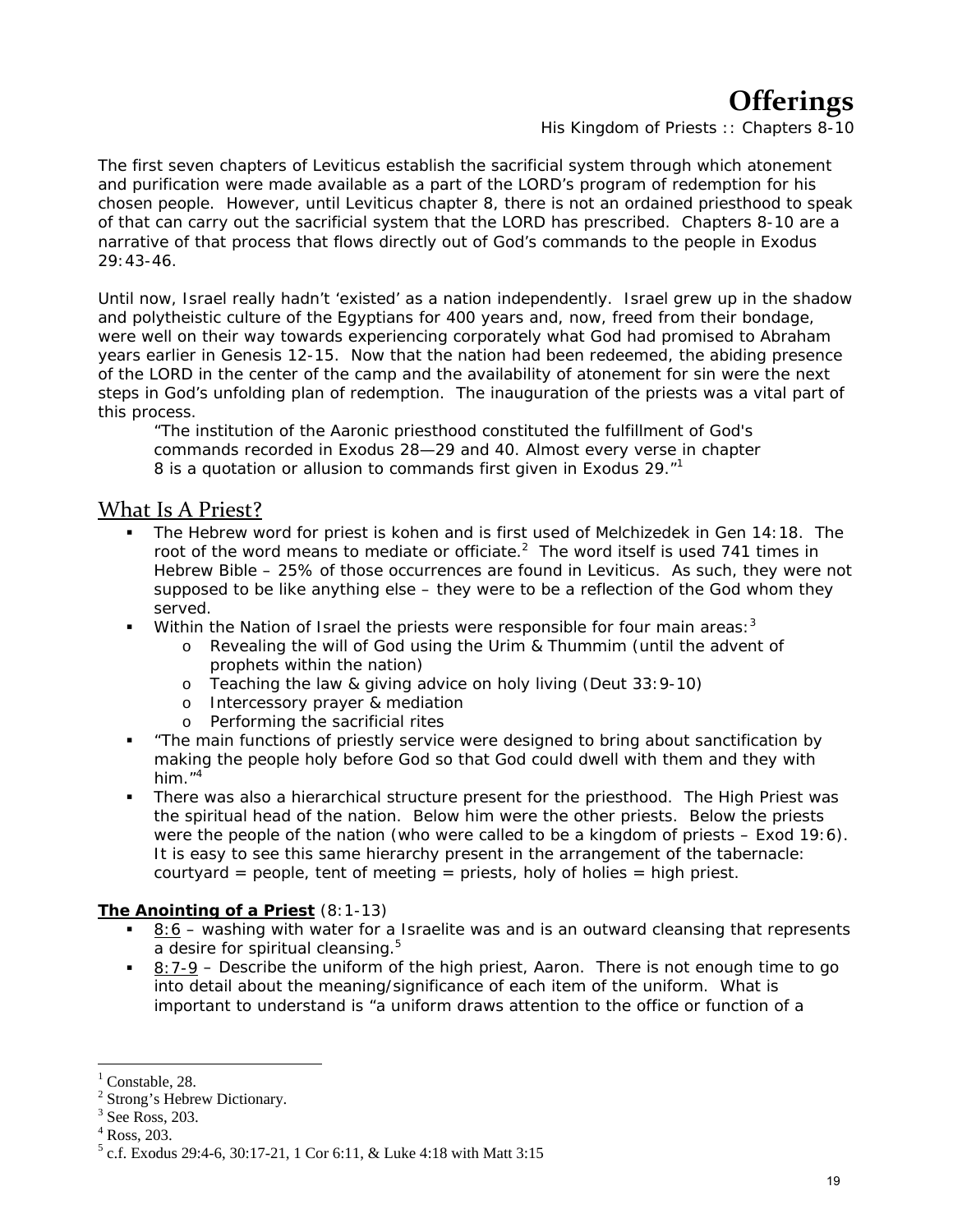# **Offerings**

*His Kingdom of Priests :: Chapters 8-10*

The first seven chapters of Leviticus establish the sacrificial system through which atonement and purification were made available as a part of the LORD's program of redemption for his chosen people. However, until Leviticus chapter 8, there is not an ordained priesthood to speak of that can carry out the sacrificial system that the LORD has prescribed. Chapters 8-10 are a narrative of that process that flows directly out of God's commands to the people in Exodus 29:43-46.

Until now, Israel really hadn't 'existed' as a nation independently. Israel grew up in the shadow and polytheistic culture of the Egyptians for 400 years and, now, freed from their bondage, were well on their way towards experiencing corporately what God had promised to Abraham years earlier in Genesis 12-15. Now that the nation had been redeemed, the abiding presence of the LORD in the center of the camp and the availability of atonement for sin were the next steps in God's unfolding plan of redemption. The inauguration of the priests was a vital part of this process.

"The institution of the Aaronic priesthood constituted the fulfillment of God's commands recorded in Exodus 28—29 and 40. Almost every verse in chapter 8 is a quotation or allusion to commands first given in Exodus 29.<sup>"1</sup>

### What Is A Priest?

- The Hebrew word for priest is *kohen* and is first used of Melchizedek in Gen 14:18. The root of the word means to mediate or officiate. $^2$  The word itself is used 741 times in Hebrew Bible – 25% of those occurrences are found in Leviticus. As such, they were not supposed to be like anything else – they were to be a reflection of the God whom they served.
- Within the Nation of Israel the priests were responsible for four main areas:  $3^3$ 
	- o Revealing the will of God using the Urim & Thummim (until the advent of prophets within the nation)
	- o Teaching the law & giving advice on holy living (Deut 33:9-10)
	- o Intercessory prayer & mediation
	- o Performing the sacrificial rites
- "The main functions of priestly service were designed to bring about sanctification by making the people holy before God so that God could dwell with them and they with him. $14$
- There was also a hierarchical structure present for the priesthood. The High Priest was the spiritual head of the nation. Below him were the other priests. Below the priests were the people of the nation (who were called to be a kingdom of priests – Exod 19:6). It is easy to see this same hierarchy present in the arrangement of the tabernacle: courtyard = people, tent of meeting = priests, holy of holies = high priest.

#### **The Anointing of a Priest** (8:1-13)

- $8:6$  washing with water for a Israelite was and is an outward cleansing that represents a desire for spiritual cleansing.<sup>5</sup>
- $8:7-9$  Describe the uniform of the high priest, Aaron. There is not enough time to go into detail about the meaning/significance of each item of the uniform. What is important to understand is "a uniform draws attention to the office or function of a

<sup>1</sup> Constable, 28.

<sup>&</sup>lt;sup>2</sup> Strong's Hebrew Dictionary.

 $3$  See Ross, 203.

<sup>4</sup> Ross, 203.

 $5$  c.f. Exodus 29:4-6, 30:17-21, 1 Cor 6:11, & Luke 4:18 with Matt 3:15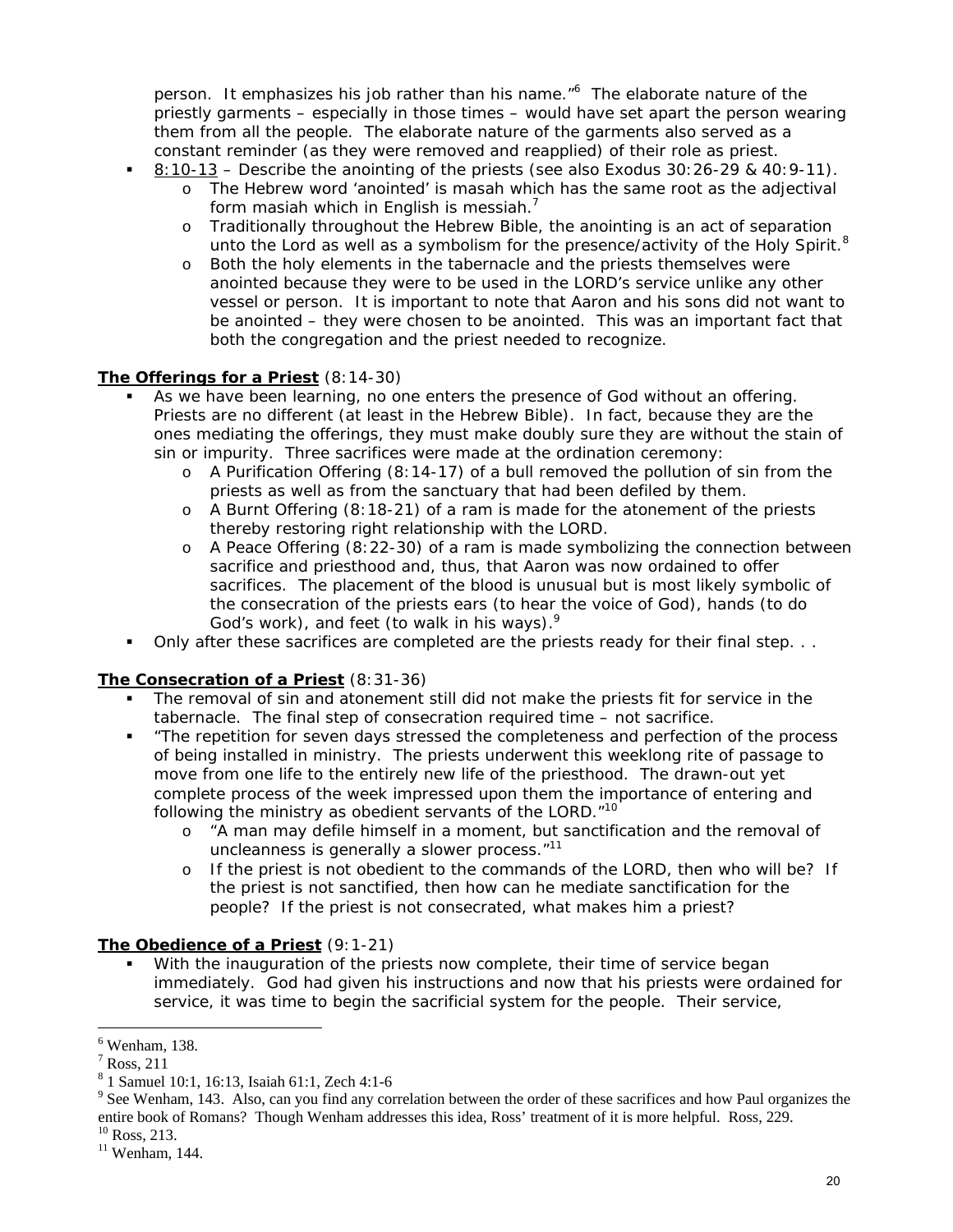person. It emphasizes his job rather than his name."<sup>6</sup> The elaborate nature of the priestly garments – especially in those times – would have set apart the person wearing them from all the people. The elaborate nature of the garments also served as a constant reminder (as they were removed and reapplied) of their role as priest.

- 8:10-13 Describe the anointing of the priests (see also Exodus 30:26-29 & 40:9-11).
	- o The Hebrew word 'anointed' is *masah* which has the same root as the adjectival form *masiah* which in English is messiah.7
	- o Traditionally throughout the Hebrew Bible, the anointing is an act of separation unto the Lord as well as a symbolism for the presence/activity of the Holy Spirit.<sup>8</sup>
	- o Both the holy elements in the tabernacle and the priests themselves were anointed because they were to be used in the LORD's service unlike any other vessel or person. It is important to note that Aaron and his sons did not want to be anointed – they were chosen to be anointed. This was an important fact that both the congregation and the priest needed to recognize.

#### **The Offerings for a Priest** (8:14-30)

- As we have been learning, no one enters the presence of God without an offering. Priests are no different (at least in the Hebrew Bible). In fact, because they are the ones mediating the offerings, they must make doubly sure they are without the stain of sin or impurity. Three sacrifices were made at the ordination ceremony:
	- $\circ$  A Purification Offering (8:14-17) of a bull removed the pollution of sin from the priests as well as from the sanctuary that had been defiled by them.
	- o A Burnt Offering (8:18-21) of a ram is made for the atonement of the priests thereby restoring right relationship with the LORD.
	- o A Peace Offering (8:22-30) of a ram is made symbolizing the connection between sacrifice and priesthood and, thus, that Aaron was now ordained to offer sacrifices. The placement of the blood is unusual but is most likely symbolic of the consecration of the priests ears (to hear the voice of God), hands (to do God's work), and feet (to walk in his ways).<sup>9</sup>
- Only after these sacrifices are completed are the priests ready for their final step. . .

#### **The Consecration of a Priest** (8:31-36)

- The removal of sin and atonement still did not make the priests fit for service in the tabernacle. The final step of consecration required time – not sacrifice.
- "The repetition for seven days stressed the completeness and perfection of the process of being installed in ministry. The priests underwent this weeklong rite of passage to move from one life to the entirely new life of the priesthood. The drawn-out yet complete process of the week impressed upon them the importance of entering and following the ministry as obedient servants of the LORD."<sup>10</sup>
	- o "A man may defile himself in a moment, but sanctification and the removal of uncleanness is generally a slower process."<sup>11</sup>
	- o If the priest is not obedient to the commands of the LORD, then who will be? If the priest is not sanctified, then how can he mediate sanctification for the people? If the priest is not consecrated, what makes him a priest?

#### **The Obedience of a Priest** (9:1-21)

 With the inauguration of the priests now complete, their time of service began immediately. God had given his instructions and now that his priests were ordained for service, it was time to begin the sacrificial system for the people. Their service,

<sup>6</sup> Wenham, 138.

 $<sup>7</sup>$  Ross, 211</sup>

<sup>8</sup> 1 Samuel 10:1, 16:13, Isaiah 61:1, Zech 4:1-6

 $9^9$  See Wenham, 143. Also, can you find any correlation between the order of these sacrifices and how Paul organizes the entire book of Romans? Though Wenham addresses this idea, Ross' treatment of it is more helpful. Ross, 229.

 $10$  Ross, 213.

 $11$  Wenham, 144.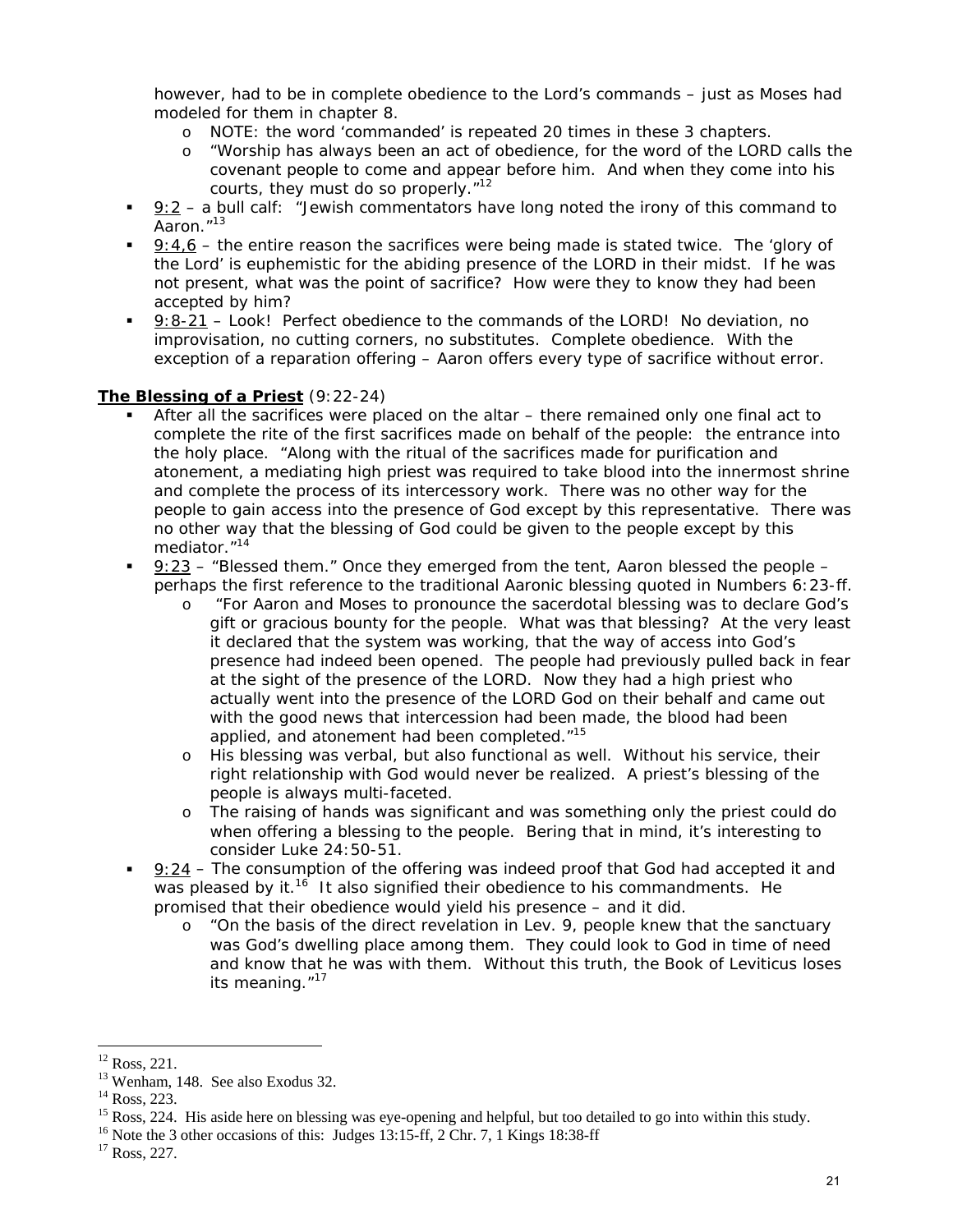however, had to be in complete obedience to the Lord's commands – *just as Moses had modeled for them in chapter 8.*

- o NOTE: the word 'commanded' is repeated 20 times in these 3 chapters.
- o "Worship has always been an act of obedience, for the word of the LORD calls the covenant people to come and appear before him. And when they come into his courts, they must do so properly."<sup>12</sup>
- 9:2 a bull calf: "Jewish commentators have long noted the irony of this command to Aaron."13
- 9:4,6 the entire reason the sacrifices were being made is stated twice. The 'glory of the Lord' is euphemistic for the abiding presence of the LORD in their midst. If he was not present, what was the point of sacrifice? How were they to know they had been accepted by him?
- 9:8-21 Look! Perfect obedience to the commands of the LORD! No deviation, no improvisation, no cutting corners, no substitutes. Complete obedience. With the exception of a reparation offering – Aaron offers every type of sacrifice without error.

#### **The Blessing of a Priest** (9:22-24)

- After all the sacrifices were placed on the altar there remained only one final act to complete the rite of the first sacrifices made on behalf of the people: the entrance into the holy place. "Along with the ritual of the sacrifices made for purification and atonement, a mediating high priest was required to take blood into the innermost shrine and complete the process of its intercessory work. There was no other way for the people to gain access into the presence of God except by this representative. There was no other way that the blessing of God could be given to the people except by this mediator."<sup>14</sup>
- 9:23 "Blessed them." Once they emerged from the tent, Aaron blessed the people perhaps the first reference to the traditional Aaronic blessing quoted in Numbers 6:23-ff.
	- o "For Aaron and Moses to pronounce the sacerdotal blessing was to declare God's gift or gracious bounty for the people. What was that blessing? At the very least it declared that the system was working, that the way of access into God's presence had indeed been opened. The people had previously pulled back in fear at the sight of the presence of the LORD. Now they had a high priest who actually went into the presence of the LORD God on their behalf and came out with the good news that intercession had been made, the blood had been applied, and atonement had been completed."<sup>15</sup>
	- o His blessing was verbal, but also functional as well. Without his service, their right relationship with God would never be realized. A priest's blessing of the people is always multi-faceted.
	- o The raising of hands was significant and was something only the priest could do when offering a blessing to the people. Bering that in mind, it's interesting to consider Luke 24:50-51.
- 9:24 The consumption of the offering was indeed proof that God had accepted it and was pleased by it.<sup>16</sup> It also signified their obedience to his commandments. He promised that their obedience would yield his presence – and it did.
	- o "On the basis of the direct revelation in Lev. 9, people knew that the sanctuary was God's dwelling place among them. They could look to God in time of need and know that he was with them. Without this truth, the Book of Leviticus loses its meaning. $17$

 $12$  Ross, 221.

<sup>&</sup>lt;sup>13</sup> Wenham, 148. See also Exodus 32.

<sup>&</sup>lt;sup>14</sup> Ross, 223.

<sup>&</sup>lt;sup>15</sup> Ross, 224. His aside here on blessing was eye-opening and helpful, but too detailed to go into within this study.

<sup>&</sup>lt;sup>16</sup> Note the 3 other occasions of this: Judges 13:15-ff, 2 Chr. 7, 1 Kings 18:38-ff  $^{17}$  Ross, 227.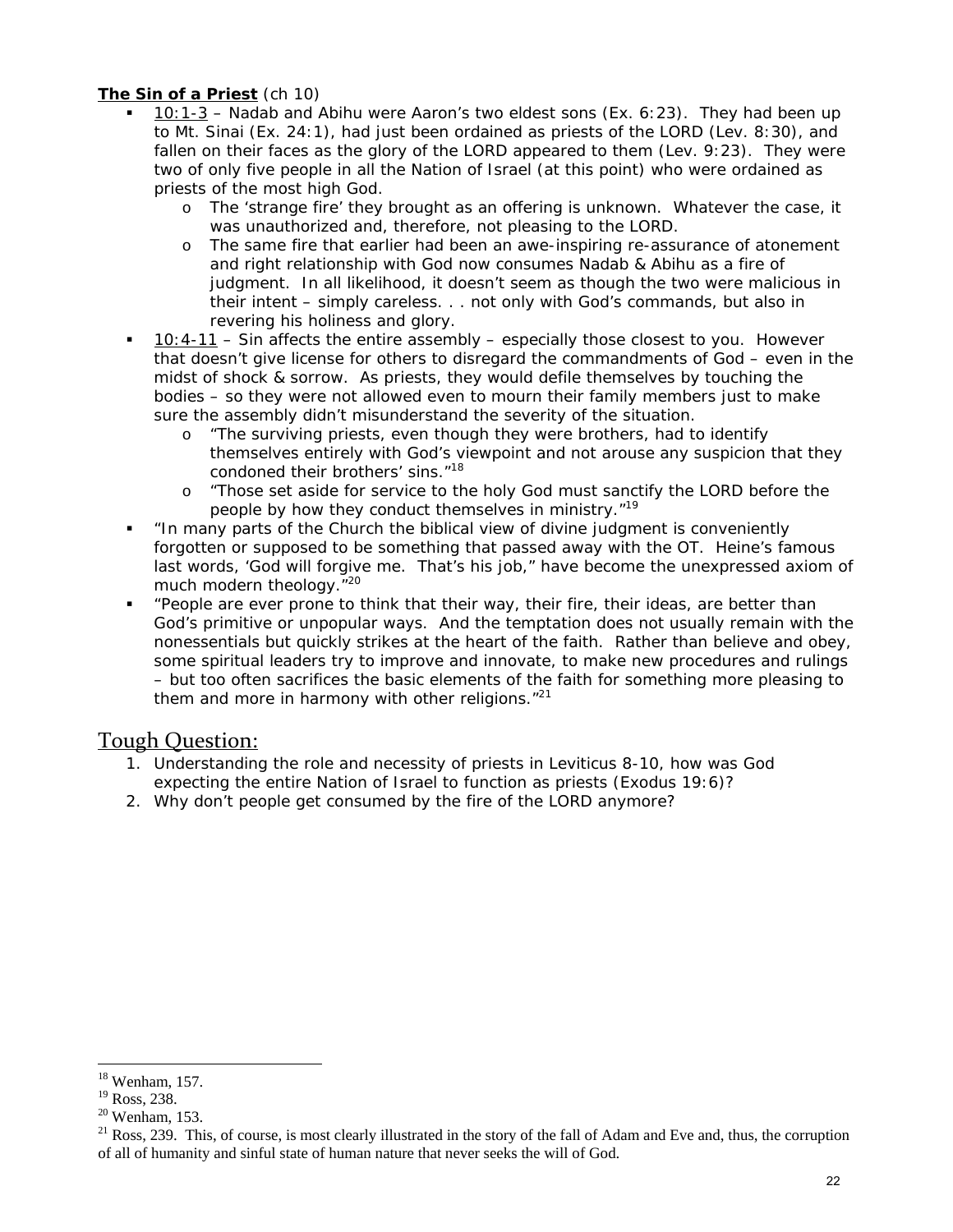#### **The Sin of a Priest** (ch 10)

- 10:1-3 Nadab and Abihu were Aaron's two eldest sons (Ex. 6:23). They had been up to Mt. Sinai (Ex. 24:1), had just been ordained as priests of the LORD (Lev. 8:30), and fallen on their faces as the glory of the LORD appeared to them (Lev. 9:23). They were two of only five people in all the Nation of Israel (at this point) who were ordained as priests of the most high God.
	- o The 'strange fire' they brought as an offering is unknown. Whatever the case, it was unauthorized and, therefore, not pleasing to the LORD.
	- o The same fire that earlier had been an awe-inspiring re-assurance of atonement and right relationship with God now consumes Nadab & Abihu as a fire of judgment. In all likelihood, it doesn't seem as though the two were malicious in their intent – simply careless. . . not only with God's commands, but also in revering his holiness and glory.
- 10:4-11 Sin affects the entire assembly especially those closest to you. However that doesn't give license for others to disregard the commandments of God – even in the midst of shock & sorrow. As priests, they would defile themselves by touching the bodies – so they were not allowed even to mourn their family members just to make sure the assembly didn't misunderstand the severity of the situation.
	- o "The surviving priests, even though they were brothers, had to identify themselves entirely with God's viewpoint and not arouse any suspicion that they condoned their brothers' sins."<sup>18</sup>
	- o "Those set aside for service to the holy God must sanctify the LORD before the people by how they conduct themselves in ministry.<sup>"19</sup>
- "In many parts of the Church the biblical view of divine judgment is conveniently forgotten or supposed to be something that passed away with the OT. Heine's famous last words, 'God will forgive me. That's his job," have become the unexpressed axiom of much modern theology."20
- "People are ever prone to think that their way, their fire, their ideas, are better than God's primitive or unpopular ways. And the temptation does not usually remain with the nonessentials but quickly strikes at the heart of the faith. Rather than believe and obey, some spiritual leaders try to improve and innovate, to make new procedures and rulings – but too often sacrifices the basic elements of the faith for something more pleasing to them and more in harmony with other religions."<sup>21</sup>

#### Tough Question:

- 1. Understanding the role and necessity of priests in Leviticus 8-10, how was God expecting the entire Nation of Israel to function as priests (Exodus 19:6)?
- 2. Why don't people get consumed by the fire of the LORD anymore?

 $\overline{a}$ 18 Wenham, 157.

<sup>&</sup>lt;sup>19</sup> Ross, 238.

 $20$  Wenham, 153.

 $21$  Ross, 239. This, of course, is most clearly illustrated in the story of the fall of Adam and Eve and, thus, the corruption of all of humanity and sinful state of human nature that never seeks the will of God.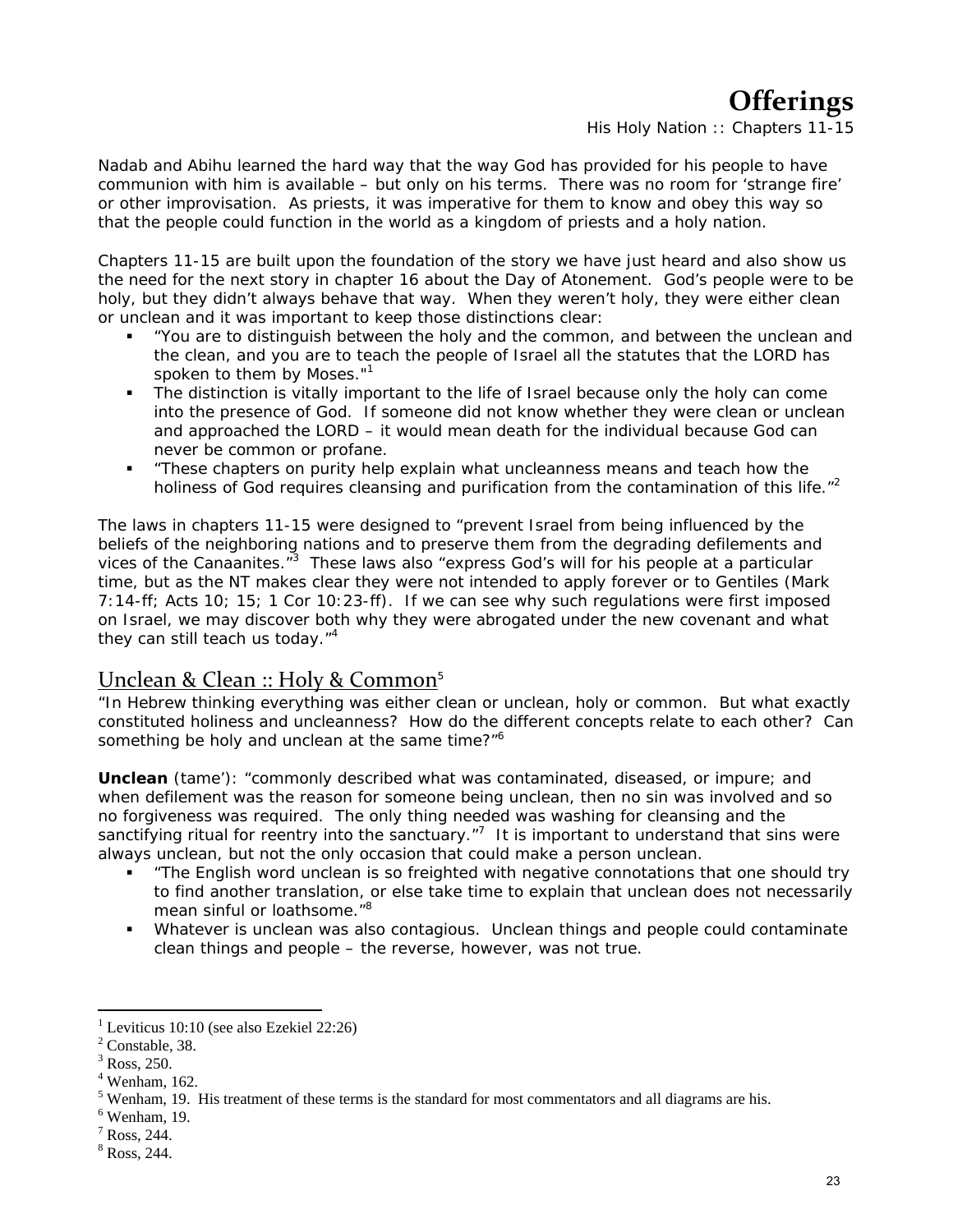# **Offerings**

*His Holy Nation :: Chapters 11-15*

Nadab and Abihu learned the hard way that the way God has provided for his people to have communion with him is available – but only on his terms. There was no room for 'strange fire' or other improvisation. As priests, it was imperative for them to know and obey this way so that the people could function in the world as a kingdom of priests and a holy nation.

Chapters 11-15 are built upon the foundation of the story we have just heard and also show us the need for the next story in chapter 16 about the Day of Atonement. God's people were to be holy, but they didn't always behave that way. When they weren't holy, they were either clean or unclean and it was important to keep those distinctions clear:

- "You are to distinguish between the holy and the common, and between the unclean and the clean, and you are to teach the people of Israel all the statutes that the LORD has spoken to them by Moses."<sup>1</sup>
- The distinction is *vitally* important to the life of Israel because only the holy can come into the presence of God. If someone did not know whether they were clean or unclean and approached the LORD – it would mean death for the individual because God can never be common or profane.
- "These chapters on purity help explain what uncleanness means and teach how the holiness of God requires cleansing and purification from the contamination of this life."<sup>2</sup>

The laws in chapters 11-15 were designed to "prevent Israel from being influenced by the beliefs of the neighboring nations and to preserve them from the degrading defilements and vices of the Canaanites."<sup>3</sup> These laws also "express God's will for his people at a particular time, but as the NT makes clear they were not intended to apply forever or to Gentiles (Mark 7:14-ff; Acts 10; 15; 1 Cor 10:23-ff). If we can see why such regulations were first imposed on Israel, we may discover both why they were abrogated under the new covenant and what they can still teach us today. $14$ 

### Unclean & Clean :: Holy & Common<sup>5</sup>

"In Hebrew thinking everything was either clean or unclean, holy or common. But what exactly constituted holiness and uncleanness? How do the different concepts relate to each other? Can something be holy and unclean at the same time?"<sup>6</sup>

**Unclean** (*tame'*): "commonly described what was contaminated, diseased, or impure; and when defilement was the reason for someone being unclean, then no sin was involved and so no forgiveness was required. The only thing needed was washing for cleansing and the sanctifying ritual for reentry into the sanctuary. $\mathbb{Z}^7$  It is important to understand that sins were always unclean, but not the only occasion that could make a person unclean.

- "The English word *unclean* is so freighted with negative connotations that one should try to find another translation, or else take time to explain that unclean does not necessarily mean sinful or loathsome."<sup>8</sup>
- Whatever is unclean was also contagious. Unclean things and people could contaminate clean things and people – the reverse, however, was not true.

<sup>&</sup>lt;sup>1</sup> Leviticus 10:10 (see also Ezekiel 22:26)

 $<sup>2</sup>$  Constable, 38.</sup>

 $3$  Ross, 250.

<sup>4</sup> Wenham, 162.

<sup>&</sup>lt;sup>5</sup> Wenham, 19. His treatment of these terms is the standard for most commentators and all diagrams are his.<br><sup>6</sup> Wenham 10

 $6$  Wenham, 19.

 $<sup>7</sup>$  Ross, 244.</sup>

<sup>8</sup> Ross, 244.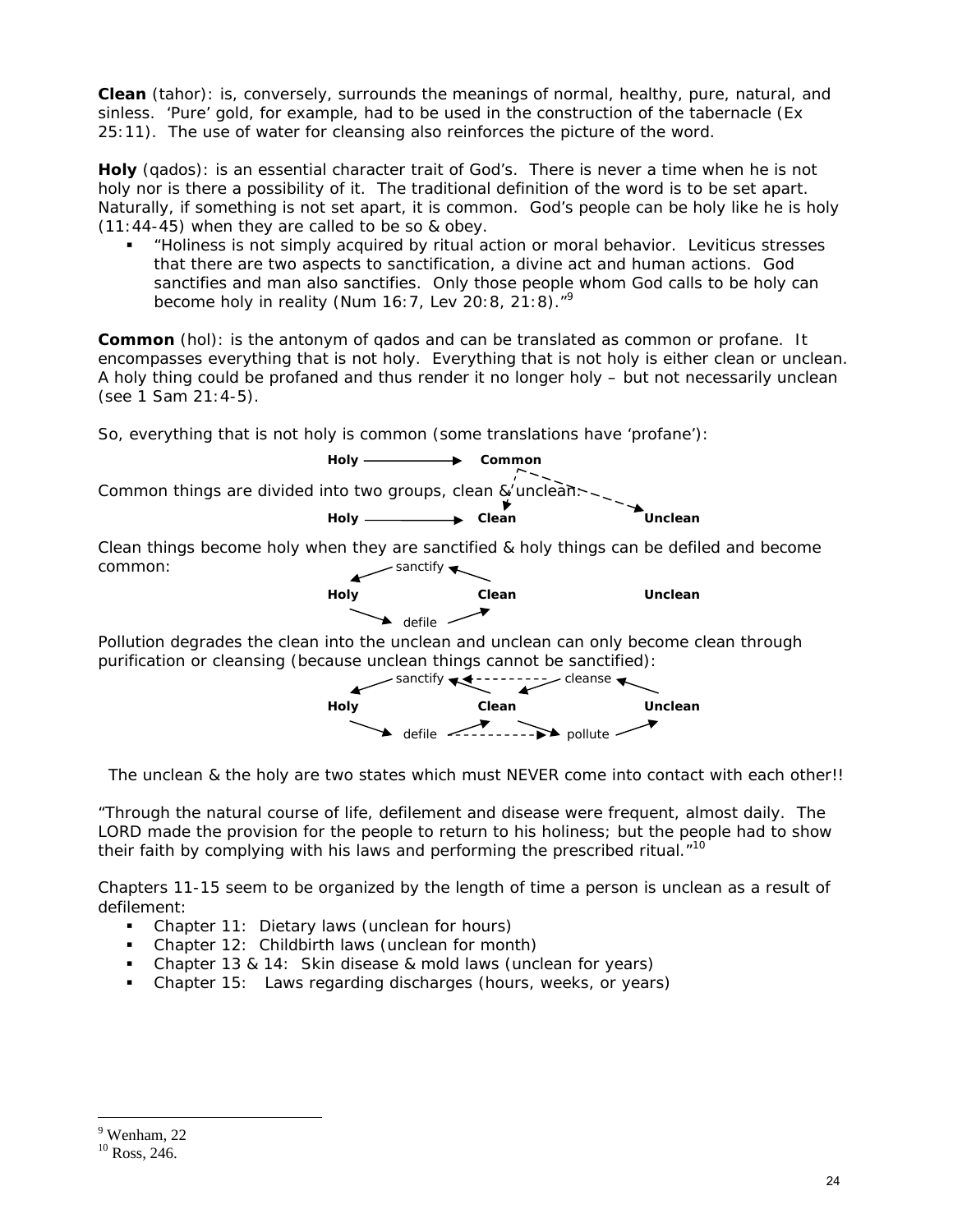**Clean** (*tahor)*: is, conversely, surrounds the meanings of normal, healthy, pure, natural, and sinless. 'Pure' gold, for example, had to be used in the construction of the tabernacle (Ex 25:11). The use of water for cleansing also reinforces the picture of the word.

**Holy** (*qados*): is an essential character trait of God's. There is never a time when he is not holy nor is there a possibility of it. The traditional definition of the word is to be set apart. Naturally, if something is not set apart, it is common. God's people can be holy like he is holy (11:44-45) when they are called to be so & obey.

 "Holiness is not simply acquired by ritual action or moral behavior. Leviticus stresses that there are two aspects to sanctification, a divine act and human actions. God sanctifies and man also sanctifies. Only those people whom God calls to be holy can become holy in reality (Num 16:7, Lev 20:8, 21:8)."9

**Common** (*hol*): is the antonym of *qados* and can be translated as common or profane. It encompasses everything that is not holy. Everything that is not holy is either clean or unclean. A holy thing could be profaned and thus render it no longer holy – but not necessarily unclean (see 1 Sam 21:4-5).

So, everything that is not holy is common (some translations have 'profane'):





*The unclean & the holy are two states which must NEVER come into contact with each other!!* 

"Through the natural course of life, defilement and disease were frequent, almost daily. The LORD made the provision for the people to return to his holiness; but the people had to show their faith by complying with his laws and performing the prescribed ritual. $10^1$ 

Chapters 11-15 seem to be organized by the length of time a person is unclean as a result of defilement:

- Chapter 11: Dietary laws (unclean for hours)
- Chapter 12: Childbirth laws (unclean for month)
- Chapter 13 & 14: Skin disease & mold laws (unclean for years)
- Chapter 15: Laws regarding discharges (hours, weeks, or years)

<sup>9</sup> Wenham, 22

 $10$  Ross, 246.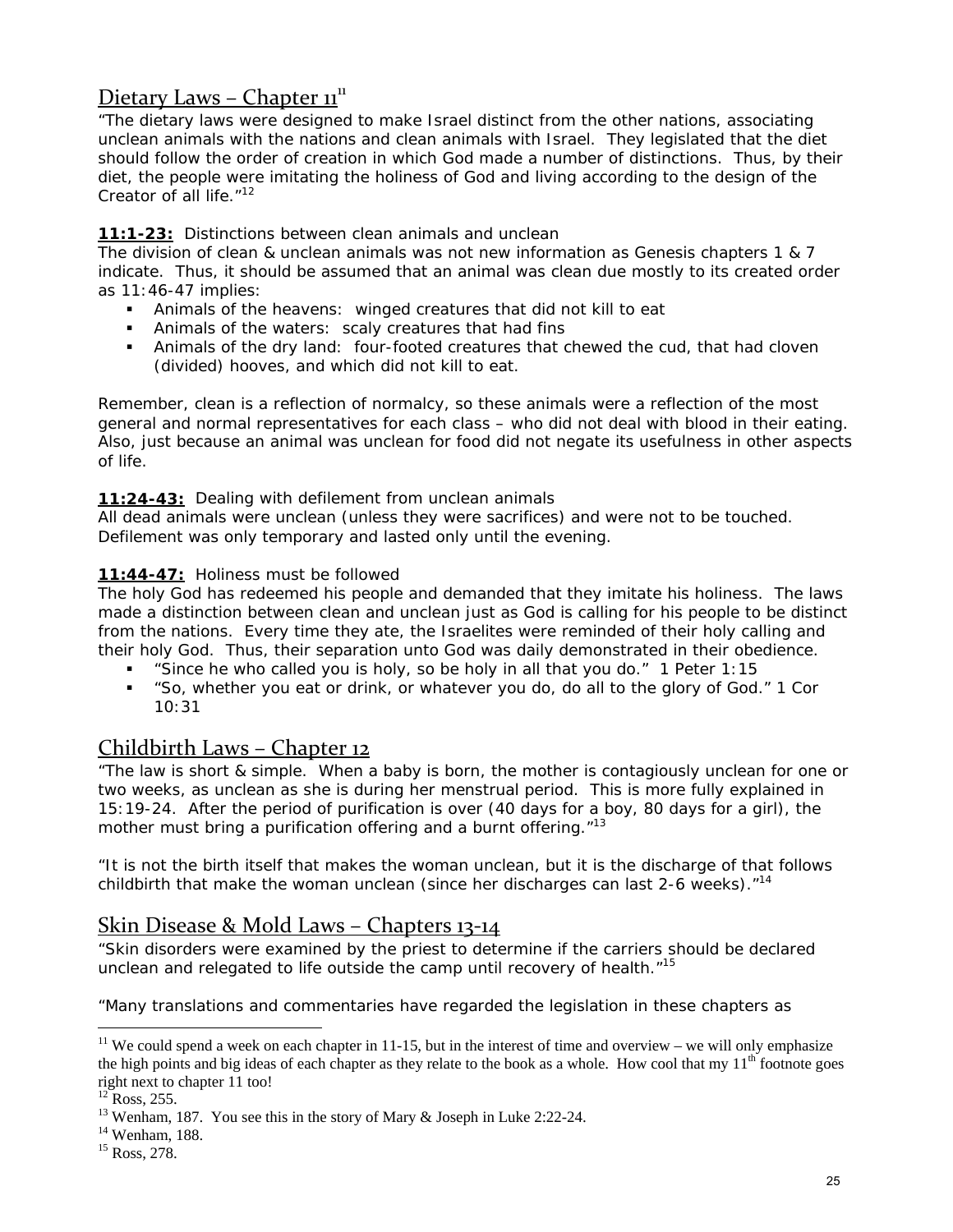# Dietary Laws – Chapter  $\mathbf{u}^{\text{u}}$

"The dietary laws were designed to make Israel distinct from the other nations, associating unclean animals with the nations and clean animals with Israel. They legislated that the diet should follow the order of creation in which God made a number of distinctions. Thus, by their diet, the people were imitating the holiness of God and living according to the design of the Creator of all life."<sup>12</sup>

#### **11:1-23:** Distinctions between clean animals and unclean

The division of clean & unclean animals was not new information as Genesis chapters 1 & 7 indicate. Thus, it should be assumed that an animal was clean due mostly to its created order as 11:46-47 implies:

- Animals of the heavens: winged creatures that did not kill to eat
- Animals of the waters: scaly creatures that had fins
- Animals of the dry land: four-footed creatures that chewed the cud, that had cloven (divided) hooves, and which did not kill to eat.

*Remember, clean is a reflection of normalcy, so these animals were a reflection of the most general and normal representatives for each class – who did not deal with blood in their eating. Also, just because an animal was unclean for food did not negate its usefulness in other aspects of life.* 

**11:24-43:** Dealing with defilement from unclean animals

All dead animals were unclean (unless they were sacrifices) and were not to be touched. Defilement was only temporary and lasted only until the evening.

#### **11:44-47:** Holiness must be followed

The holy God has redeemed his people and demanded that they imitate his holiness. The laws made a distinction between clean and unclean just as God is calling for his people to be distinct from the nations. Every time they ate, the Israelites were reminded of their holy calling and their holy God. Thus, their separation unto God was daily demonstrated in their obedience.

- "Since he who called you is holy, so be holy in all that you do." 1 Peter 1:15
- "So, whether you eat or drink, or whatever you do, do all to the glory of God." 1 Cor 10:31

# Childbirth Laws – Chapter 12

"The law is short & simple. When a baby is born, the mother is contagiously unclean for one or two weeks, *as unclean as she is during her menstrual period*. This is more fully explained in 15:19-24. After the period of purification is over (40 days for a boy, 80 days for a girl), the mother must bring a purification offering and a burnt offering."<sup>13</sup>

"It is not the birth itself that makes the woman unclean, but it is the discharge of that follows childbirth that make the woman unclean (since her discharges can last 2-6 weeks). $1<sup>14</sup>$ 

## Skin Disease & Mold Laws – Chapters 13‐14

"Skin disorders were examined by the priest to determine if the carriers should be declared unclean and relegated to life outside the camp until recovery of health. $"15$ 

"Many translations and commentaries have regarded the legislation in these chapters as

 $\overline{a}$ <sup>11</sup> We could spend a week on each chapter in 11-15, but in the interest of time and overview – we will only emphasize the high points and big ideas of each chapter as they relate to the book as a whole. How cool that my  $11<sup>th</sup>$  footnote goes right next to chapter 11 too!

 $12$  Ross, 255.

<sup>&</sup>lt;sup>13</sup> Wenham, 187. You see this in the story of Mary & Joseph in Luke 2:22-24.

<sup>&</sup>lt;sup>14</sup> Wenham, 188.

<sup>&</sup>lt;sup>15</sup> Ross, 278.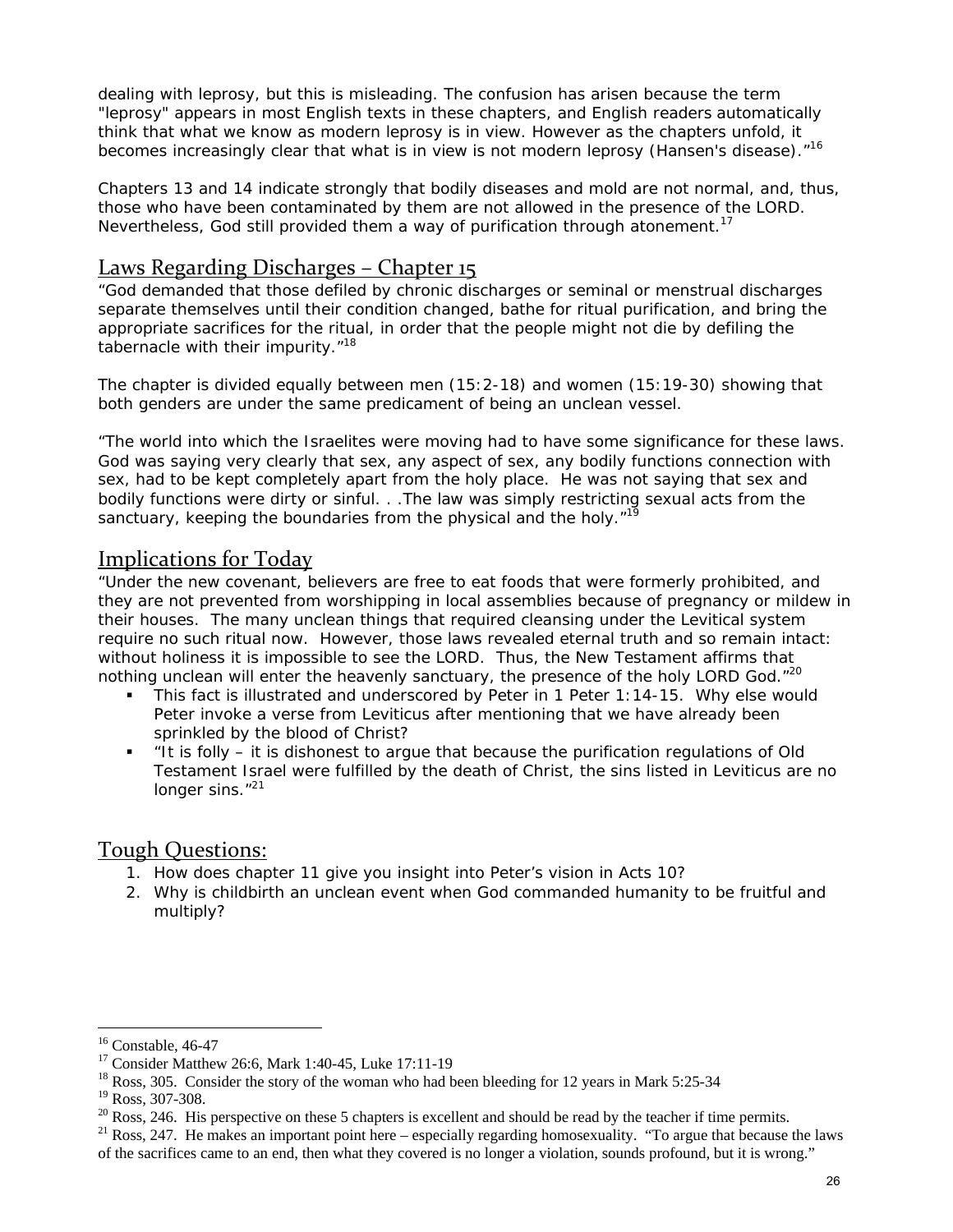dealing with leprosy, but this is misleading. The confusion has arisen because the term "leprosy" appears in most English texts in these chapters, and English readers automatically think that what we know as modern leprosy is in view. However as the chapters unfold, it becomes increasingly clear that what is in view is not modern leprosy (Hansen's disease)."<sup>16</sup>

Chapters 13 and 14 indicate strongly that bodily diseases and mold are not normal, and, thus, those who have been contaminated by them are not allowed in the presence of the LORD. Nevertheless, God still provided them a way of purification through atonement.<sup>17</sup>

## Laws Regarding Discharges – Chapter 15

"God demanded that those defiled by chronic discharges or seminal or menstrual discharges separate themselves until their condition changed, bathe for ritual purification, and bring the appropriate sacrifices for the ritual, in order that the people might not die by defiling the tabernacle with their impurity."<sup>18</sup>

The chapter is divided equally between men (15:2-18) and women (15:19-30) showing that both genders are under the same predicament of being an unclean vessel.

"The world into which the Israelites were moving had to have some significance for these laws. God was saying very clearly that sex, any aspect of sex, any bodily functions connection with sex, had to be kept completely apart from the holy place. He was not saying that sex and bodily functions were dirty or sinful. . .The law was simply restricting sexual acts from the sanctuary, keeping the boundaries from the physical and the holy."<sup>19</sup>

## Implications for Today

"Under the new covenant, believers are free to eat foods that were formerly prohibited, and they are not prevented from worshipping in local assemblies because of pregnancy or mildew in their houses. The many unclean things that required cleansing under the Levitical system require no such ritual now. However, those laws revealed eternal truth and so remain intact: without holiness it is impossible to see the LORD. Thus, the New Testament affirms that nothing unclean will enter the heavenly sanctuary, the presence of the holy LORD God."<sup>20</sup>

- This fact is illustrated and underscored by Peter in 1 Peter 1:14-15. Why else would Peter invoke a verse from Leviticus after mentioning that we have already been sprinkled by the blood of Christ?
- "It is folly it is dishonest to argue that because the purification regulations of Old Testament Israel were fulfilled by the death of Christ, the sins listed in Leviticus are no longer sins."<sup>21</sup>

### Tough Questions:

- 1. How does chapter 11 give you insight into Peter's vision in Acts 10?
- 2. Why is childbirth an unclean event when God commanded humanity to be fruitful and multiply?

 $16$  Constable, 46-47

<sup>17</sup> Consider Matthew 26:6, Mark 1:40-45, Luke 17:11-19

<sup>&</sup>lt;sup>18</sup> Ross, 305. Consider the story of the woman who had been bleeding for 12 years in Mark 5:25-34

<sup>19</sup> Ross, 307-308.

 $20$  Ross, 246. His perspective on these 5 chapters is excellent and should be read by the teacher if time permits.

 $21$  Ross, 247. He makes an important point here – especially regarding homosexuality. "To argue that because the laws of the sacrifices came to an end, then what they covered is no longer a violation, sounds profound, but it is wrong."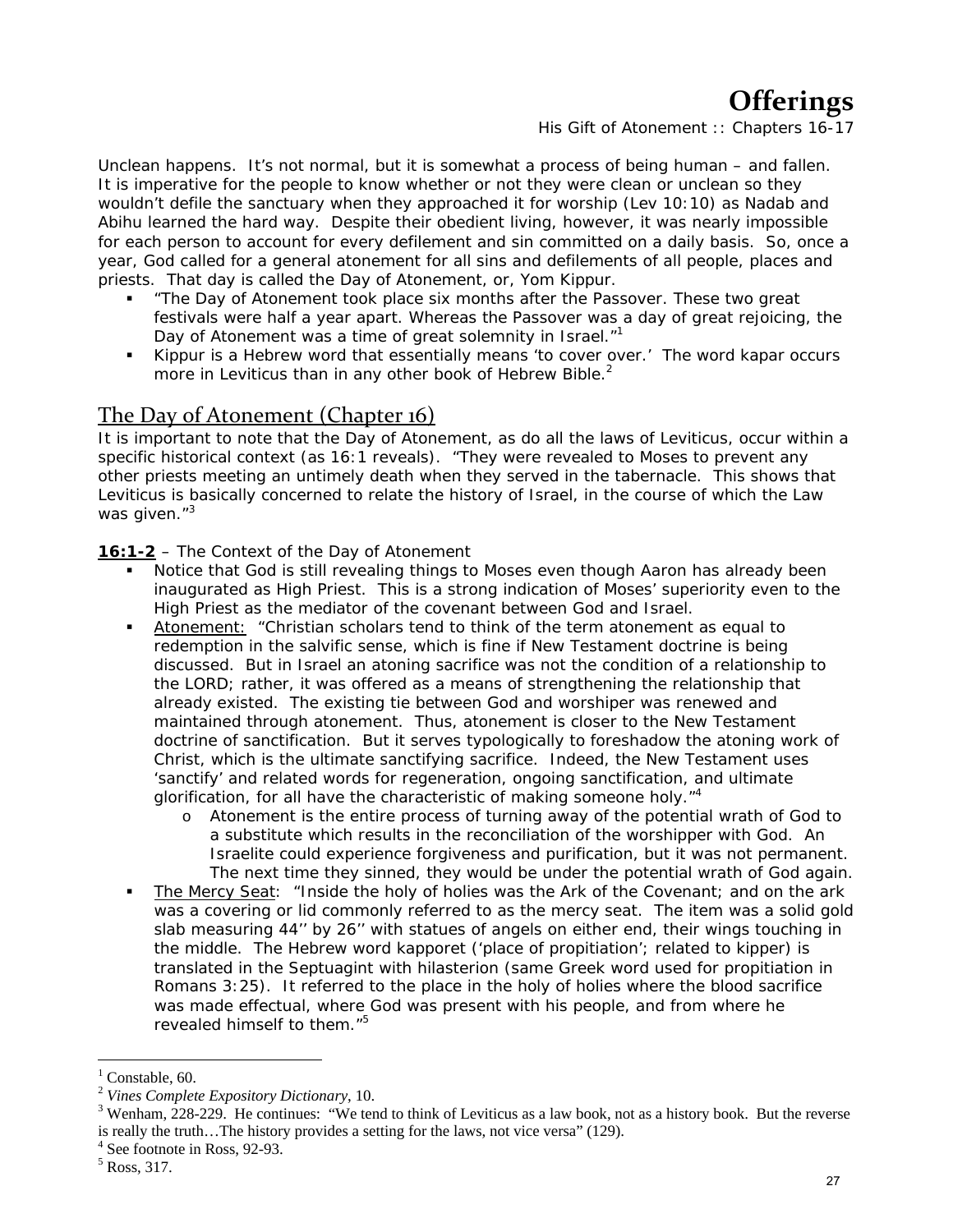# **Offerings**

*His Gift of Atonement :: Chapters 16-17*

Unclean happens. It's not normal, but it is somewhat a process of being human – and fallen. It is imperative for the people to know whether or not they were clean or unclean so they wouldn't defile the sanctuary when they approached it for worship (Lev 10:10) as Nadab and Abihu learned the hard way. Despite their obedient living, however, it was nearly impossible for each person to account for *every* defilement and sin committed on a daily basis. So, once a year, God called for a general atonement for all sins and defilements of all people, places and priests. That day is called the Day of Atonement, or, Yom Kippur.

- "The Day of Atonement took place six months after the Passover. These two great festivals were half a year apart. Whereas the Passover was a day of great rejoicing, the Day of Atonement was a time of great solemnity in Israel."<sup>1</sup>
- *Kippur* is a Hebrew word that essentially means 'to cover over.' The word *kapar* occurs more in Leviticus than in any other book of Hebrew Bible. $<sup>2</sup>$ </sup>

### The Day of Atonement (Chapter 16)

It is important to note that the Day of Atonement, as do all the laws of Leviticus, occur within a specific historical context (as 16:1 reveals). "They were revealed to Moses to prevent any other priests meeting an untimely death when they served in the tabernacle. This shows that Leviticus is basically concerned to relate the history of Israel, in the course of which the Law was given."<sup>3</sup>

**16:1-2** – The Context of the Day of Atonement

- Notice that God is still revealing things to Moses even though Aaron has already been inaugurated as High Priest. This is a strong indication of Moses' superiority even to the High Priest as the mediator of the covenant between God and Israel.
- Atonement: "Christian scholars tend to think of the term *atonement* as equal to *redemption* in the salvific sense, which is fine if New Testament doctrine is being discussed. But in Israel an atoning sacrifice was not the condition of a relationship to the LORD; rather, it was offered as a means of strengthening the relationship that already existed. The existing tie between God and worshiper was renewed and maintained through atonement. Thus, atonement is closer to the New Testament doctrine of sanctification. But it serves typologically to foreshadow the atoning work of Christ, which is the ultimate sanctifying sacrifice. Indeed, the New Testament uses 'sanctify' and related words for regeneration, ongoing sanctification, and ultimate glorification, for all have the characteristic of making someone holy."<sup>4</sup>
	- o Atonement is the entire process of turning away of the potential wrath of God to a substitute which results in the reconciliation of the worshipper with God. An Israelite could experience forgiveness and purification, but it was not permanent. The next time they sinned, they would be under the potential wrath of God again.
- The Mercy Seat: "Inside the holy of holies was the Ark of the Covenant; and on the ark was a covering or lid commonly referred to as the mercy seat. The item was a solid gold slab measuring 44'' by 26'' with statues of angels on either end, their wings touching in the middle. The Hebrew word *kapporet* ('place of propitiation'; related to *kipper*) is translated in the Septuagint with *hilasterion* (same Greek word used for propitiation in Romans 3:25)*.* It referred to the place in the holy of holies where the blood sacrifice was made effectual, where God was present with his people, and from where he revealed himself to them."<sup>5</sup>

 $<sup>1</sup>$  Constable, 60.</sup>

<sup>2</sup> *Vines Complete Expository Dictionary*, 10. 3

 $3$  Wenham, 228-229. He continues: "We tend to think of Leviticus as a law book, not as a history book. But the reverse is really the truth...The history provides a setting for the laws, not vice versa" (129).

<sup>&</sup>lt;sup>4</sup> See footnote in Ross, 92-93.

<sup>5</sup> Ross, 317.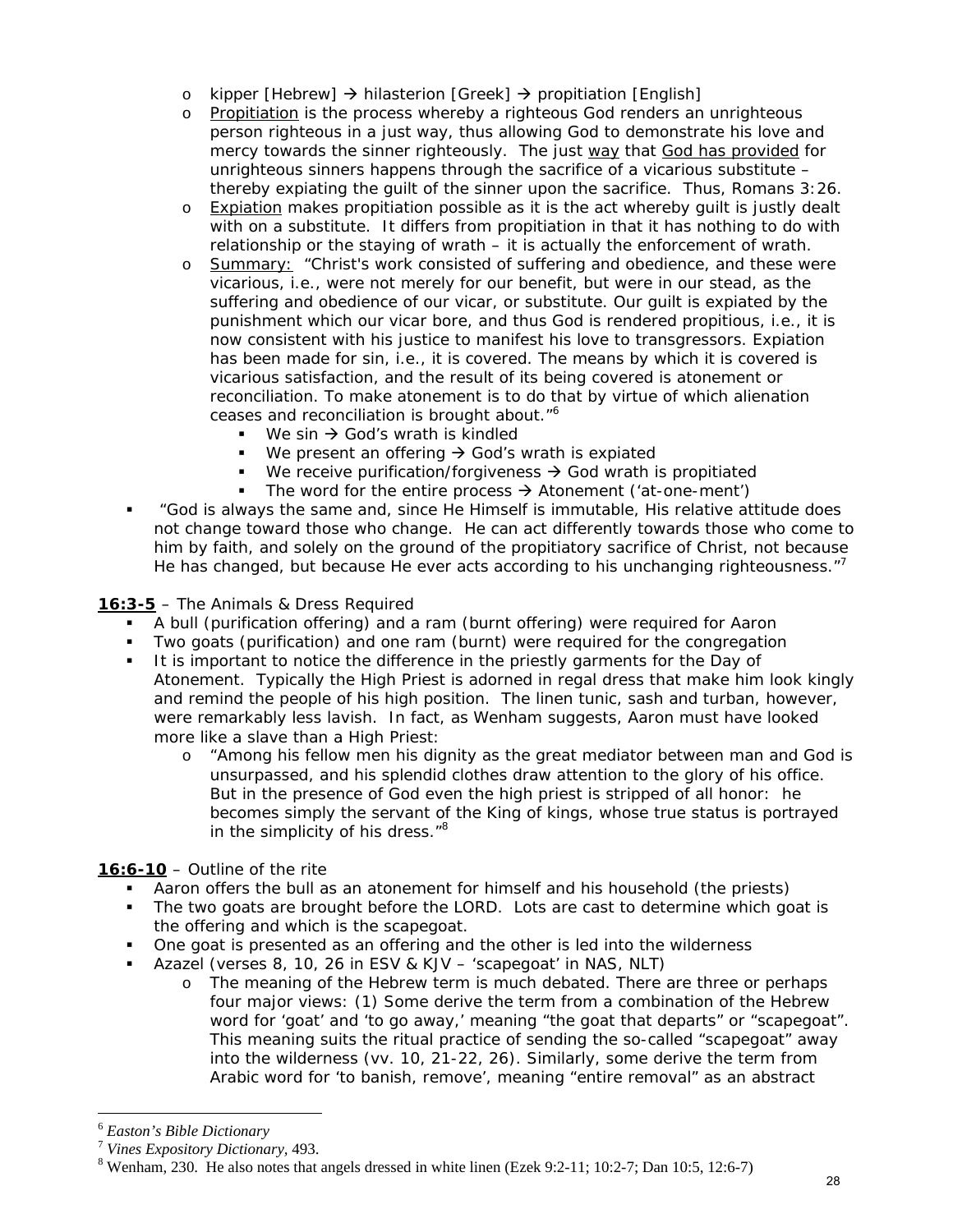- o *kipper* [Hebrew] → *hilasterion* [Greek] → *propitiation* [English]
- o Propitiation is the process whereby a righteous God renders an unrighteous person righteous in a just way, thus allowing God to demonstrate his love and mercy towards the sinner righteously. The just *way* that *God has provided* for unrighteous sinners happens through the sacrifice of a vicarious substitute – thereby expiating the guilt of the sinner upon the sacrifice. Thus, Romans 3:26.
- $\circ$  Expiation makes propitiation possible as it is the act whereby quilt is justly dealt with on a substitute. It differs from propitiation in that it has nothing to do with relationship or the staying of wrath – it is actually the enforcement of wrath.
- o Summary: "Christ's work consisted of suffering and obedience, and these were vicarious, i.e., were not merely for our benefit, but were in our stead, as the suffering and obedience of our vicar, or substitute. Our guilt is expiated by the punishment which our vicar bore, and thus God is rendered propitious, i.e., it is now consistent with his justice to manifest his love to transgressors. Expiation has been made for sin, i.e., it is covered. The means by which it is covered is vicarious satisfaction, and the result of its being covered is atonement or reconciliation. To make atonement is to do that by virtue of which alienation ceases and reconciliation is brought about."<sup>6</sup>
	- We sin  $\rightarrow$  God's wrath is kindled
	- We present an offering  $\rightarrow$  God's wrath is expiated
	- We receive purification/forgiveness  $\rightarrow$  God wrath is propitiated
	- The word for the entire process  $\rightarrow$  Atonement ('at-one-ment')
- "God is always the same and, since He Himself is immutable, His relative attitude does not change toward those who change. He can act differently towards those who come to him by faith, and solely on the ground of the propitiatory sacrifice of Christ, not because He has changed, but because He ever acts according to his unchanging righteousness."

#### **16:3-5** – The Animals & Dress Required

- A bull (purification offering) and a ram (burnt offering) were required for Aaron
- Two goats (purification) and one ram (burnt) were required for the congregation
- It is important to notice the difference in the priestly garments for the Day of Atonement. Typically the High Priest is adorned in regal dress that make him look kingly and remind the people of his high position. The linen tunic, sash and turban, however, were remarkably less lavish. In fact, as Wenham suggests, Aaron must have looked more like a slave than a High Priest:
	- o "Among his fellow men his dignity as the great mediator between man and God is unsurpassed, and his splendid clothes draw attention to the glory of his office. But in the presence of God even the high priest is stripped of all honor: he becomes simply the servant of the King of kings, whose true status is portrayed in the simplicity of his dress."<sup>8</sup>

#### **16:6-10** – Outline of the rite

- Aaron offers the bull as an atonement for himself and his household (the priests)
- The two goats are brought before the LORD. Lots are cast to determine which goat is the offering and which is the scapegoat.
- One goat is presented as an offering and the other is led into the wilderness
- *Azazel* (verses 8, 10, 26 in ESV & KJV 'scapegoat' in NAS, NLT)
	- o The meaning of the Hebrew term is much debated. There are three or perhaps four major views: (1) Some derive the term from a combination of the Hebrew word for 'goat' and 'to go away,' meaning "the goat that departs" or "scapegoat". This meaning suits the ritual practice of sending the so-called "scapegoat" away into the wilderness (vv. 10, 21-22, 26). Similarly, some derive the term from Arabic word for 'to banish, remove', meaning "entire removal" as an abstract

<sup>6</sup> *Easton's Bible Dictionary* 

<sup>7</sup> *Vines Expository Dictionary,* 493. 8

 $8$  Wenham, 230. He also notes that angels dressed in white linen (Ezek 9:2-11; 10:2-7; Dan 10:5, 12:6-7)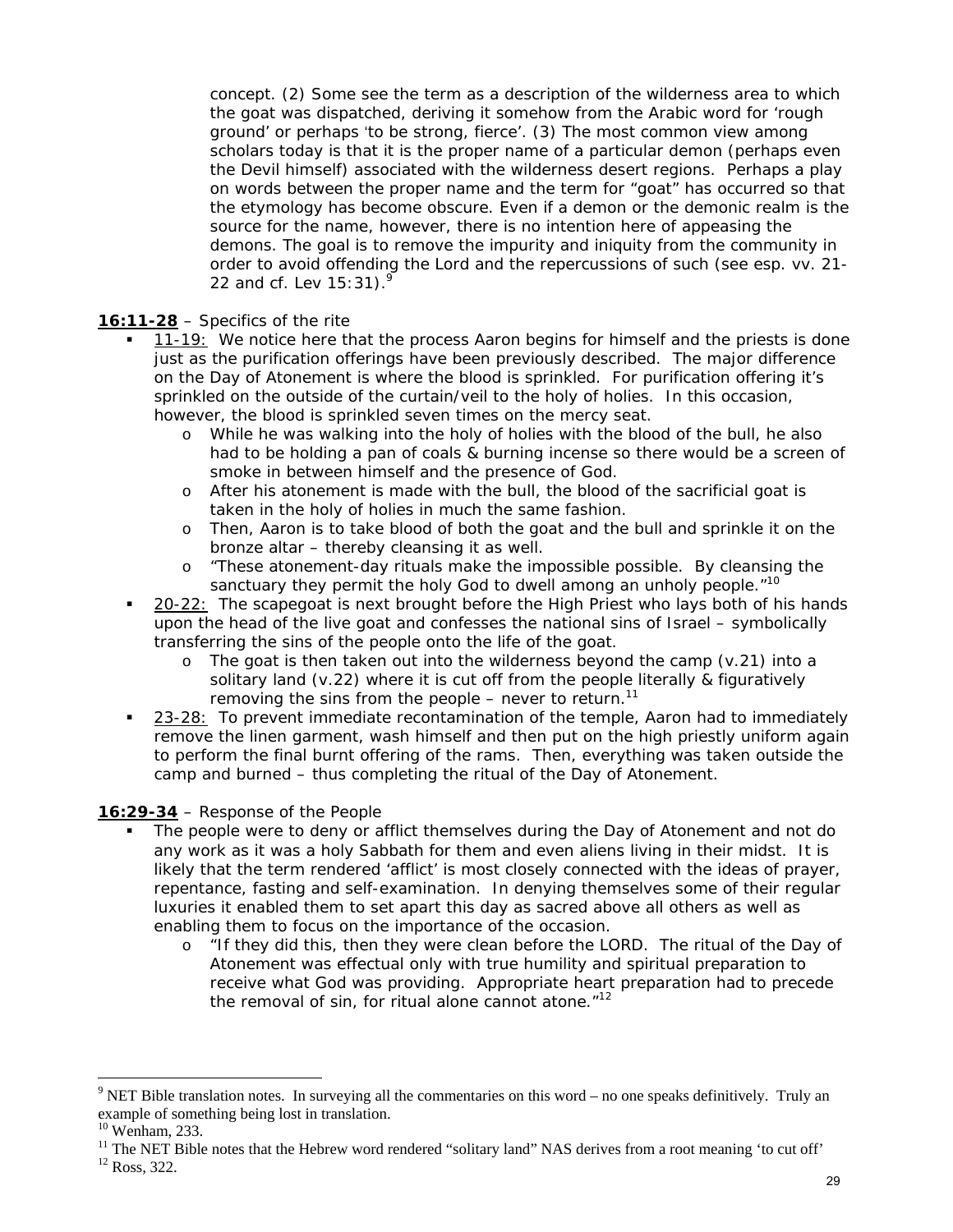concept. (2) Some see the term as a description of the wilderness area to which the goat was dispatched, deriving it somehow from the Arabic word for 'rough ground' or perhaps 'to be strong, fierce'. (3) The most common view among scholars today is that it is the proper name of a particular demon (perhaps even the Devil himself) associated with the wilderness desert regions. Perhaps a play on words between the proper name and the term for "goat" has occurred so that the etymology has become obscure. Even if a demon or the demonic realm is the source for the name, however, there is no intention here of appeasing the demons. The goal is to remove the impurity and iniquity from the community in order to avoid offending the Lord and the repercussions of such (see esp. vv. 21- 22 and cf. Lev 15:31).<sup>9</sup>

#### **16:11-28** – Specifics of the rite

- 11-19: We notice here that the process Aaron begins for himself and the priests is done just as the purification offerings have been previously described. The major difference on the Day of Atonement is where the blood is sprinkled. For purification offering it's sprinkled on the outside of the curtain/veil to the holy of holies. In this occasion, however, the blood is sprinkled seven times on the mercy seat.
	- o While he was walking into the holy of holies with the blood of the bull, he also had to be holding a pan of coals & burning incense so there would be a screen of smoke in between himself and the presence of God.
	- o After his atonement is made with the bull, the blood of the sacrificial goat is taken in the holy of holies in much the same fashion.
	- o Then, Aaron is to take blood of both the goat and the bull and sprinkle it on the bronze altar – thereby cleansing it as well.
	- o "These atonement-day rituals make the impossible possible. By cleansing the sanctuary they permit the holy God to dwell among an unholy people."<sup>10</sup>
- 20-22: The scapegoat is next brought before the High Priest who lays both of his hands upon the head of the live goat and confesses the national sins of Israel – symbolically transferring the sins of the people onto the life of the goat.
	- $\circ$  The goat is then taken out into the wilderness beyond the camp (v.21) into a solitary land (v.22) where it is cut off from the people literally & figuratively removing the sins from the people  $-$  never to return.<sup>11</sup>
- 23-28: To prevent immediate recontamination of the temple, Aaron had to immediately remove the linen garment, wash himself and then put on the high priestly uniform again to perform the final burnt offering of the rams. Then, everything was taken outside the camp and burned – thus completing the ritual of the Day of Atonement.

#### **16:29-34** – Response of the People

- The people were to deny or afflict themselves during the Day of Atonement and not do any work as it was a holy Sabbath for them and even aliens living in their midst. It is likely that the term rendered 'afflict' is most closely connected with the ideas of prayer, repentance, fasting and self-examination. In denying themselves some of their regular luxuries it enabled them to set apart this day as sacred above all others as well as enabling them to focus on the importance of the occasion.
	- o "If they did this, then they were clean before the LORD. The ritual of the Day of Atonement was effectual only with true humility and spiritual preparation to receive what God was providing. Appropriate heart preparation had to precede the removal of sin, for ritual alone cannot atone. $1^{12}$

 $9$  NET Bible translation notes. In surveying all the commentaries on this word – no one speaks definitively. Truly an example of something being lost in translation.

 $10$  Wenham, 233.

<sup>&</sup>lt;sup>11</sup> The NET Bible notes that the Hebrew word rendered "solitary land" NAS derives from a root meaning 'to cut off'  $^{12}$  Ross, 322.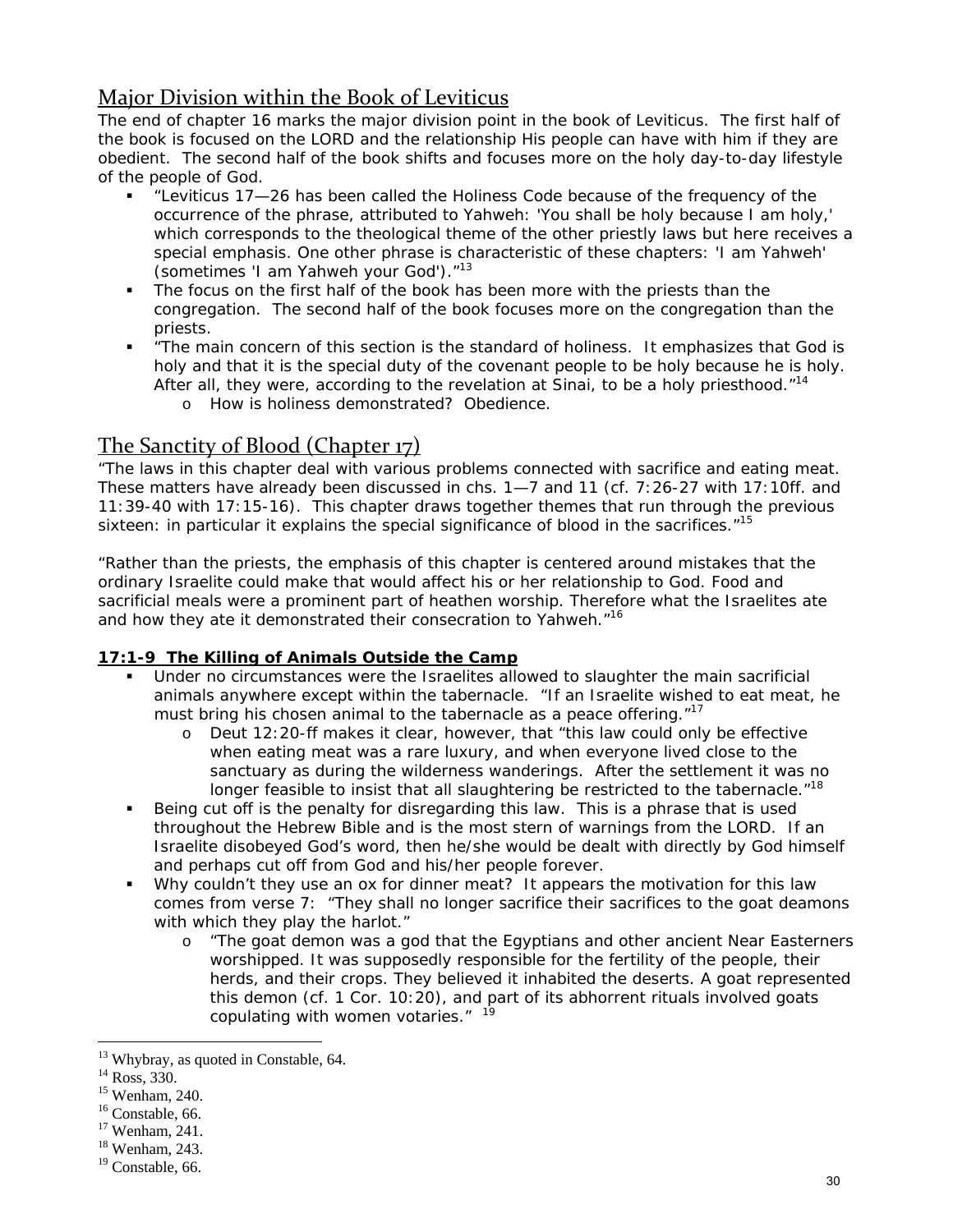# Major Division within the Book of Leviticus

The end of chapter 16 marks the major division point in the book of Leviticus. The first half of the book is focused on the LORD and the relationship His people can have with him if they are obedient. The second half of the book shifts and focuses more on the holy day-to-day lifestyle of the people of God.

- "Leviticus 17—26 has been called the Holiness Code because of the frequency of the occurrence of the phrase, attributed to Yahweh: 'You shall be holy because I am holy,' which corresponds to the theological theme of the other priestly laws but here receives a special emphasis. One other phrase is characteristic of these chapters: 'I am Yahweh' (sometimes 'I am Yahweh your God')."13
- The focus on the first half of the book has been more with the priests than the congregation. The second half of the book focuses more on the congregation than the priests.
- "The main concern of this section is the standard of holiness. It emphasizes that God is holy and that it is the special duty of the covenant people to be holy because he is holy. After all, they were, according to the revelation at Sinai, to be a holy priesthood."<sup>14</sup>
	- o How is holiness demonstrated? Obedience.

## The Sanctity of Blood (Chapter 17)

"The laws in this chapter deal with various problems connected with sacrifice and eating meat. These matters have already been discussed in chs. 1—7 and 11 (cf. 7:26-27 with 17:10ff. and 11:39-40 with 17:15-16). This chapter draws together themes that run through the previous sixteen: in particular it explains the special significance of blood in the sacrifices. $15$ 

"Rather than the priests, the emphasis of this chapter is centered around mistakes that the ordinary Israelite could make that would affect his or her relationship to God. Food and sacrificial meals were a prominent part of heathen worship. Therefore what the Israelites ate and how they ate it demonstrated their consecration to Yahweh."<sup>16</sup>

#### **17:1-9 The Killing of Animals Outside the Camp**

- Under no circumstances were the Israelites allowed to slaughter the main sacrificial animals anywhere except within the tabernacle. "If an Israelite wished to eat meat, he must bring his chosen animal to the tabernacle as a peace offering."<sup>17</sup>
	- o Deut 12:20-ff makes it clear, however, that "this law could only be effective when eating meat was a rare luxury, and when everyone lived close to the sanctuary as during the wilderness wanderings. After the settlement it was no longer feasible to insist that all slaughtering be restricted to the tabernacle."<sup>18</sup>
- Being cut off is the penalty for disregarding this law. This is a phrase that is used throughout the Hebrew Bible and is the most stern of warnings from the LORD. If an Israelite disobeyed God's word, then he/she would be dealt with directly by God himself and perhaps cut off from God and his/her people forever.
- Why couldn't they use an ox for dinner meat? It appears the motivation for this law comes from verse 7: "They shall no longer sacrifice their sacrifices to the goat deamons with which they play the harlot."
	- o "The goat demon was a god that the Egyptians and other ancient Near Easterners worshipped. It was supposedly responsible for the fertility of the people, their herds, and their crops. They believed it inhabited the deserts. A goat represented this demon (cf. 1 Cor. 10:20), and part of its abhorrent rituals involved goats copulating with women votaries." <sup>19</sup>

<sup>&</sup>lt;sup>13</sup> Whybray, as quoted in Constable, 64.

<sup>&</sup>lt;sup>14</sup> Ross, 330.

<sup>15</sup> Wenham, 240.

<sup>&</sup>lt;sup>16</sup> Constable, 66.

<sup>17</sup> Wenham, 241.

<sup>18</sup> Wenham, 243.

<sup>&</sup>lt;sup>19</sup> Constable, 66.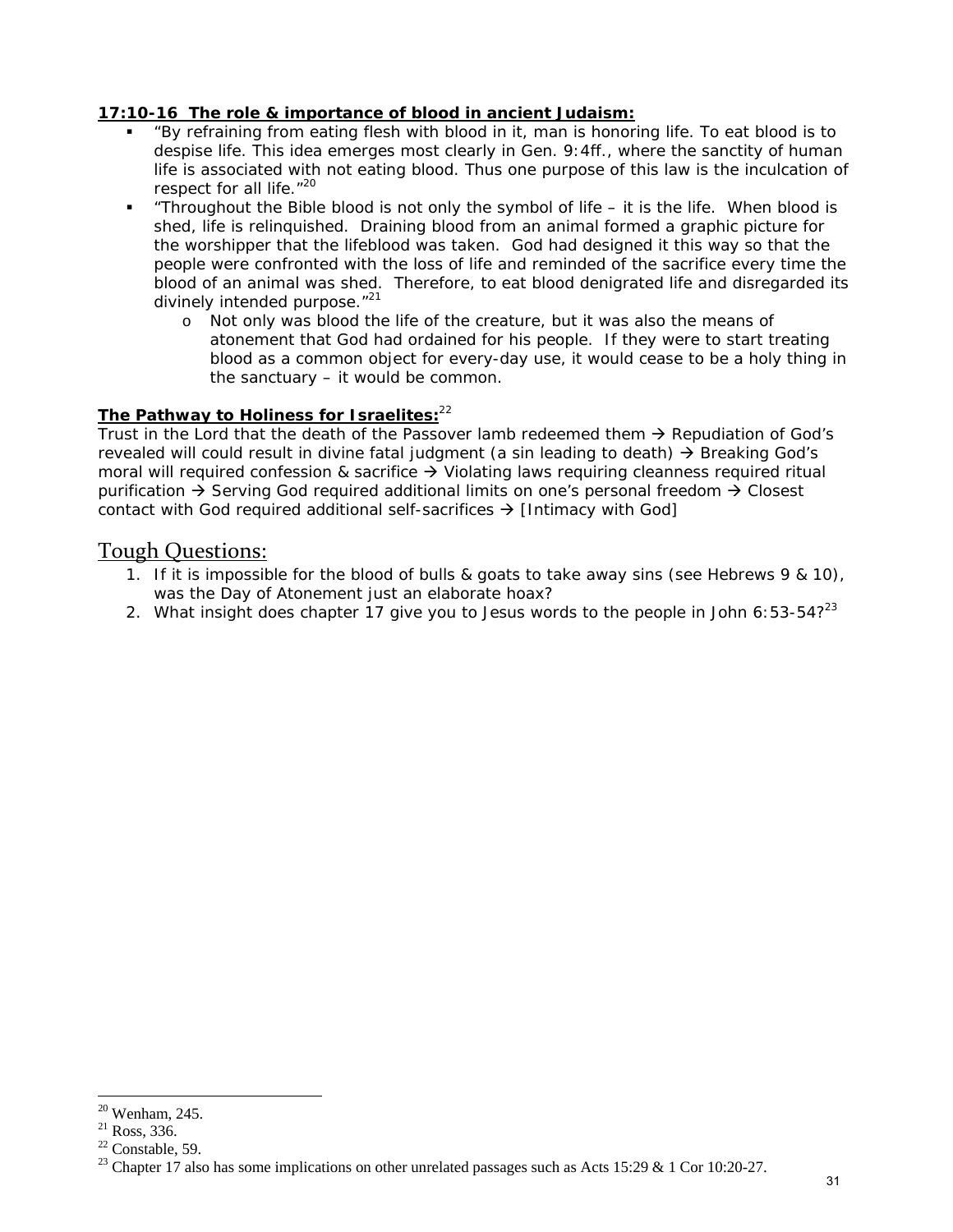#### **17:10-16 The role & importance of blood in ancient Judaism:**

- "By refraining from eating flesh with blood in it, man is honoring life. To eat blood is to despise life. This idea emerges most clearly in Gen. 9:4ff., where the sanctity of human life is associated with not eating blood. Thus one purpose of this law is the inculcation of respect for all life."<sup>20</sup>
- **Throughout the Bible blood is not only the symbol of life it is the life. When blood is** shed, life is relinquished. Draining blood from an animal formed a graphic picture for the worshipper that the lifeblood was taken. God had designed it this way so that the people were confronted with the loss of life and reminded of the sacrifice every time the blood of an animal was shed. Therefore, to eat blood denigrated life and disregarded its divinely intended purpose."<sup>21</sup>
	- o Not only was blood the life of the creature, but it was also the means of atonement that God had ordained for his people. If they were to start treating blood as a common object for every-day use, it would cease to be a holy thing in the sanctuary – it would be common.

#### **The Pathway to Holiness for Israelites:**<sup>22</sup>

Trust in the Lord that the death of the Passover lamb redeemed them  $\rightarrow$  Repudiation of God's revealed will could result in divine fatal judgment (a sin leading to death)  $\rightarrow$  Breaking God's moral will required confession & sacrifice  $\rightarrow$  Violating laws requiring cleanness required ritual purification  $\rightarrow$  Serving God required additional limits on one's personal freedom  $\rightarrow$  Closest contact with God required additional self-sacrifices  $\rightarrow$  [Intimacy with God]

#### Tough Questions:

- 1. If it is impossible for the blood of bulls & goats to take away sins (see Hebrews 9 & 10), was the Day of Atonement just an elaborate hoax?
- 2. What insight does chapter 17 give you to Jesus words to the people in John  $6:53-54$ ? 23

 $20$  Wenham, 245.

 $^{21}$  Ross, 336.

 $22$  Constable, 59.

<sup>&</sup>lt;sup>23</sup> Chapter 17 also has some implications on other unrelated passages such as Acts 15:29 & 1 Cor 10:20-27.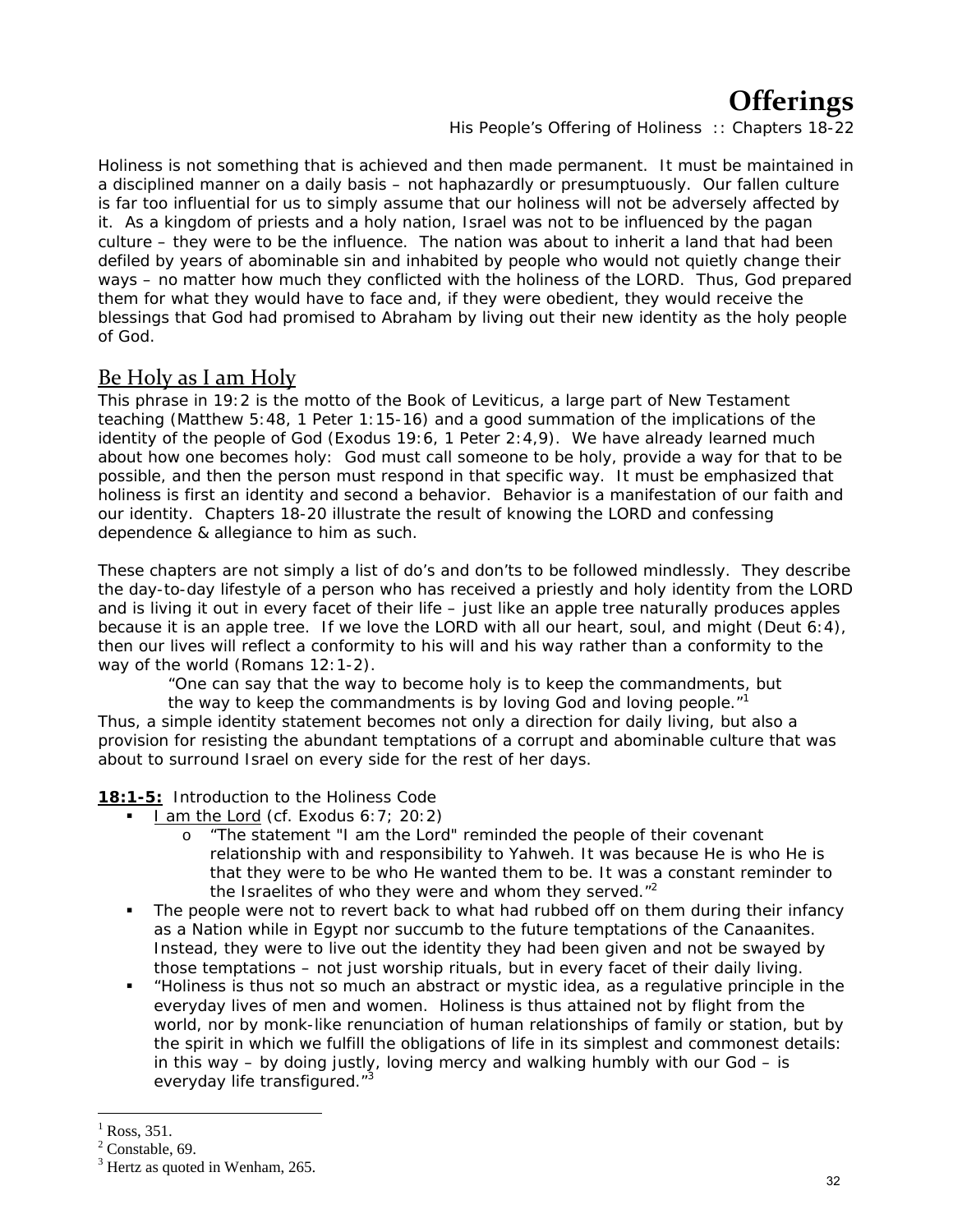# **Offerings**

*His People's Offering of Holiness :: Chapters 18-22*

Holiness is not something that is achieved and then made permanent. It must be maintained in a disciplined manner on a daily basis – not haphazardly or presumptuously. Our fallen culture is far too influential for us to simply assume that our holiness will not be adversely affected by it. As a kingdom of priests and a holy nation, Israel was not to be influenced by the pagan culture – they were to be the influence. The nation was about to inherit a land that had been defiled by years of abominable sin and inhabited by people who would not quietly change their ways – no matter how much they conflicted with the holiness of the LORD. Thus, God prepared them for what they would have to face and, if they were obedient, they would receive the blessings that God had promised to Abraham by living out their new identity as the holy people of God.

# Be Holy as I am Holy

This phrase in 19:2 is the motto of the Book of Leviticus, a large part of New Testament teaching (Matthew 5:48, 1 Peter 1:15-16) and a good summation of the implications of the identity of the people of God (Exodus 19:6, 1 Peter 2:4,9). We have already learned much about how one becomes holy: God must call someone to be holy, provide a way for that to be possible, and then the person must respond in that specific way. It must be emphasized that holiness is first an identity and second a behavior. Behavior is a manifestation of our faith and our identity. Chapters 18-20 illustrate *the result* of knowing the LORD and confessing dependence & allegiance to him as such.

These chapters are not simply a list of do's and don'ts to be followed mindlessly. They describe the day-to-day lifestyle of a person who has received a priestly and holy identity from the LORD and is living it out in every facet of their life – just like an apple tree naturally produces apples because it is an apple tree. If we love the LORD with all our heart, soul, and might (Deut 6:4), then our lives will reflect a conformity to his will and his way rather than a conformity to the way of the world (Romans 12:1-2).

"One can say that the way to become holy is to keep the commandments, but

the way to keep the commandments is by loving God and loving people."<sup>1</sup> Thus, a simple identity statement becomes not only a direction for daily living, but also a provision for resisting the abundant temptations of a corrupt and abominable culture that was about to surround Israel on every side for the rest of her days.

**18:1-5:** Introduction to the Holiness Code

- I am the Lord (cf. Exodus 6:7; 20:2)
	- o "The statement "I am the Lord" reminded the people of their covenant relationship with and responsibility to Yahweh. It was because He is who He is that they were to be who He wanted them to be. It was a constant reminder to the Israelites of who they were and whom they served. $<sup>n2</sup>$ </sup>
- The people were not to revert back to what had rubbed off on them during their infancy as a Nation while in Egypt nor succumb to the future temptations of the Canaanites. Instead, they were to live out the identity they had been given and not be swayed by those temptations – not just worship rituals, but in every facet of their daily living.
- "Holiness is thus not so much an abstract or mystic idea, as a regulative principle in the everyday lives of men and women. Holiness is thus attained not by flight from the world, nor by monk-like renunciation of human relationships of family or station, but by the spirit in which we fulfill the obligations of life in its simplest and commonest details: in this way – by doing justly, loving mercy and walking humbly with our  $God - is$ everyday life transfigured."<sup>3</sup>

<sup>1</sup> Ross, 351.

 $<sup>2</sup>$  Constable, 69.</sup>

 $3$  Hertz as quoted in Wenham, 265.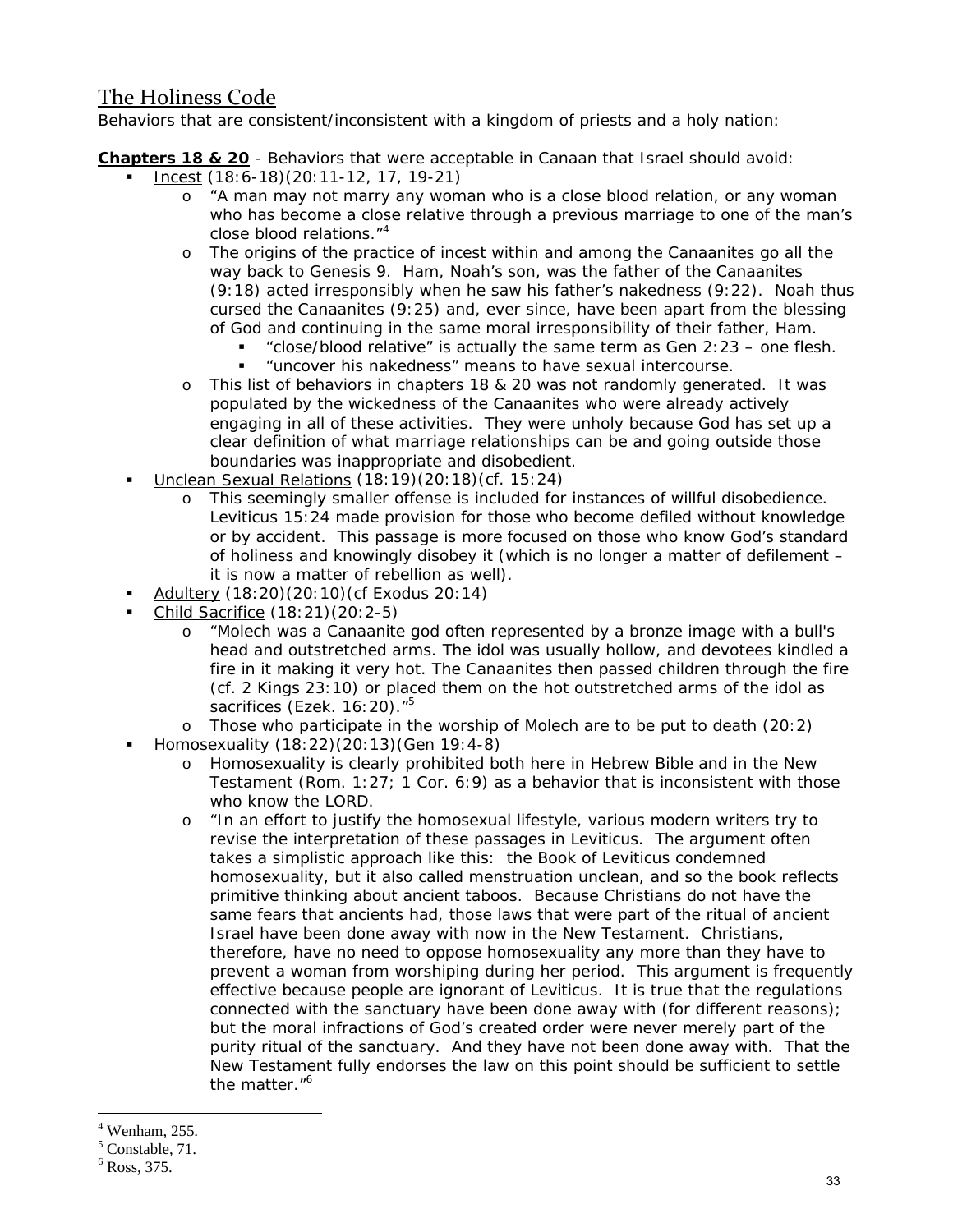# The Holiness Code

Behaviors that are consistent/inconsistent with a kingdom of priests and a holy nation:

**Chapters 18 & 20** - *Behaviors that were acceptable in Canaan that Israel should avoid:*

- Incest (18:6-18)(20:11-12, 17, 19-21)
	- o "A man may not marry any woman who is a close blood relation, or any woman who has become a close relative through a previous marriage to one of the man's close blood relations."4
	- o The origins of the practice of incest within and among the Canaanites go all the way back to Genesis 9. Ham, Noah's son, was the father of the Canaanites (9:18) acted irresponsibly when he saw his father's nakedness (9:22). Noah thus cursed the Canaanites (9:25) and, ever since, have been apart from the blessing of God and continuing in the same moral irresponsibility of their father, Ham.
		- "close/blood relative" is actually the same term as Gen 2:23 one flesh.
		- "uncover his nakedness" means to have sexual intercourse.
	- o This list of behaviors in chapters 18 & 20 was not randomly generated. It was populated by the wickedness of the Canaanites who were already actively engaging in all of these activities. They were unholy because God has set up a clear definition of what marriage relationships can be and going outside those boundaries was inappropriate and disobedient.
- Unclean Sexual Relations (18:19)(20:18)(cf. 15:24)
	- o This seemingly smaller offense is included for instances of willful disobedience. Leviticus 15:24 made provision for those who become defiled without knowledge or by accident. This passage is more focused on those who know God's standard of holiness and knowingly disobey it (which is no longer a matter of defilement – it is now a matter of rebellion as well).
- Adultery (18:20)(20:10)(cf Exodus 20:14)
- Child Sacrifice (18:21)(20:2-5)
	- o "Molech was a Canaanite god often represented by a bronze image with a bull's head and outstretched arms. The idol was usually hollow, and devotees kindled a fire in it making it very hot. The Canaanites then passed children through the fire (cf. 2 Kings 23:10) or placed them on the hot outstretched arms of the idol as sacrifices (Ezek. 16:20)."<sup>5</sup>
	- $\circ$  Those who participate in the worship of Molech are to be put to death (20:2)
- Homosexuality (18:22)(20:13)(Gen 19:4-8)
	- o Homosexuality is clearly prohibited both here in Hebrew Bible and in the New Testament (Rom. 1:27; 1 Cor. 6:9) as a behavior that is inconsistent with those who know the LORD.
	- o "In an effort to justify the homosexual lifestyle, various modern writers try to revise the interpretation of these passages in Leviticus. The argument often takes a simplistic approach like this: the Book of Leviticus condemned homosexuality, but it also called menstruation unclean, and so the book reflects primitive thinking about ancient taboos. Because Christians do not have the same fears that ancients had, those laws that were part of the ritual of ancient Israel have been done away with now in the New Testament. Christians, therefore, have no need to oppose homosexuality any more than they have to prevent a woman from worshiping during her period. This argument is frequently effective because people are ignorant of Leviticus. It is true that the regulations connected with the sanctuary have been done away with (for different reasons); but the moral infractions of God's created order were never merely part of the purity ritual of the sanctuary. And they have not been done away with. That the New Testament fully endorses the law on this point should be sufficient to settle the matter."<sup>6</sup>

<sup>4</sup> Wenham, 255.

<sup>&</sup>lt;sup>5</sup> Constable, 71.

 $6$  Ross, 375.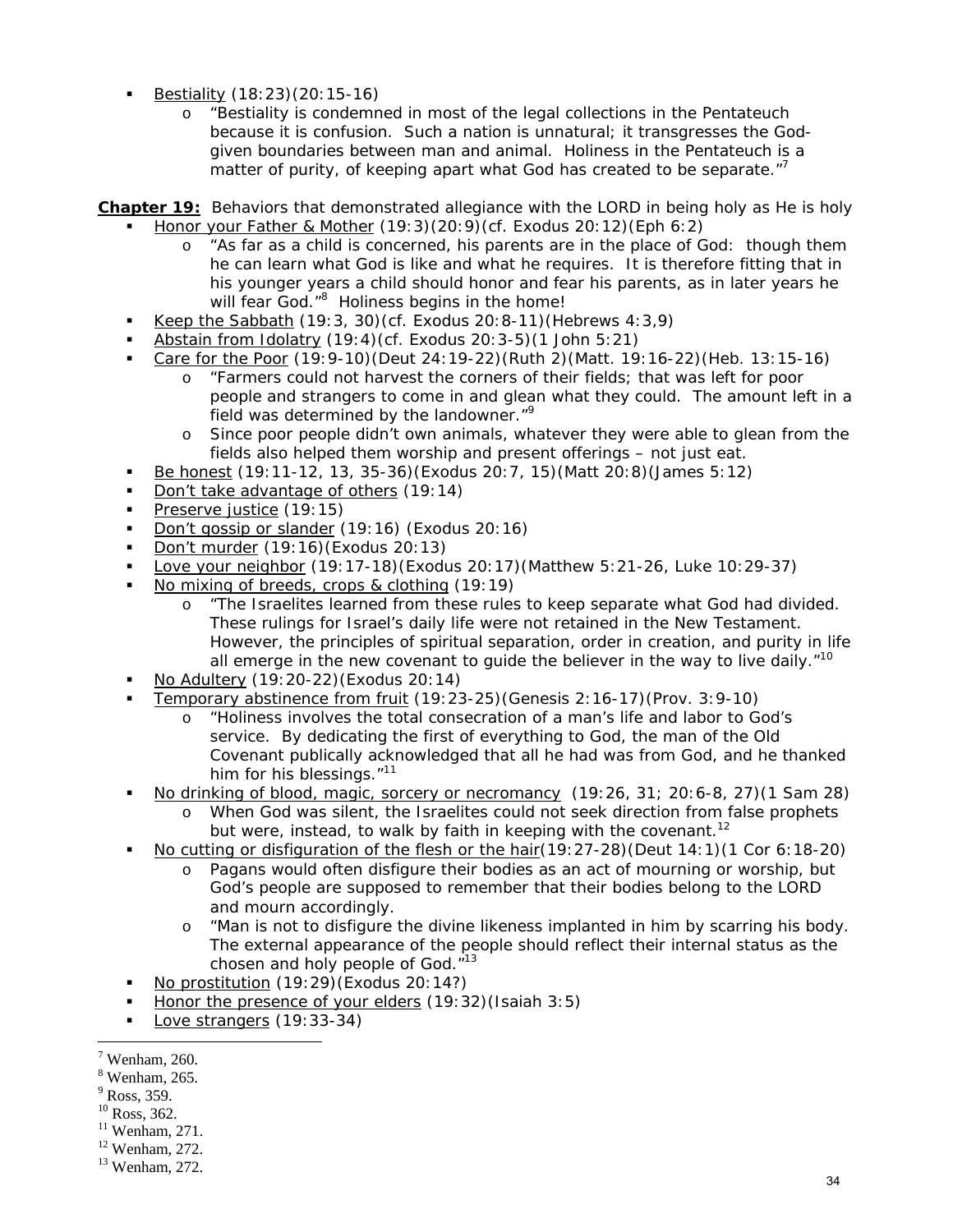- Bestiality (18:23)(20:15-16)
	- o "Bestiality is condemned in most of the legal collections in the Pentateuch because it is confusion. Such a nation is unnatural; it transgresses the Godgiven boundaries between man and animal. Holiness in the Pentateuch is a matter of purity, of keeping apart what God has created to be separate."<sup>7</sup>

#### **Chapter 19:** *Behaviors that demonstrated allegiance with the LORD in being holy as He is holy*  Honor your Father & Mother (19:3)(20:9)(cf. Exodus 20:12)(Eph 6:2)

- o "As far as a child is concerned, his parents are in the place of God: though them he can learn what God is like and what he requires. It is therefore fitting that in his younger years a child should honor and fear his parents, as in later years he will fear God.<sup>"8</sup> Holiness begins in the home!
- Keep the Sabbath (19:3, 30)(cf. Exodus 20:8-11)(Hebrews 4:3,9)
- Abstain from Idolatry (19:4)(cf. Exodus 20:3-5)(1 John 5:21)
- Care for the Poor (19:9-10)(Deut 24:19-22)(Ruth 2)(Matt. 19:16-22)(Heb. 13:15-16)
	- o "Farmers could not harvest the corners of their fields; that was left for poor people and strangers to come in and glean what they could. The amount left in a field was determined by the landowner."9
	- o Since poor people didn't own animals, whatever they were able to glean from the fields also helped them worship and present offerings – not just eat.
- Be honest (19:11-12, 13, 35-36)(Exodus 20:7, 15)(Matt 20:8)(James 5:12)
- Don't take advantage of others (19:14)
- Preserve justice (19:15)
- Don't gossip or slander (19:16) (Exodus 20:16)
- Don't murder (19:16)(Exodus 20:13)
- Love your neighbor (19:17-18)(Exodus 20:17)(Matthew 5:21-26, Luke 10:29-37)
- No mixing of breeds, crops & clothing (19:19)
	- o "The Israelites learned from these rules to keep separate what God had divided. These rulings for Israel's daily life were not retained in the New Testament. However, the principles of spiritual separation, order in creation, and purity in life all emerge in the new covenant to quide the believer in the way to live daily. $10^{-10}$
- No Adultery (19:20-22)(Exodus 20:14)
- Temporary abstinence from fruit (19:23-25)(Genesis 2:16-17)(Prov. 3:9-10)
	- o "Holiness involves the total consecration of a man's life and labor to God's service. By dedicating the first of everything to God, the man of the Old Covenant publically acknowledged that all he had was from God, and he thanked him for his blessings."<sup>11</sup>
- No drinking of blood, magic, sorcery or necromancy (19:26, 31; 20:6-8, 27)(1 Sam 28)
	- o When God was silent, the Israelites could not seek direction from false prophets but were, instead, to walk by faith in keeping with the covenant.<sup>12</sup>
- No cutting or disfiguration of the flesh or the hair(19:27-28)(Deut 14:1)(1 Cor 6:18-20)
	- o Pagans would often disfigure their bodies as an act of mourning or worship, but God's people are supposed to remember that their bodies belong to the LORD and mourn accordingly.
	- o "Man is not to disfigure the divine likeness implanted in him by scarring his body. The external appearance of the people should reflect their internal status as the chosen and holy people of God."<sup>13</sup>
- No prostitution (19:29)(Exodus 20:14?)
- Honor the presence of your elders (19:32)(Isaiah 3:5)
- Love strangers (19:33-34)

<sup>9</sup> Ross, 359.

- <sup>10</sup> Ross, 362.
- $11$  Wenham, 271.
- 12 Wenham, 272.

 $7$  Wenham, 260.

<sup>8</sup> Wenham, 265.

<sup>13</sup> Wenham, 272.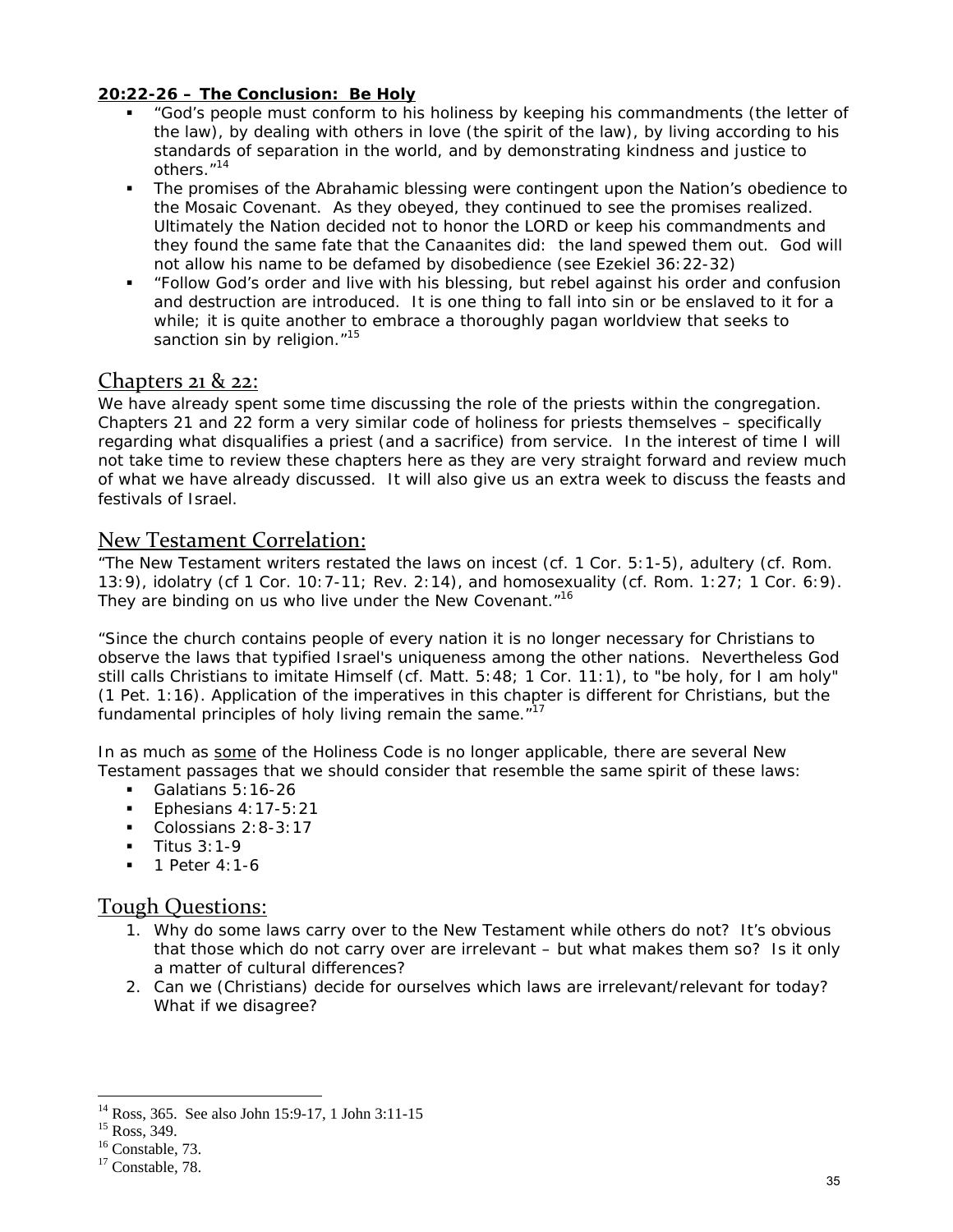#### **20:22-26 – The Conclusion: Be Holy**

- "God's people must conform to his holiness by keeping his commandments (the letter of the law), by dealing with others in love (the spirit of the law), by living according to his standards of separation in the world, and by demonstrating kindness and justice to others."14
- The promises of the Abrahamic blessing were contingent upon the Nation's obedience to the Mosaic Covenant. As they obeyed, they continued to see the promises realized. Ultimately the Nation decided not to honor the LORD or keep his commandments and they found the same fate that the Canaanites did: the land spewed them out. God will not allow his name to be defamed by disobedience (see Ezekiel 36:22-32)
- "Follow God's order and live with his blessing, but rebel against his order and confusion and destruction are introduced. It is one thing to fall into sin or be enslaved to it for a while; it is quite another to embrace a thoroughly pagan worldview that seeks to sanction sin by religion."<sup>15</sup>

### Chapters 21 & 22:

We have already spent some time discussing the role of the priests within the congregation. Chapters 21 and 22 form a very similar code of holiness for priests themselves – specifically regarding what disqualifies a priest (and a sacrifice) from service. In the interest of time I will not take time to review these chapters here as they are very straight forward and review much of what we have already discussed. It will also give us an extra week to discuss the feasts and festivals of Israel.

#### New Testament Correlation:

"The New Testament writers restated the laws on incest (cf. 1 Cor. 5:1-5), adultery (cf. Rom. 13:9), idolatry (cf 1 Cor. 10:7-11; Rev. 2:14), and homosexuality (cf. Rom. 1:27; 1 Cor. 6:9). They are binding on us who live under the New Covenant."<sup>16</sup>

"Since the church contains people of every nation it is no longer necessary for Christians to observe the laws that typified Israel's uniqueness among the other nations. Nevertheless God still calls Christians to imitate Himself (cf. Matt. 5:48; 1 Cor. 11:1), to "be holy, for I am holy" (1 Pet. 1:16). Application of the imperatives in this chapter is different for Christians, but the fundamental principles of holy living remain the same. $17$ 

In as much as *some* of the Holiness Code is no longer applicable, there are several New Testament passages that we should consider that resemble the same *spirit* of these laws:

- Galatians  $5:16-26$
- Ephesians  $4:17-5:21$
- Colossians 2:8-3:17
- Titus 3:1-9
- $-1$  Peter 4:1-6

#### Tough Questions:

- 1. Why do some laws carry over to the New Testament while others do not? It's obvious that those which do not carry over are irrelevant – but what makes them so? Is it only a matter of cultural differences?
- 2. Can we (Christians) decide for ourselves which laws are irrelevant/relevant for today? What if we disagree?

<sup>14</sup> Ross, 365. See also John 15:9-17, 1 John 3:11-15

<sup>&</sup>lt;sup>15</sup> Ross, 349.

 $16$  Constable, 73.

<sup>&</sup>lt;sup>17</sup> Constable, 78.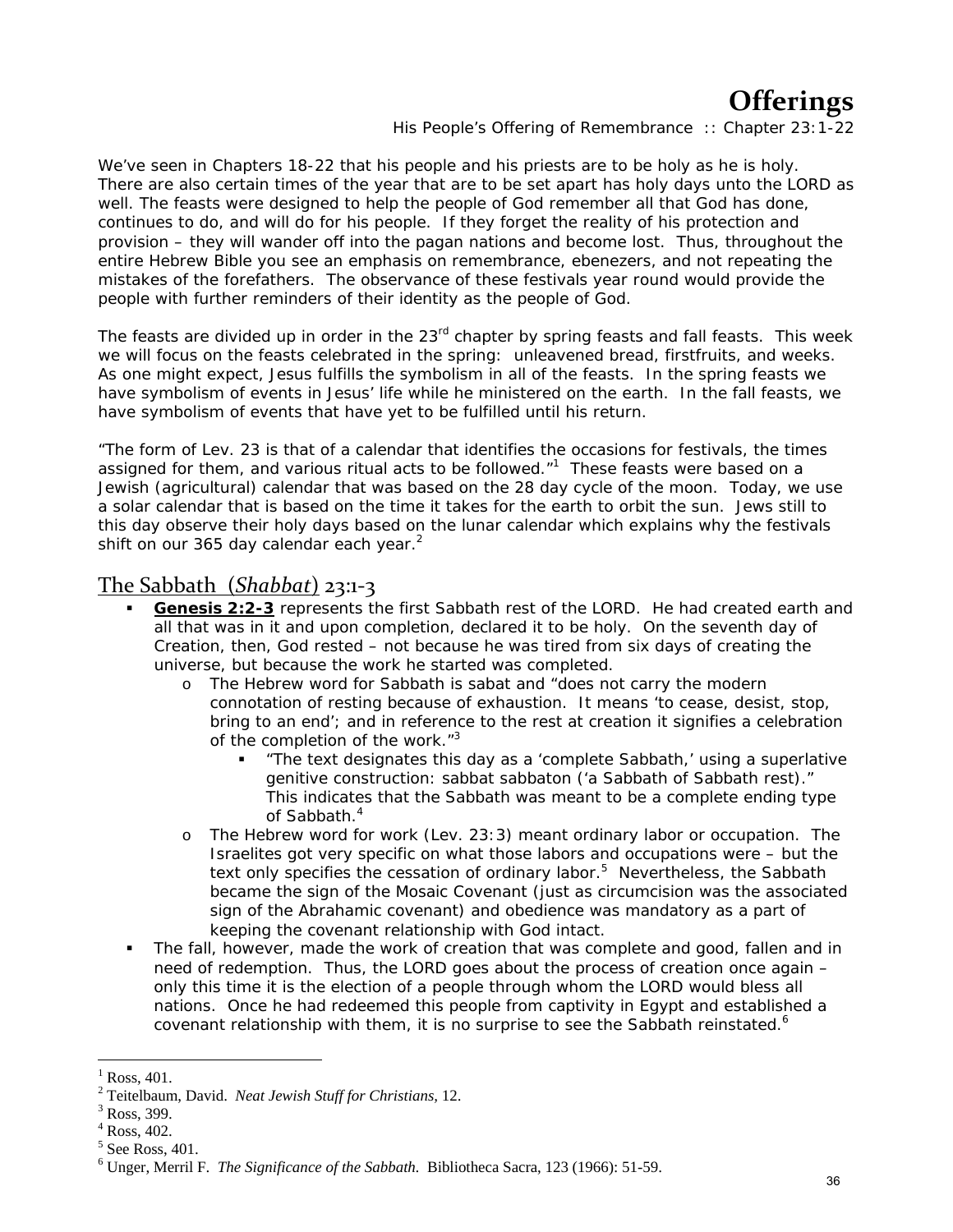# **Offerings**

*His People's Offering of Remembrance :: Chapter 23:1-22*

We've seen in Chapters 18-22 that his people and his priests are to be holy as he is holy. There are also certain times of the year that are to be set apart has holy days unto the LORD as well. The feasts were designed to help the people of God remember all that God has done, continues to do, and will do for his people. If they forget the reality of his protection and provision – they will wander off into the pagan nations and become lost. Thus, throughout the entire Hebrew Bible you see an emphasis on remembrance, ebenezers, and not repeating the mistakes of the forefathers. The observance of these festivals year round would provide the people with further reminders of their identity as the people of God.

The feasts are divided up in order in the 23<sup>rd</sup> chapter by spring feasts and fall feasts. This week we will focus on the feasts celebrated in the spring: unleavened bread, firstfruits, and weeks. As one might expect, Jesus fulfills the symbolism in all of the feasts. In the spring feasts we have symbolism of events in Jesus' life while he ministered on the earth. In the fall feasts, we have symbolism of events that have yet to be fulfilled until his return.

"The form of Lev. 23 is that of a calendar that identifies the occasions for festivals, the times assigned for them, and various ritual acts to be followed. $n^1$  These feasts were based on a Jewish (agricultural) calendar that was based on the 28 day cycle of the moon. Today, we use a solar calendar that is based on the time it takes for the earth to orbit the sun. Jews still to this day observe their holy days based on the lunar calendar which explains why the festivals shift on our 365 day calendar each year. $2$ 

### The Sabbath (*Shabbat*) 23:1‐3

- **Genesis 2:2-3** represents the first Sabbath rest of the LORD. He had created earth and all that was in it and upon completion, declared it to be holy. On the seventh day of Creation, then, God rested – not because he was tired from six days of creating the universe, but because the work he started was completed.
	- o The Hebrew word for Sabbath is *sabat* and "does not carry the modern connotation of resting because of exhaustion. It means 'to cease, desist, stop, bring to an end'; and in reference to the rest at creation it signifies a celebration of the completion of the work."<sup>3</sup>
		- "The text designates this day as a 'complete Sabbath,' using a superlative genitive construction: *sabbat sabbaton* ('a Sabbath of Sabbath rest)." This indicates that the Sabbath was meant to be a complete ending type of Sabbath.<sup>4</sup>
	- o The Hebrew word for work (Lev. 23:3) meant ordinary labor or occupation. The Israelites got very specific on what those labors and occupations were – but the text only specifies the cessation of ordinary labor.<sup>5</sup> Nevertheless, the Sabbath became the sign of the Mosaic Covenant (just as circumcision was the associated sign of the Abrahamic covenant) and obedience was mandatory as a part of keeping the covenant relationship with God intact.
- The fall, however, made the work of creation that was complete and good, fallen and in need of redemption. Thus, the LORD goes about the process of creation once again – only this time it is the election of a people through whom the LORD would bless all nations. Once he had redeemed this people from captivity in Egypt and established a covenant relationship with them, it is no surprise to see the Sabbath reinstated.<sup>6</sup>

 $\overline{a}$  $<sup>1</sup>$  Ross, 401.</sup>

<sup>&</sup>lt;sup>2</sup> Teitelbaum, David. *Neat Jewish Stuff for Christians*, 12.<br><sup>3</sup> Boss, <sup>200</sup>

Ross, 399.

<sup>4</sup> Ross, 402.

 $<sup>5</sup>$  See Ross, 401.</sup>

<sup>6</sup> Unger, Merril F. *The Significance of the Sabbath.* Bibliotheca Sacra, 123 (1966): 51-59.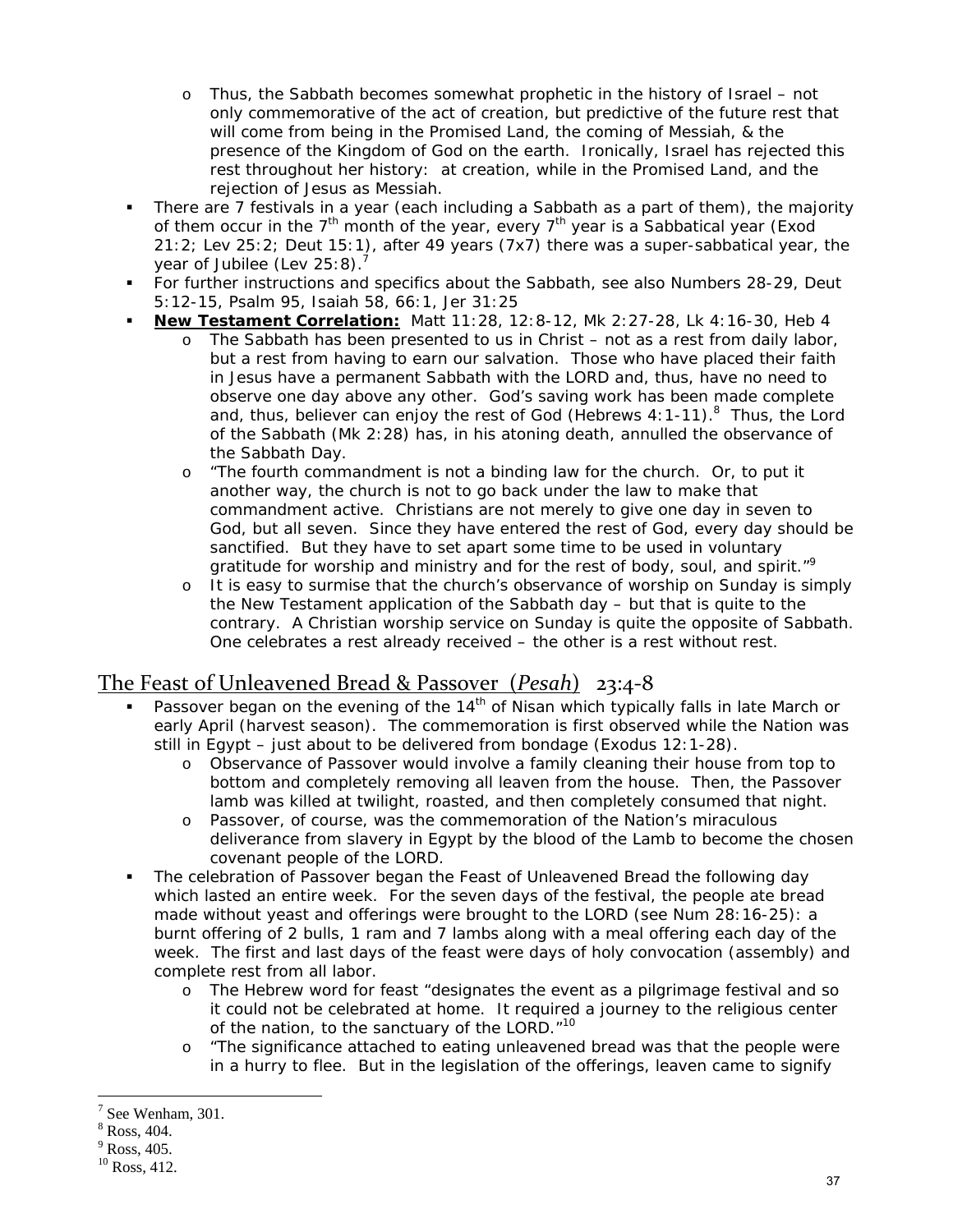- Thus, the Sabbath becomes somewhat prophetic in the history of Israel not only commemorative of the act of creation, but predictive of the future rest that will come from being in the Promised Land, the coming of Messiah, & the presence of the Kingdom of God on the earth. Ironically, Israel has rejected this rest throughout her history: at creation, while in the Promised Land, and the rejection of Jesus as Messiah.
- There are 7 festivals in a year (each including a Sabbath as a part of them), the majority of them occur in the  $7<sup>th</sup>$  month of the year, every  $7<sup>th</sup>$  year is a Sabbatical year (Exod 21:2; Lev 25:2; Deut 15:1), after 49 years (7x7) there was a super-sabbatical year, the year of Jubilee (Lev 25:8).<sup>7</sup>
- For further instructions and specifics about the Sabbath, see also Numbers 28-29, Deut 5:12-15, Psalm 95, Isaiah 58, 66:1, Jer 31:25
- **New Testament Correlation:** Matt 11:28, 12:8-12, Mk 2:27-28, Lk 4:16-30, Heb 4
	- o The Sabbath has been presented to us in Christ not as a rest from daily labor, but a rest from having to earn our salvation. Those who have placed their faith in Jesus have a permanent Sabbath with the LORD and, thus, have no need to observe one day above any other. God's saving work has been made complete and, thus, believer can enjoy the rest of God (Hebrews 4:1-11).<sup>8</sup> Thus, the Lord of the Sabbath (Mk 2:28) has, in his atoning death, annulled the observance of the Sabbath Day.
	- o "The fourth commandment is not a binding law for the church. Or, to put it another way, the church is not to go back under the law to make that commandment active. Christians are not merely to give one day in seven to God, but all seven. Since they have entered the rest of God, every day should be sanctified. But they have to set apart some time to be used in voluntary gratitude for worship and ministry and for the rest of body, soul, and spirit."<sup>9</sup>
	- It is easy to surmise that the church's observance of worship on Sunday is simply the New Testament application of the Sabbath day – but that is quite to the contrary. A Christian worship service on Sunday is quite the opposite of Sabbath. One celebrates a rest already received – the other is a rest without rest.

# The Feast of Unleavened Bread & Passover (*Pesah*) 23:4‐8

- Passover began on the evening of the  $14<sup>th</sup>$  of Nisan which typically falls in late March or early April (harvest season). The commemoration is first observed while the Nation was still in Egypt – just about to be delivered from bondage (Exodus 12:1-28).
	- o Observance of Passover would involve a family cleaning their house from top to bottom and completely removing all leaven from the house. Then, the Passover lamb was killed at twilight, roasted, and then completely consumed that night.
	- o Passover, of course, was the commemoration of the Nation's miraculous deliverance from slavery in Egypt by the blood of the Lamb to become the chosen covenant people of the LORD.
- The celebration of Passover began the Feast of Unleavened Bread the following day which lasted an entire week. For the seven days of the festival, the people ate bread made without yeast and offerings were brought to the LORD (see Num 28:16-25): a burnt offering of 2 bulls, 1 ram and 7 lambs along with a meal offering each day of the week. The first and last days of the feast were days of holy convocation (assembly) and complete rest from all labor.
	- o The Hebrew word for feast "designates the event as a pilgrimage festival and so it could not be celebrated at home. It required a journey to the religious center of the nation, to the sanctuary of the LORD."<sup>10</sup>
	- o "The significance attached to eating unleavened bread was that the people were in a hurry to flee. But in the legislation of the offerings, leaven came to signify

<sup>&</sup>lt;sup>7</sup> See Wenham, 301.

<sup>8</sup> Ross, 404.

 $<sup>9</sup>$  Ross, 405.</sup>

<sup>&</sup>lt;sup>10</sup> Ross, 412.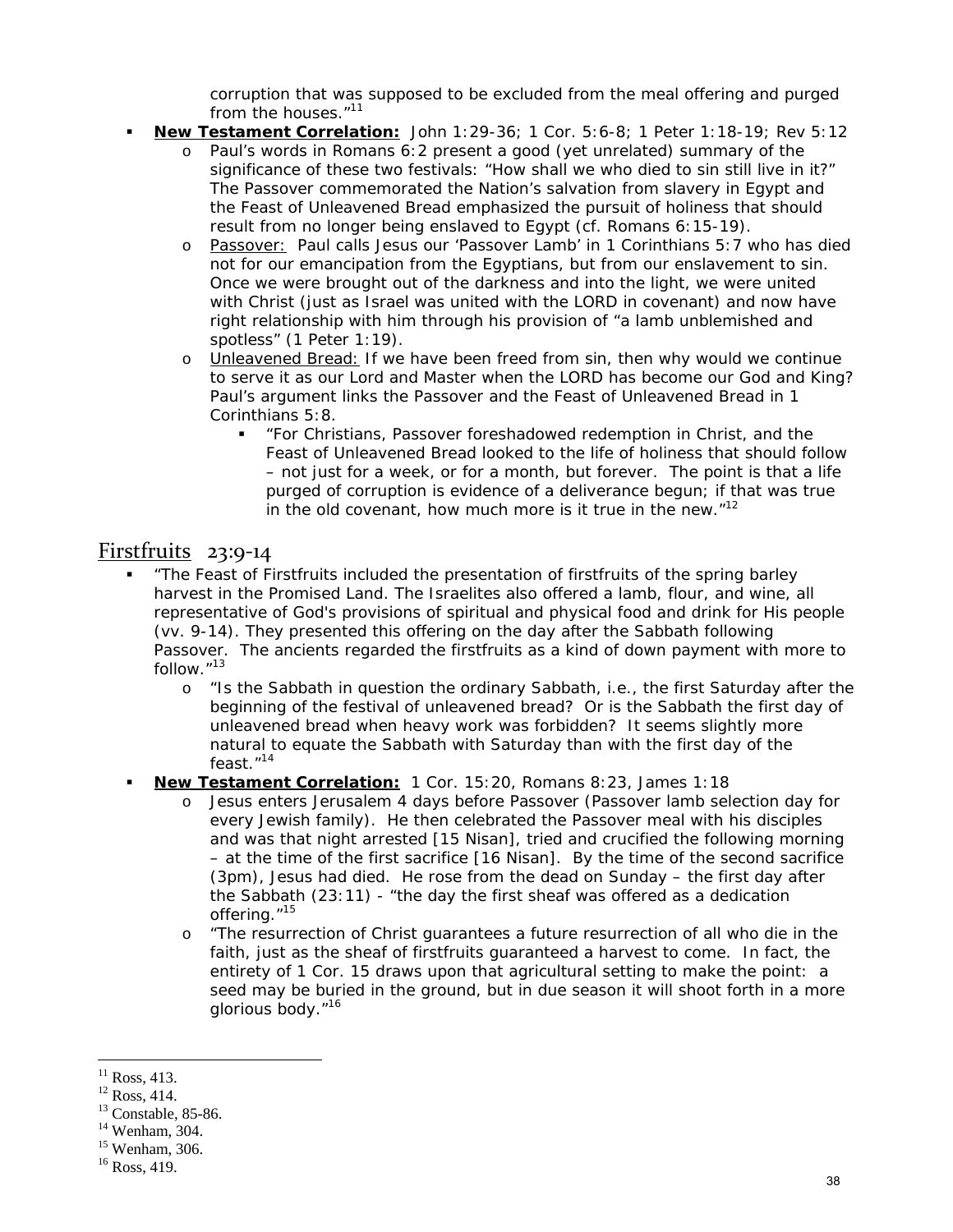corruption that was supposed to be excluded from the meal offering and purged from the houses."11

- **New Testament Correlation:** John 1:29-36; 1 Cor. 5:6-8; 1 Peter 1:18-19; Rev 5:12
	- o Paul's words in Romans 6:2 present a good (yet unrelated) summary of the significance of these two festivals: "How shall we who died to sin still live in it?" The Passover commemorated the Nation's salvation from slavery in Egypt and the Feast of Unleavened Bread emphasized the pursuit of holiness that should result from no longer being enslaved to Egypt (cf. Romans 6:15-19).
	- o Passover: Paul calls Jesus our 'Passover Lamb' in 1 Corinthians 5:7 who has died not for our emancipation from the Egyptians, but from our enslavement to sin. Once we were brought out of the darkness and into the light, we were united with Christ (just as Israel was united with the LORD in covenant) and now have right relationship with him through his provision of "a lamb unblemished and spotless" (1 Peter 1:19).
	- o Unleavened Bread: If we have been freed from sin, then why would we continue to serve it as our Lord and Master when the LORD has become our God and King? Paul's argument links the Passover and the Feast of Unleavened Bread in 1 Corinthians 5:8.
		- "For Christians, Passover foreshadowed redemption in Christ, and the Feast of Unleavened Bread looked to the life of holiness that should follow – not just for a week, or for a month, but forever. The point is that a life purged of corruption is evidence of a deliverance begun; if that was true in the old covenant, how much more is it true in the new. $12$

## Firstfruits  $23:9-14$

- "The Feast of Firstfruits included the presentation of firstfruits of the spring barley harvest in the Promised Land. The Israelites also offered a lamb, flour, and wine, all representative of God's provisions of spiritual and physical food and drink for His people (vv. 9-14). They presented this offering on the day after the Sabbath following Passover. The ancients regarded the firstfruits as a kind of down payment with more to follow."<sup>13</sup>
	- o "Is the Sabbath in question the ordinary Sabbath, i.e., the first Saturday after the beginning of the festival of unleavened bread? Or is the Sabbath the first day of unleavened bread when heavy work was forbidden? It seems slightly more natural to equate the Sabbath with Saturday than with the first day of the feast."14
- **New Testament Correlation:** 1 Cor. 15:20, Romans 8:23, James 1:18
	- o Jesus enters Jerusalem 4 days before Passover (Passover lamb selection day for every Jewish family). He then celebrated the Passover meal with his disciples and was that night arrested [15 Nisan], tried and crucified the following morning – at the time of the first sacrifice [16 Nisan]. By the time of the second sacrifice (3pm), Jesus had died. He rose from the dead on Sunday – *the first day after the Sabbath* (23:11) - "the day the first sheaf was offered as a dedication offering."<sup>15</sup>
	- o "The resurrection of Christ guarantees a future resurrection of all who die in the faith, just as the sheaf of firstfruits guaranteed a harvest to come. In fact, the entirety of 1 Cor. 15 draws upon that agricultural setting to make the point: a seed may be buried in the ground, but in due season it will shoot forth in a more glorious body."16

 $\overline{a}$  $^{11}$  Ross, 413.

 $12$  Ross, 414.

<sup>&</sup>lt;sup>13</sup> Constable, 85-86.

 $14$  Wenham, 304.

<sup>15</sup> Wenham, 306.

<sup>&</sup>lt;sup>16</sup> Ross, 419.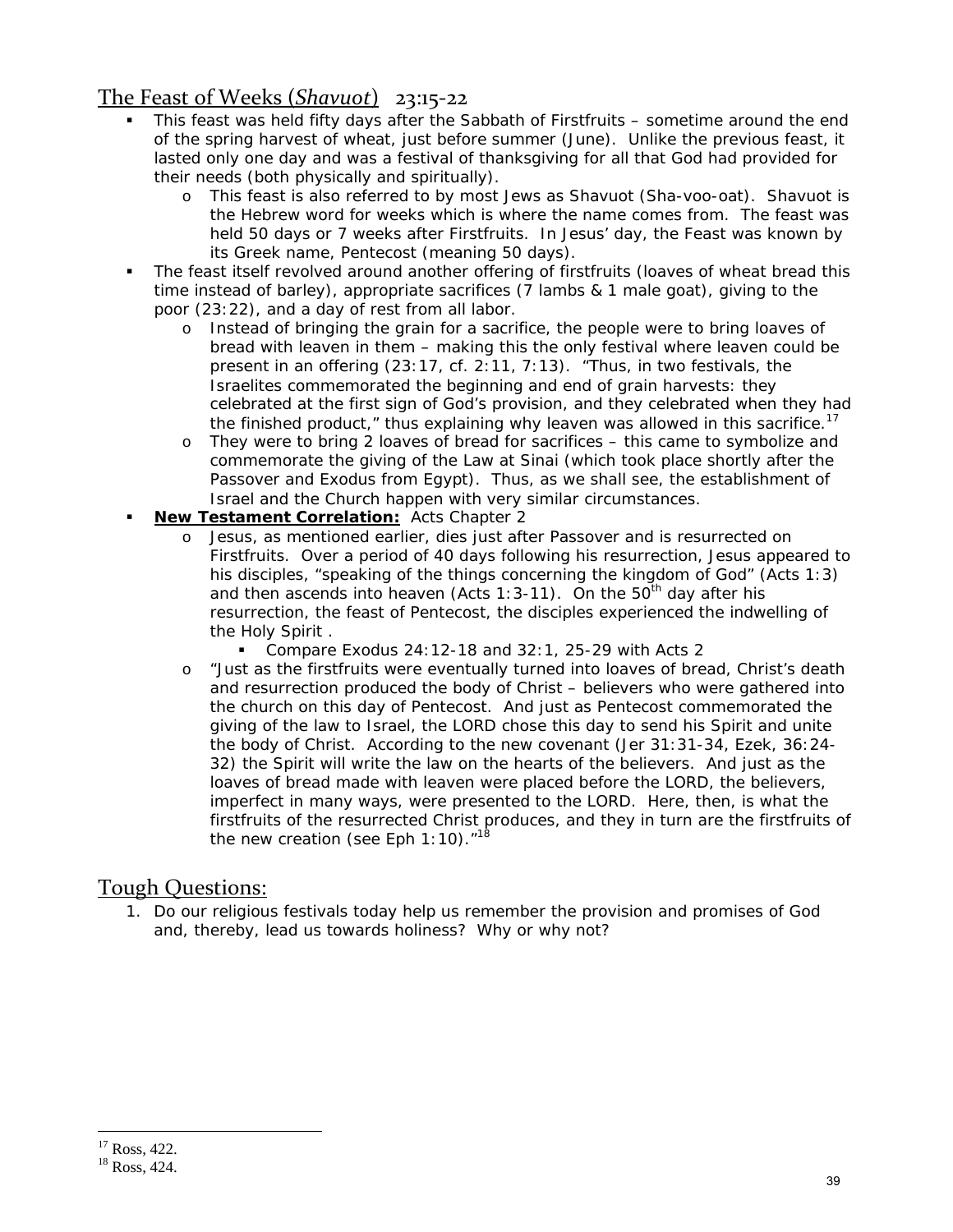# The Feast of Weeks (*Shavuot*) 23:15‐22

- This feast was held fifty days after the Sabbath of Firstfruits sometime around the end of the spring harvest of wheat, just before summer (June). Unlike the previous feast, it lasted only one day and was a festival of thanksgiving for all that God had provided for their needs (both physically and spiritually).
	- o This feast is also referred to by most Jews as Shavuot (Sha-voo-oat). Shavuot is the Hebrew word for weeks which is where the name comes from. The feast was held 50 days or 7 weeks after Firstfruits. In Jesus' day, the Feast was known by its Greek name, Pentecost (meaning 50 days).
- The feast itself revolved around another offering of firstfruits (loaves of wheat bread this time instead of barley), appropriate sacrifices (7 lambs & 1 male goat), giving to the poor (23:22), and a day of rest from all labor.
	- o Instead of bringing the grain for a sacrifice, the people were to bring loaves of bread with leaven in them – making this the only festival where leaven could be present in an offering (23:17, cf. 2:11, 7:13). "Thus, in two festivals, the Israelites commemorated the beginning and end of grain harvests: they celebrated at the first sign of God's provision, and they celebrated when they had the finished product," thus explaining why leaven was allowed in this sacrifice.<sup>17</sup>
	- o They were to bring 2 loaves of bread for sacrifices this came to symbolize and commemorate the giving of the Law at Sinai (which took place shortly after the Passover and Exodus from Egypt). Thus, as we shall see, the establishment of Israel and the Church happen with very similar circumstances.
- **New Testament Correlation:** Acts Chapter 2
	- o Jesus, as mentioned earlier, dies just after Passover and is resurrected on Firstfruits. Over a period of 40 days following his resurrection, Jesus appeared to his disciples, "speaking of the things concerning the kingdom of God" (Acts 1:3) and then ascends into heaven (Acts 1:3-11). On the  $50<sup>th</sup>$  day after his resurrection, the feast of Pentecost, the disciples experienced the indwelling of the Holy Spirit .
		- Compare Exodus 24:12-18 and 32:1, 25-29 with Acts 2
	- o "Just as the firstfruits were eventually turned into loaves of bread, Christ's death and resurrection produced the body of Christ – believers who were gathered into the church on this day of Pentecost. And just as Pentecost commemorated the giving of the law to Israel, the LORD chose this day to send his Spirit and unite the body of Christ. According to the new covenant (Jer 31:31-34, Ezek, 36:24- 32) the Spirit will write the law on the hearts of the believers. And just as the loaves of bread made with leaven were placed before the LORD, the believers, imperfect in many ways, were presented to the LORD. Here, then, is what the firstfruits of the resurrected Christ produces, and they in turn are the firstfruits of the new creation (see Eph 1:10). $^{\prime\prime}$ <sup>18</sup>

#### Tough Questions:

1. Do our religious festivals today help us remember the provision and promises of God and, thereby, lead us towards holiness? Why or why not?

<sup>&</sup>lt;sup>17</sup> Ross, 422.

<sup>18</sup> Ross, 424.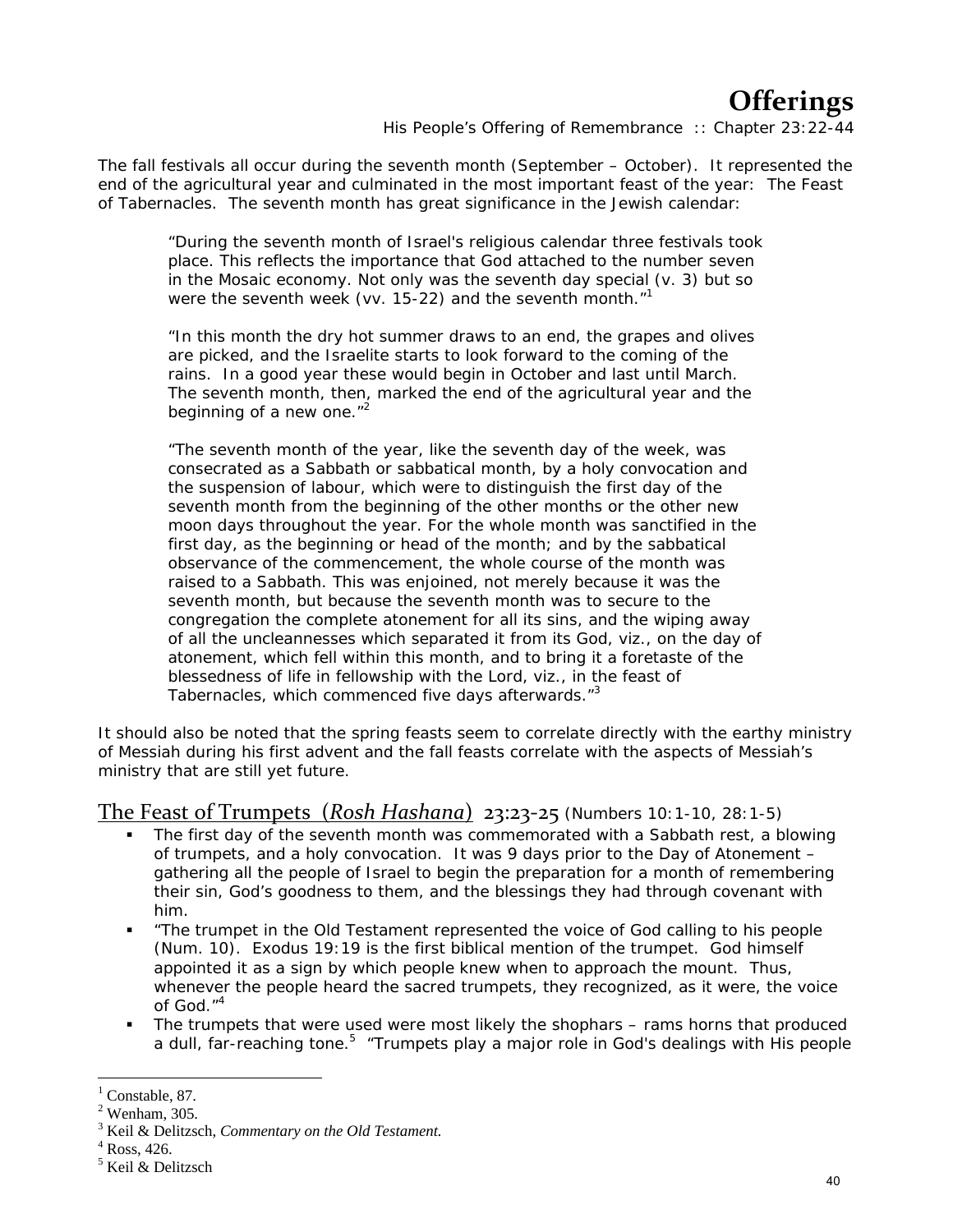# **Offerings**

*His People's Offering of Remembrance :: Chapter 23:22-44*

The fall festivals all occur during the seventh month (September – October). It represented the end of the agricultural year and culminated in the most important feast of the year: The Feast of Tabernacles. The seventh month has great significance in the Jewish calendar:

"During the seventh month of Israel's religious calendar three festivals took place. This reflects the importance that God attached to the number seven in the Mosaic economy. Not only was the seventh day special (v. 3) but so were the seventh week (vv. 15-22) and the seventh month."<sup>1</sup>

"In this month the dry hot summer draws to an end, the grapes and olives are picked, and the Israelite starts to look forward to the coming of the rains. In a good year these would begin in October and last until March. The seventh month, then, marked the end of the agricultural year and the beginning of a new one."<sup>2</sup>

"The seventh month of the year, like the seventh day of the week, was consecrated as a Sabbath or sabbatical month, by a holy convocation and the suspension of labour, which were to distinguish the first day of the seventh month from the beginning of the other months or the other new moon days throughout the year. For the whole month was sanctified in the first day, as the beginning or head of the month; and by the sabbatical observance of the commencement, the whole course of the month was raised to a Sabbath. This was enjoined, not merely because it was the seventh month, but because the seventh month was to secure to the congregation the complete atonement for all its sins, and the wiping away of all the uncleannesses which separated it from its God, viz., on the day of atonement, which fell within this month, and to bring it a foretaste of the blessedness of life in fellowship with the Lord, viz., in the feast of Tabernacles, which commenced five days afterwards."<sup>3</sup>

It should also be noted that the spring feasts seem to correlate directly with the earthy ministry of Messiah during his first advent and the fall feasts correlate with the aspects of Messiah's ministry that are still yet future.

The Feast of Trumpets (*Rosh Hashana*) 23:23‐25 (Numbers 10:1-10, 28:1-5)

- The first day of the seventh month was commemorated with a Sabbath rest, a blowing of trumpets, and a holy convocation. It was 9 days prior to the Day of Atonement – gathering all the people of Israel to begin the preparation for a month of remembering their sin, God's goodness to them, and the blessings they had through covenant with him.
- "The trumpet in the Old Testament represented the voice of God calling to his people (Num. 10). Exodus 19:19 is the first biblical mention of the trumpet. God himself appointed it as a sign by which people knew when to approach the mount. Thus, whenever the people heard the sacred trumpets, they recognized, as it were, the voice of God."4
- The trumpets that were used were most likely the shophars rams horns that produced a dull, far-reaching tone.<sup>5</sup> "Trumpets play a major role in God's dealings with His people

 $<sup>1</sup>$  Constable, 87.</sup>

 $<sup>2</sup>$  Wenham, 305.</sup>

<sup>3</sup> Keil & Delitzsch, *Commentary on the Old Testament.* <sup>4</sup>

Ross, 426.

<sup>5</sup> Keil & Delitzsch